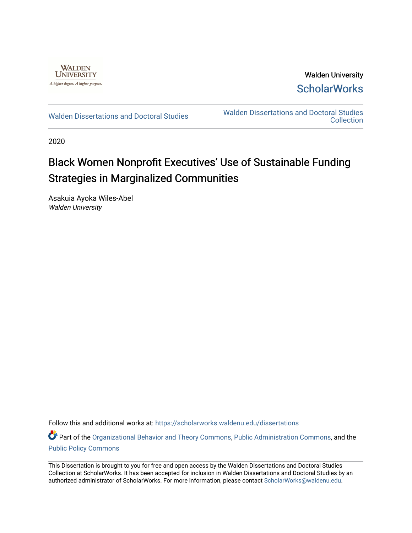

Walden University **ScholarWorks** 

[Walden Dissertations and Doctoral Studies](https://scholarworks.waldenu.edu/dissertations) Walden Dissertations and Doctoral Studies **Collection** 

2020

# Black Women Nonprofit Executives' Use of Sustainable Funding Strategies in Marginalized Communities

Asakuia Ayoka Wiles-Abel Walden University

Follow this and additional works at: [https://scholarworks.waldenu.edu/dissertations](https://scholarworks.waldenu.edu/dissertations?utm_source=scholarworks.waldenu.edu%2Fdissertations%2F8656&utm_medium=PDF&utm_campaign=PDFCoverPages)

Part of the [Organizational Behavior and Theory Commons,](http://network.bepress.com/hgg/discipline/639?utm_source=scholarworks.waldenu.edu%2Fdissertations%2F8656&utm_medium=PDF&utm_campaign=PDFCoverPages) [Public Administration Commons,](http://network.bepress.com/hgg/discipline/398?utm_source=scholarworks.waldenu.edu%2Fdissertations%2F8656&utm_medium=PDF&utm_campaign=PDFCoverPages) and the [Public Policy Commons](http://network.bepress.com/hgg/discipline/400?utm_source=scholarworks.waldenu.edu%2Fdissertations%2F8656&utm_medium=PDF&utm_campaign=PDFCoverPages)

This Dissertation is brought to you for free and open access by the Walden Dissertations and Doctoral Studies Collection at ScholarWorks. It has been accepted for inclusion in Walden Dissertations and Doctoral Studies by an authorized administrator of ScholarWorks. For more information, please contact [ScholarWorks@waldenu.edu](mailto:ScholarWorks@waldenu.edu).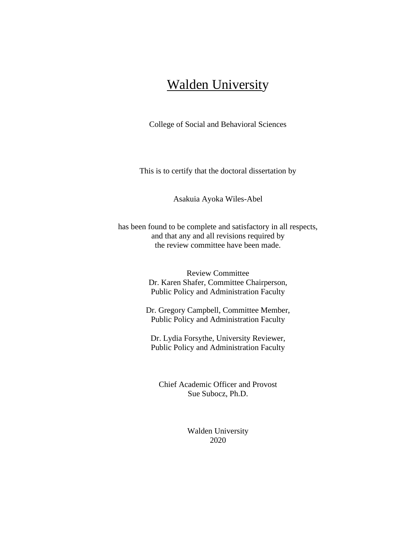# Walden University

College of Social and Behavioral Sciences

This is to certify that the doctoral dissertation by

Asakuia Ayoka Wiles-Abel

has been found to be complete and satisfactory in all respects, and that any and all revisions required by the review committee have been made.

> Review Committee Dr. Karen Shafer, Committee Chairperson, Public Policy and Administration Faculty

Dr. Gregory Campbell, Committee Member, Public Policy and Administration Faculty

Dr. Lydia Forsythe, University Reviewer, Public Policy and Administration Faculty

Chief Academic Officer and Provost Sue Subocz, Ph.D.

> Walden University 2020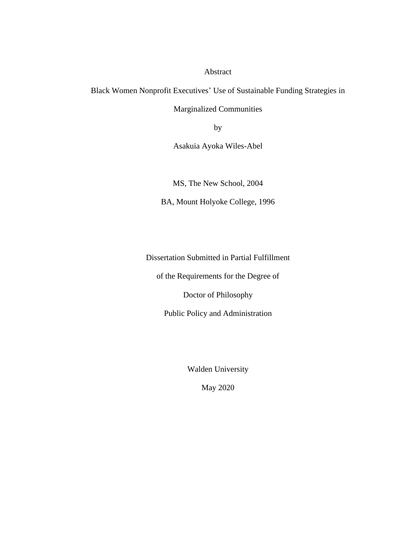### Abstract

Black Women Nonprofit Executives' Use of Sustainable Funding Strategies in

Marginalized Communities

by

Asakuia Ayoka Wiles-Abel

MS, The New School, 2004

BA, Mount Holyoke College, 1996

Dissertation Submitted in Partial Fulfillment

of the Requirements for the Degree of

Doctor of Philosophy

Public Policy and Administration

Walden University

May 2020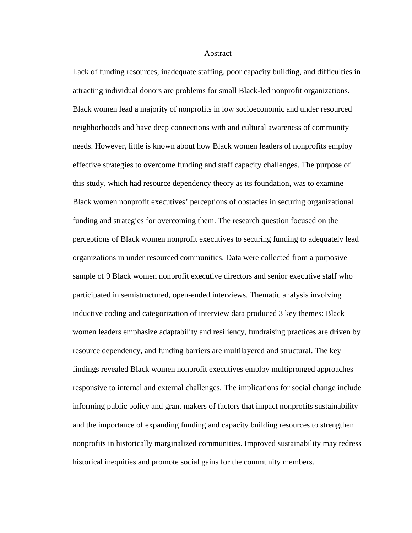#### **Abstract**

Lack of funding resources, inadequate staffing, poor capacity building, and difficulties in attracting individual donors are problems for small Black-led nonprofit organizations. Black women lead a majority of nonprofits in low socioeconomic and under resourced neighborhoods and have deep connections with and cultural awareness of community needs. However, little is known about how Black women leaders of nonprofits employ effective strategies to overcome funding and staff capacity challenges. The purpose of this study, which had resource dependency theory as its foundation, was to examine Black women nonprofit executives' perceptions of obstacles in securing organizational funding and strategies for overcoming them. The research question focused on the perceptions of Black women nonprofit executives to securing funding to adequately lead organizations in under resourced communities. Data were collected from a purposive sample of 9 Black women nonprofit executive directors and senior executive staff who participated in semistructured, open-ended interviews. Thematic analysis involving inductive coding and categorization of interview data produced 3 key themes: Black women leaders emphasize adaptability and resiliency, fundraising practices are driven by resource dependency, and funding barriers are multilayered and structural. The key findings revealed Black women nonprofit executives employ multipronged approaches responsive to internal and external challenges. The implications for social change include informing public policy and grant makers of factors that impact nonprofits sustainability and the importance of expanding funding and capacity building resources to strengthen nonprofits in historically marginalized communities. Improved sustainability may redress historical inequities and promote social gains for the community members.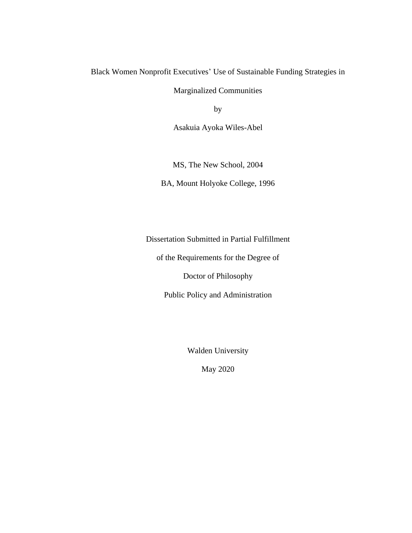Black Women Nonprofit Executives' Use of Sustainable Funding Strategies in

Marginalized Communities

by

Asakuia Ayoka Wiles-Abel

MS, The New School, 2004

BA, Mount Holyoke College, 1996

Dissertation Submitted in Partial Fulfillment

of the Requirements for the Degree of

Doctor of Philosophy

Public Policy and Administration

Walden University

May 2020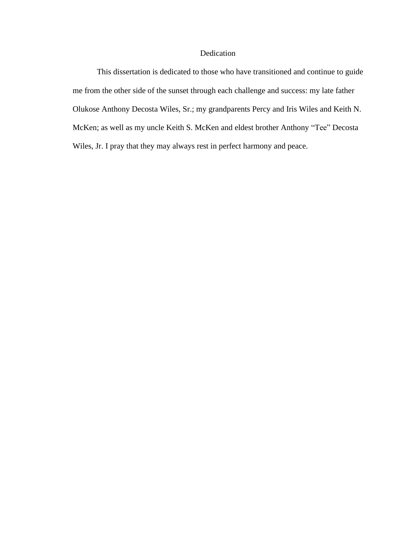### Dedication

This dissertation is dedicated to those who have transitioned and continue to guide me from the other side of the sunset through each challenge and success: my late father Olukose Anthony Decosta Wiles, Sr.; my grandparents Percy and Iris Wiles and Keith N. McKen; as well as my uncle Keith S. McKen and eldest brother Anthony "Tee" Decosta Wiles, Jr. I pray that they may always rest in perfect harmony and peace.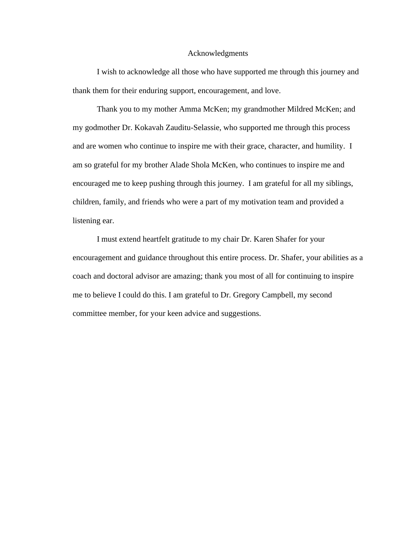#### Acknowledgments

I wish to acknowledge all those who have supported me through this journey and thank them for their enduring support, encouragement, and love.

Thank you to my mother Amma McKen; my grandmother Mildred McKen; and my godmother Dr. Kokavah Zauditu-Selassie, who supported me through this process and are women who continue to inspire me with their grace, character, and humility. I am so grateful for my brother Alade Shola McKen, who continues to inspire me and encouraged me to keep pushing through this journey. I am grateful for all my siblings, children, family, and friends who were a part of my motivation team and provided a listening ear.

I must extend heartfelt gratitude to my chair Dr. Karen Shafer for your encouragement and guidance throughout this entire process. Dr. Shafer, your abilities as a coach and doctoral advisor are amazing; thank you most of all for continuing to inspire me to believe I could do this. I am grateful to Dr. Gregory Campbell, my second committee member, for your keen advice and suggestions.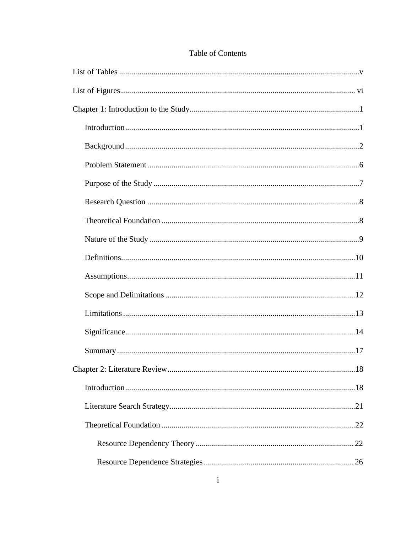### Table of Contents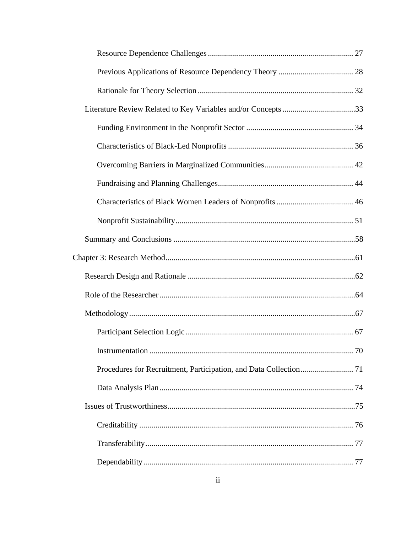| Literature Review Related to Key Variables and/or Concepts 33 |  |
|---------------------------------------------------------------|--|
|                                                               |  |
|                                                               |  |
|                                                               |  |
|                                                               |  |
|                                                               |  |
|                                                               |  |
|                                                               |  |
|                                                               |  |
|                                                               |  |
|                                                               |  |
|                                                               |  |
|                                                               |  |
|                                                               |  |
|                                                               |  |
|                                                               |  |
|                                                               |  |
|                                                               |  |
|                                                               |  |
|                                                               |  |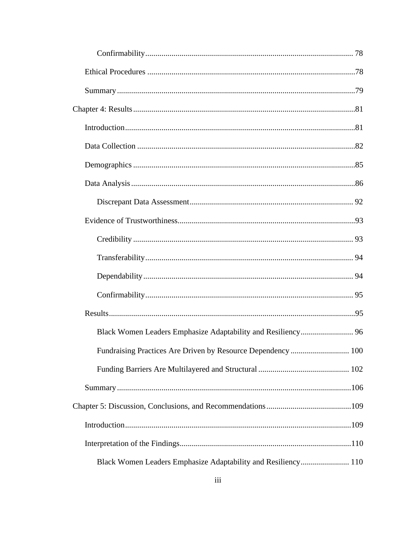| Fundraising Practices Are Driven by Resource Dependency  100  |  |
|---------------------------------------------------------------|--|
|                                                               |  |
|                                                               |  |
|                                                               |  |
|                                                               |  |
|                                                               |  |
| Black Women Leaders Emphasize Adaptability and Resiliency 110 |  |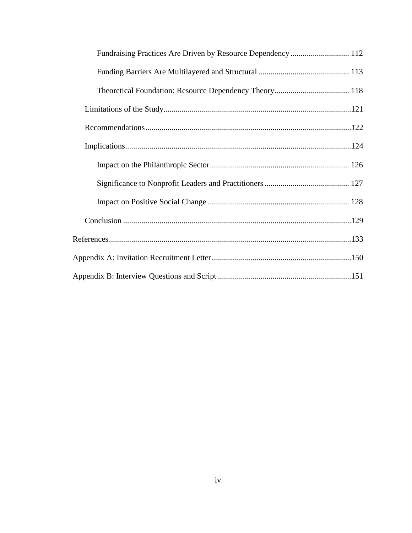| Fundraising Practices Are Driven by Resource Dependency  112 |  |
|--------------------------------------------------------------|--|
|                                                              |  |
|                                                              |  |
|                                                              |  |
|                                                              |  |
|                                                              |  |
|                                                              |  |
|                                                              |  |
|                                                              |  |
|                                                              |  |
|                                                              |  |
|                                                              |  |
|                                                              |  |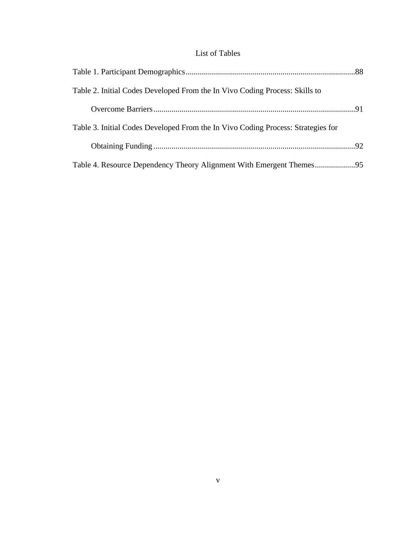## List of Tables

<span id="page-11-0"></span>

| Table 2. Initial Codes Developed From the In Vivo Coding Process: Skills to      |  |
|----------------------------------------------------------------------------------|--|
|                                                                                  |  |
| Table 3. Initial Codes Developed From the In Vivo Coding Process: Strategies for |  |
|                                                                                  |  |
|                                                                                  |  |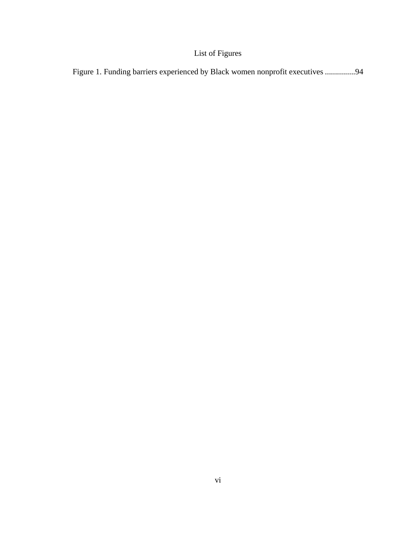## List of Figures

<span id="page-12-0"></span>

|  |  | Figure 1. Funding barriers experienced by Black women nonprofit executives 94 |  |
|--|--|-------------------------------------------------------------------------------|--|
|  |  |                                                                               |  |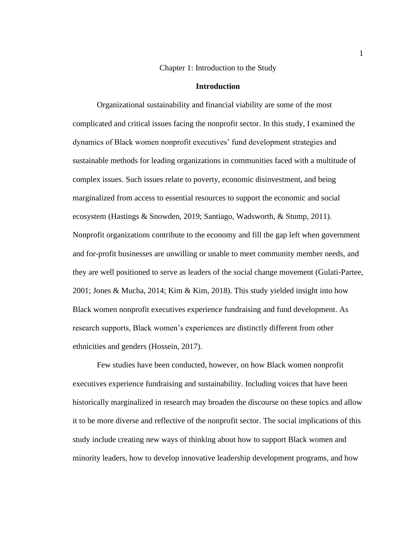#### Chapter 1: Introduction to the Study

#### **Introduction**

<span id="page-13-1"></span><span id="page-13-0"></span>Organizational sustainability and financial viability are some of the most complicated and critical issues facing the nonprofit sector. In this study, I examined the dynamics of Black women nonprofit executives' fund development strategies and sustainable methods for leading organizations in communities faced with a multitude of complex issues. Such issues relate to poverty, economic disinvestment, and being marginalized from access to essential resources to support the economic and social ecosystem (Hastings & Snowden, 2019; Santiago, Wadsworth, & Stump, 2011). Nonprofit organizations contribute to the economy and fill the gap left when government and for-profit businesses are unwilling or unable to meet community member needs, and they are well positioned to serve as leaders of the social change movement (Gulati-Partee, 2001; Jones & Mucha, 2014; Kim & Kim, 2018). This study yielded insight into how Black women nonprofit executives experience fundraising and fund development. As research supports, Black women's experiences are distinctly different from other ethnicities and genders (Hossein, 2017).

Few studies have been conducted, however, on how Black women nonprofit executives experience fundraising and sustainability. Including voices that have been historically marginalized in research may broaden the discourse on these topics and allow it to be more diverse and reflective of the nonprofit sector. The social implications of this study include creating new ways of thinking about how to support Black women and minority leaders, how to develop innovative leadership development programs, and how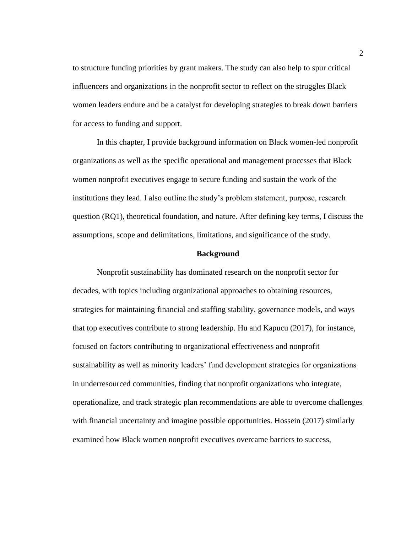to structure funding priorities by grant makers. The study can also help to spur critical influencers and organizations in the nonprofit sector to reflect on the struggles Black women leaders endure and be a catalyst for developing strategies to break down barriers for access to funding and support.

In this chapter, I provide background information on Black women-led nonprofit organizations as well as the specific operational and management processes that Black women nonprofit executives engage to secure funding and sustain the work of the institutions they lead. I also outline the study's problem statement, purpose, research question (RQ1), theoretical foundation, and nature. After defining key terms, I discuss the assumptions, scope and delimitations, limitations, and significance of the study.

#### **Background**

<span id="page-14-0"></span>Nonprofit sustainability has dominated research on the nonprofit sector for decades, with topics including organizational approaches to obtaining resources, strategies for maintaining financial and staffing stability, governance models, and ways that top executives contribute to strong leadership. Hu and Kapucu (2017), for instance, focused on factors contributing to organizational effectiveness and nonprofit sustainability as well as minority leaders' fund development strategies for organizations in underresourced communities, finding that nonprofit organizations who integrate, operationalize, and track strategic plan recommendations are able to overcome challenges with financial uncertainty and imagine possible opportunities. Hossein (2017) similarly examined how Black women nonprofit executives overcame barriers to success,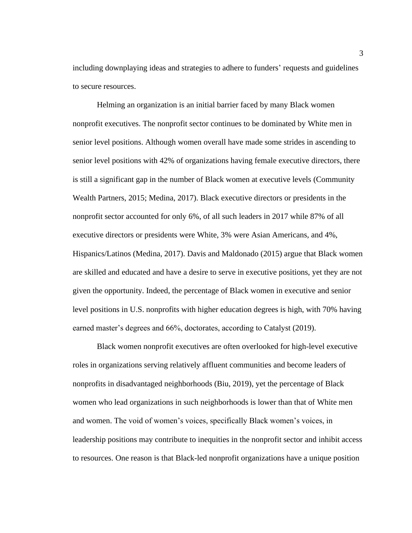including downplaying ideas and strategies to adhere to funders' requests and guidelines to secure resources.

Helming an organization is an initial barrier faced by many Black women nonprofit executives. The nonprofit sector continues to be dominated by White men in senior level positions. Although women overall have made some strides in ascending to senior level positions with 42% of organizations having female executive directors, there is still a significant gap in the number of Black women at executive levels (Community Wealth Partners, 2015; Medina, 2017). Black executive directors or presidents in the nonprofit sector accounted for only 6%, of all such leaders in 2017 while 87% of all executive directors or presidents were White, 3% were Asian Americans, and 4%, Hispanics/Latinos (Medina, 2017). Davis and Maldonado (2015) argue that Black women are skilled and educated and have a desire to serve in executive positions, yet they are not given the opportunity. Indeed, the percentage of Black women in executive and senior level positions in U.S. nonprofits with higher education degrees is high, with 70% having earned master's degrees and 66%, doctorates, according to Catalyst (2019).

Black women nonprofit executives are often overlooked for high-level executive roles in organizations serving relatively affluent communities and become leaders of nonprofits in disadvantaged neighborhoods (Biu, 2019), yet the percentage of Black women who lead organizations in such neighborhoods is lower than that of White men and women. The void of women's voices, specifically Black women's voices, in leadership positions may contribute to inequities in the nonprofit sector and inhibit access to resources. One reason is that Black-led nonprofit organizations have a unique position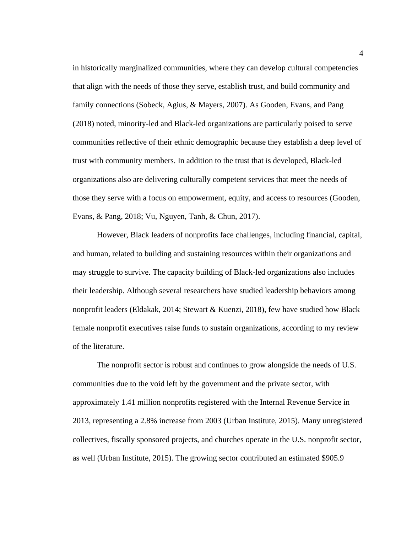in historically marginalized communities, where they can develop cultural competencies that align with the needs of those they serve, establish trust, and build community and family connections (Sobeck, Agius, & Mayers, 2007). As Gooden, Evans, and Pang (2018) noted, minority-led and Black-led organizations are particularly poised to serve communities reflective of their ethnic demographic because they establish a deep level of trust with community members. In addition to the trust that is developed, Black-led organizations also are delivering culturally competent services that meet the needs of those they serve with a focus on empowerment, equity, and access to resources (Gooden, Evans, & Pang, 2018; Vu, Nguyen, Tanh, & Chun, 2017).

However, Black leaders of nonprofits face challenges, including financial, capital, and human, related to building and sustaining resources within their organizations and may struggle to survive. The capacity building of Black-led organizations also includes their leadership. Although several researchers have studied leadership behaviors among nonprofit leaders (Eldakak, 2014; Stewart & Kuenzi, 2018), few have studied how Black female nonprofit executives raise funds to sustain organizations, according to my review of the literature.

The nonprofit sector is robust and continues to grow alongside the needs of U.S. communities due to the void left by the government and the private sector, with approximately 1.41 million nonprofits registered with the Internal Revenue Service in 2013, representing a 2.8% increase from 2003 (Urban Institute, 2015). Many unregistered collectives, fiscally sponsored projects, and churches operate in the U.S. nonprofit sector, as well (Urban Institute, 2015). The growing sector contributed an estimated \$905.9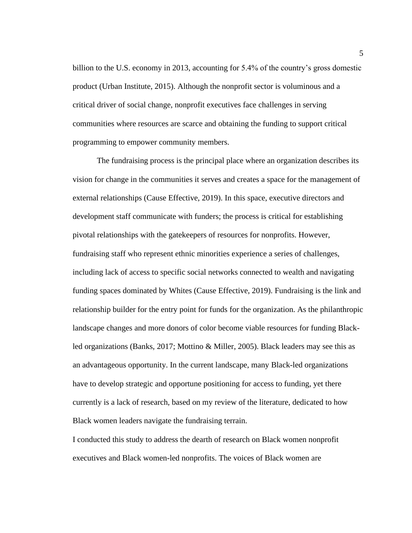billion to the U.S. economy in 2013, accounting for 5.4% of the country's gross domestic product (Urban Institute, 2015). Although the nonprofit sector is voluminous and a critical driver of social change, nonprofit executives face challenges in serving communities where resources are scarce and obtaining the funding to support critical programming to empower community members.

The fundraising process is the principal place where an organization describes its vision for change in the communities it serves and creates a space for the management of external relationships (Cause Effective, 2019). In this space, executive directors and development staff communicate with funders; the process is critical for establishing pivotal relationships with the gatekeepers of resources for nonprofits. However, fundraising staff who represent ethnic minorities experience a series of challenges, including lack of access to specific social networks connected to wealth and navigating funding spaces dominated by Whites (Cause Effective, 2019). Fundraising is the link and relationship builder for the entry point for funds for the organization. As the philanthropic landscape changes and more donors of color become viable resources for funding Blackled organizations (Banks, 2017; Mottino & Miller, 2005). Black leaders may see this as an advantageous opportunity. In the current landscape, many Black-led organizations have to develop strategic and opportune positioning for access to funding, yet there currently is a lack of research, based on my review of the literature, dedicated to how Black women leaders navigate the fundraising terrain.

I conducted this study to address the dearth of research on Black women nonprofit executives and Black women-led nonprofits. The voices of Black women are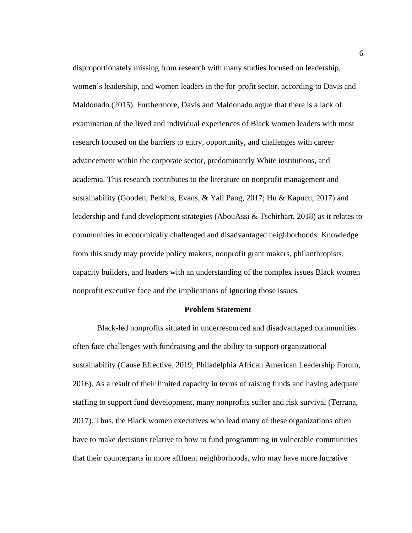disproportionately missing from research with many studies focused on leadership, women's leadership, and women leaders in the for-profit sector, according to Davis and Maldonado (2015). Furthermore, Davis and Maldonado argue that there is a lack of examination of the lived and individual experiences of Black women leaders with most research focused on the barriers to entry, opportunity, and challenges with career advancement within the corporate sector, predominantly White institutions, and academia. This research contributes to the literature on nonprofit management and sustainability (Gooden, Perkins, Evans, & Yali Pang, 2017; Hu & Kapucu, 2017) and leadership and fund development strategies (AbouAssi & Tschirhart, 2018) as it relates to communities in economically challenged and disadvantaged neighborhoods. Knowledge from this study may provide policy makers, nonprofit grant makers, philanthropists, capacity builders, and leaders with an understanding of the complex issues Black women nonprofit executive face and the implications of ignoring those issues.

#### **Problem Statement**

<span id="page-18-0"></span>Black-led nonprofits situated in underresourced and disadvantaged communities often face challenges with fundraising and the ability to support organizational sustainability (Cause Effective, 2019; Philadelphia African American Leadership Forum, 2016). As a result of their limited capacity in terms of raising funds and having adequate staffing to support fund development, many nonprofits suffer and risk survival (Terrana, 2017). Thus, the Black women executives who lead many of these organizations often have to make decisions relative to how to fund programming in vulnerable communities that their counterparts in more affluent neighborhoods, who may have more lucrative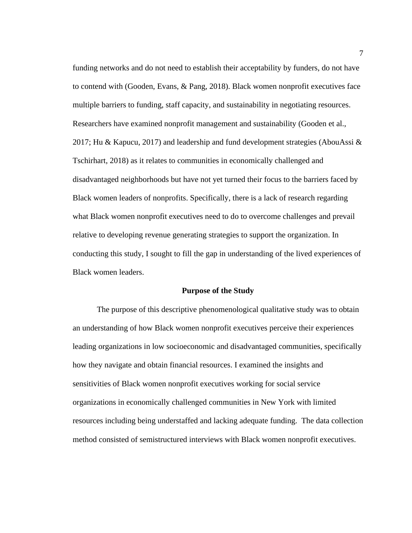funding networks and do not need to establish their acceptability by funders, do not have to contend with (Gooden, Evans, & Pang, 2018). Black women nonprofit executives face multiple barriers to funding, staff capacity, and sustainability in negotiating resources. Researchers have examined nonprofit management and sustainability (Gooden et al., 2017; Hu & Kapucu, 2017) and leadership and fund development strategies (AbouAssi  $\&$ Tschirhart, 2018) as it relates to communities in economically challenged and disadvantaged neighborhoods but have not yet turned their focus to the barriers faced by Black women leaders of nonprofits. Specifically, there is a lack of research regarding what Black women nonprofit executives need to do to overcome challenges and prevail relative to developing revenue generating strategies to support the organization. In conducting this study, I sought to fill the gap in understanding of the lived experiences of Black women leaders.

#### **Purpose of the Study**

<span id="page-19-0"></span>The purpose of this descriptive phenomenological qualitative study was to obtain an understanding of how Black women nonprofit executives perceive their experiences leading organizations in low socioeconomic and disadvantaged communities, specifically how they navigate and obtain financial resources. I examined the insights and sensitivities of Black women nonprofit executives working for social service organizations in economically challenged communities in New York with limited resources including being understaffed and lacking adequate funding. The data collection method consisted of semistructured interviews with Black women nonprofit executives.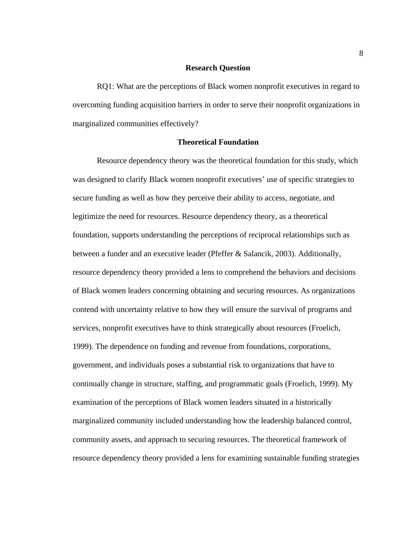#### **Research Question**

<span id="page-20-0"></span>RQ1: What are the perceptions of Black women nonprofit executives in regard to overcoming funding acquisition barriers in order to serve their nonprofit organizations in marginalized communities effectively?

#### **Theoretical Foundation**

<span id="page-20-1"></span>Resource dependency theory was the theoretical foundation for this study, which was designed to clarify Black women nonprofit executives' use of specific strategies to secure funding as well as how they perceive their ability to access, negotiate, and legitimize the need for resources. Resource dependency theory, as a theoretical foundation, supports understanding the perceptions of reciprocal relationships such as between a funder and an executive leader (Pfeffer & Salancik, 2003). Additionally, resource dependency theory provided a lens to comprehend the behaviors and decisions of Black women leaders concerning obtaining and securing resources. As organizations contend with uncertainty relative to how they will ensure the survival of programs and services, nonprofit executives have to think strategically about resources (Froelich, 1999). The dependence on funding and revenue from foundations, corporations, government, and individuals poses a substantial risk to organizations that have to continually change in structure, staffing, and programmatic goals (Froelich, 1999). My examination of the perceptions of Black women leaders situated in a historically marginalized community included understanding how the leadership balanced control, community assets, and approach to securing resources. The theoretical framework of resource dependency theory provided a lens for examining sustainable funding strategies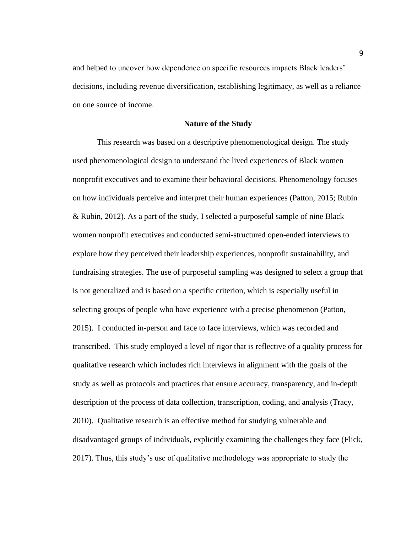and helped to uncover how dependence on specific resources impacts Black leaders' decisions, including revenue diversification, establishing legitimacy, as well as a reliance on one source of income.

#### **Nature of the Study**

<span id="page-21-0"></span>This research was based on a descriptive phenomenological design. The study used phenomenological design to understand the lived experiences of Black women nonprofit executives and to examine their behavioral decisions. Phenomenology focuses on how individuals perceive and interpret their human experiences (Patton, 2015; Rubin & Rubin, 2012). As a part of the study, I selected a purposeful sample of nine Black women nonprofit executives and conducted semi-structured open-ended interviews to explore how they perceived their leadership experiences, nonprofit sustainability, and fundraising strategies. The use of purposeful sampling was designed to select a group that is not generalized and is based on a specific criterion, which is especially useful in selecting groups of people who have experience with a precise phenomenon (Patton, 2015). I conducted in-person and face to face interviews, which was recorded and transcribed. This study employed a level of rigor that is reflective of a quality process for qualitative research which includes rich interviews in alignment with the goals of the study as well as protocols and practices that ensure accuracy, transparency, and in-depth description of the process of data collection, transcription, coding, and analysis (Tracy, 2010). Qualitative research is an effective method for studying vulnerable and disadvantaged groups of individuals, explicitly examining the challenges they face (Flick, 2017). Thus, this study's use of qualitative methodology was appropriate to study the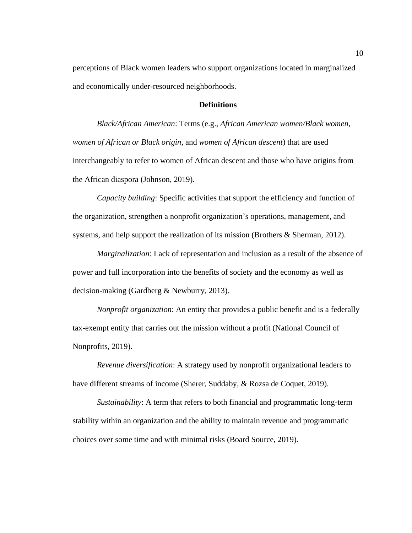perceptions of Black women leaders who support organizations located in marginalized and economically under-resourced neighborhoods.

#### **Definitions**

<span id="page-22-0"></span>*Black/African American*: Terms (e.g., *African American women/Black women*, *women of African or Black origin*, and *women of African descent*) that are used interchangeably to refer to women of African descent and those who have origins from the African diaspora (Johnson, 2019).

*Capacity building*: Specific activities that support the efficiency and function of the organization, strengthen a nonprofit organization's operations, management, and systems, and help support the realization of its mission (Brothers & Sherman, 2012).

*Marginalization*: Lack of representation and inclusion as a result of the absence of power and full incorporation into the benefits of society and the economy as well as decision-making (Gardberg & Newburry, 2013).

*Nonprofit organization*: An entity that provides a public benefit and is a federally tax-exempt entity that carries out the mission without a profit (National Council of Nonprofits, 2019).

*Revenue diversification*: A strategy used by nonprofit organizational leaders to have different streams of income (Sherer, Suddaby, & Rozsa de Coquet, 2019).

*Sustainability*: A term that refers to both financial and programmatic long-term stability within an organization and the ability to maintain revenue and programmatic choices over some time and with minimal risks (Board Source, 2019).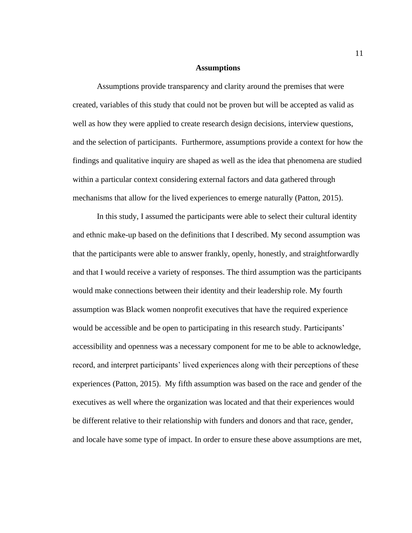#### **Assumptions**

<span id="page-23-0"></span>Assumptions provide transparency and clarity around the premises that were created, variables of this study that could not be proven but will be accepted as valid as well as how they were applied to create research design decisions, interview questions, and the selection of participants. Furthermore, assumptions provide a context for how the findings and qualitative inquiry are shaped as well as the idea that phenomena are studied within a particular context considering external factors and data gathered through mechanisms that allow for the lived experiences to emerge naturally (Patton, 2015).

In this study, I assumed the participants were able to select their cultural identity and ethnic make-up based on the definitions that I described. My second assumption was that the participants were able to answer frankly, openly, honestly, and straightforwardly and that I would receive a variety of responses. The third assumption was the participants would make connections between their identity and their leadership role. My fourth assumption was Black women nonprofit executives that have the required experience would be accessible and be open to participating in this research study. Participants' accessibility and openness was a necessary component for me to be able to acknowledge, record, and interpret participants' lived experiences along with their perceptions of these experiences (Patton, 2015). My fifth assumption was based on the race and gender of the executives as well where the organization was located and that their experiences would be different relative to their relationship with funders and donors and that race, gender, and locale have some type of impact. In order to ensure these above assumptions are met,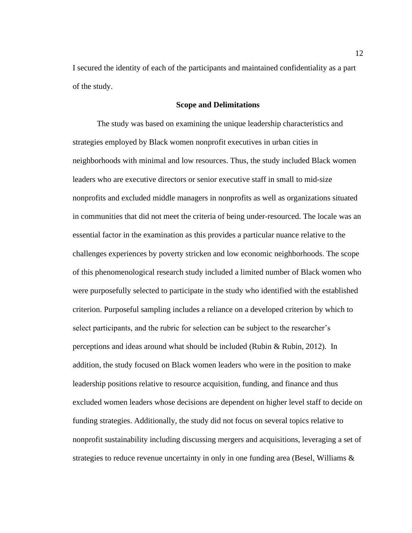I secured the identity of each of the participants and maintained confidentiality as a part of the study.

#### **Scope and Delimitations**

<span id="page-24-0"></span>The study was based on examining the unique leadership characteristics and strategies employed by Black women nonprofit executives in urban cities in neighborhoods with minimal and low resources. Thus, the study included Black women leaders who are executive directors or senior executive staff in small to mid-size nonprofits and excluded middle managers in nonprofits as well as organizations situated in communities that did not meet the criteria of being under-resourced. The locale was an essential factor in the examination as this provides a particular nuance relative to the challenges experiences by poverty stricken and low economic neighborhoods. The scope of this phenomenological research study included a limited number of Black women who were purposefully selected to participate in the study who identified with the established criterion. Purposeful sampling includes a reliance on a developed criterion by which to select participants, and the rubric for selection can be subject to the researcher's perceptions and ideas around what should be included (Rubin & Rubin, 2012). In addition, the study focused on Black women leaders who were in the position to make leadership positions relative to resource acquisition, funding, and finance and thus excluded women leaders whose decisions are dependent on higher level staff to decide on funding strategies. Additionally, the study did not focus on several topics relative to nonprofit sustainability including discussing mergers and acquisitions, leveraging a set of strategies to reduce revenue uncertainty in only in one funding area (Besel, Williams &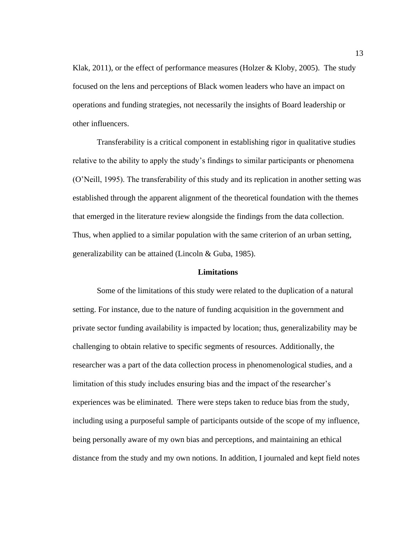Klak, 2011), or the effect of performance measures (Holzer & Kloby, 2005). The study focused on the lens and perceptions of Black women leaders who have an impact on operations and funding strategies, not necessarily the insights of Board leadership or other influencers.

Transferability is a critical component in establishing rigor in qualitative studies relative to the ability to apply the study's findings to similar participants or phenomena (O'Neill, 1995). The transferability of this study and its replication in another setting was established through the apparent alignment of the theoretical foundation with the themes that emerged in the literature review alongside the findings from the data collection. Thus, when applied to a similar population with the same criterion of an urban setting, generalizability can be attained (Lincoln & Guba, 1985).

#### **Limitations**

<span id="page-25-0"></span>Some of the limitations of this study were related to the duplication of a natural setting. For instance, due to the nature of funding acquisition in the government and private sector funding availability is impacted by location; thus, generalizability may be challenging to obtain relative to specific segments of resources. Additionally, the researcher was a part of the data collection process in phenomenological studies, and a limitation of this study includes ensuring bias and the impact of the researcher's experiences was be eliminated. There were steps taken to reduce bias from the study, including using a purposeful sample of participants outside of the scope of my influence, being personally aware of my own bias and perceptions, and maintaining an ethical distance from the study and my own notions. In addition, I journaled and kept field notes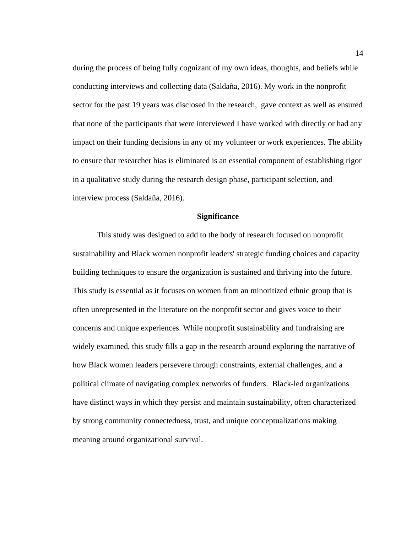during the process of being fully cognizant of my own ideas, thoughts, and beliefs while conducting interviews and collecting data (Saldaña, 2016). My work in the nonprofit sector for the past 19 years was disclosed in the research, gave context as well as ensured that none of the participants that were interviewed I have worked with directly or had any impact on their funding decisions in any of my volunteer or work experiences. The ability to ensure that researcher bias is eliminated is an essential component of establishing rigor in a qualitative study during the research design phase, participant selection, and interview process (Saldaña, 2016).

#### **Significance**

<span id="page-26-0"></span>This study was designed to add to the body of research focused on nonprofit sustainability and Black women nonprofit leaders' strategic funding choices and capacity building techniques to ensure the organization is sustained and thriving into the future. This study is essential as it focuses on women from an minoritized ethnic group that is often unrepresented in the literature on the nonprofit sector and gives voice to their concerns and unique experiences. While nonprofit sustainability and fundraising are widely examined, this study fills a gap in the research around exploring the narrative of how Black women leaders persevere through constraints, external challenges, and a political climate of navigating complex networks of funders. Black-led organizations have distinct ways in which they persist and maintain sustainability, often characterized by strong community connectedness, trust, and unique conceptualizations making meaning around organizational survival.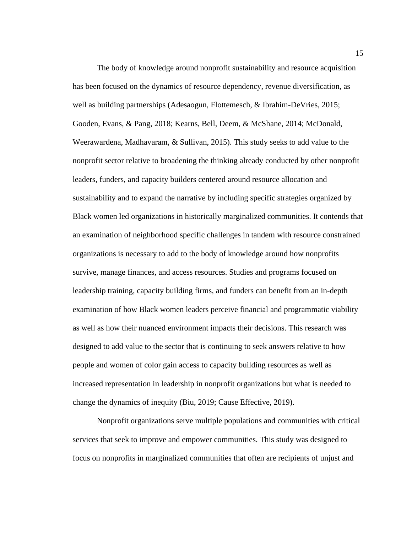The body of knowledge around nonprofit sustainability and resource acquisition has been focused on the dynamics of resource dependency, revenue diversification, as well as building partnerships (Adesaogun, Flottemesch, & Ibrahim-DeVries, 2015; Gooden, Evans, & Pang, 2018; Kearns, Bell, Deem, & McShane, 2014; McDonald, Weerawardena, Madhavaram, & Sullivan, 2015). This study seeks to add value to the nonprofit sector relative to broadening the thinking already conducted by other nonprofit leaders, funders, and capacity builders centered around resource allocation and sustainability and to expand the narrative by including specific strategies organized by Black women led organizations in historically marginalized communities. It contends that an examination of neighborhood specific challenges in tandem with resource constrained organizations is necessary to add to the body of knowledge around how nonprofits survive, manage finances, and access resources. Studies and programs focused on leadership training, capacity building firms, and funders can benefit from an in-depth examination of how Black women leaders perceive financial and programmatic viability as well as how their nuanced environment impacts their decisions. This research was designed to add value to the sector that is continuing to seek answers relative to how people and women of color gain access to capacity building resources as well as increased representation in leadership in nonprofit organizations but what is needed to change the dynamics of inequity (Biu, 2019; Cause Effective, 2019).

Nonprofit organizations serve multiple populations and communities with critical services that seek to improve and empower communities. This study was designed to focus on nonprofits in marginalized communities that often are recipients of unjust and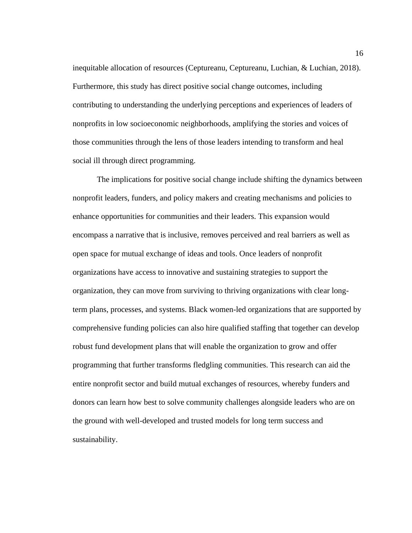inequitable allocation of resources (Ceptureanu, Ceptureanu, Luchian, & Luchian, 2018). Furthermore, this study has direct positive social change outcomes, including contributing to understanding the underlying perceptions and experiences of leaders of nonprofits in low socioeconomic neighborhoods, amplifying the stories and voices of those communities through the lens of those leaders intending to transform and heal social ill through direct programming.

The implications for positive social change include shifting the dynamics between nonprofit leaders, funders, and policy makers and creating mechanisms and policies to enhance opportunities for communities and their leaders. This expansion would encompass a narrative that is inclusive, removes perceived and real barriers as well as open space for mutual exchange of ideas and tools. Once leaders of nonprofit organizations have access to innovative and sustaining strategies to support the organization, they can move from surviving to thriving organizations with clear longterm plans, processes, and systems. Black women-led organizations that are supported by comprehensive funding policies can also hire qualified staffing that together can develop robust fund development plans that will enable the organization to grow and offer programming that further transforms fledgling communities. This research can aid the entire nonprofit sector and build mutual exchanges of resources, whereby funders and donors can learn how best to solve community challenges alongside leaders who are on the ground with well-developed and trusted models for long term success and sustainability.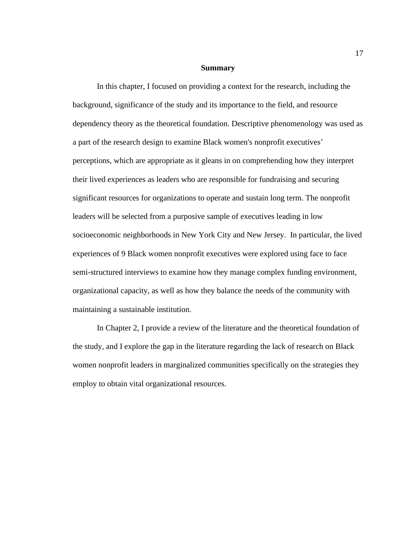#### **Summary**

<span id="page-29-0"></span>In this chapter, I focused on providing a context for the research, including the background, significance of the study and its importance to the field, and resource dependency theory as the theoretical foundation. Descriptive phenomenology was used as a part of the research design to examine Black women's nonprofit executives' perceptions, which are appropriate as it gleans in on comprehending how they interpret their lived experiences as leaders who are responsible for fundraising and securing significant resources for organizations to operate and sustain long term. The nonprofit leaders will be selected from a purposive sample of executives leading in low socioeconomic neighborhoods in New York City and New Jersey. In particular, the lived experiences of 9 Black women nonprofit executives were explored using face to face semi-structured interviews to examine how they manage complex funding environment, organizational capacity, as well as how they balance the needs of the community with maintaining a sustainable institution.

In Chapter 2, I provide a review of the literature and the theoretical foundation of the study, and I explore the gap in the literature regarding the lack of research on Black women nonprofit leaders in marginalized communities specifically on the strategies they employ to obtain vital organizational resources.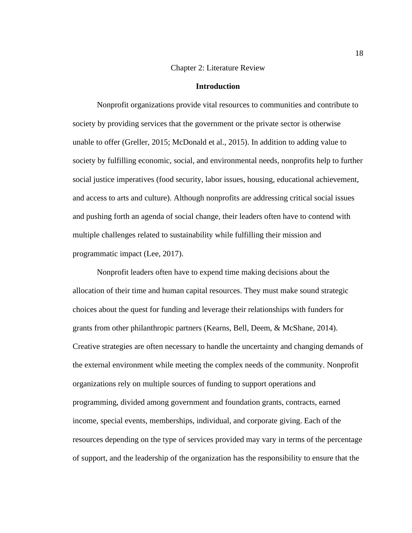#### Chapter 2: Literature Review

#### **Introduction**

<span id="page-30-1"></span><span id="page-30-0"></span>Nonprofit organizations provide vital resources to communities and contribute to society by providing services that the government or the private sector is otherwise unable to offer (Greller, 2015; McDonald et al., 2015). In addition to adding value to society by fulfilling economic, social, and environmental needs, nonprofits help to further social justice imperatives (food security, labor issues, housing, educational achievement, and access to arts and culture). Although nonprofits are addressing critical social issues and pushing forth an agenda of social change, their leaders often have to contend with multiple challenges related to sustainability while fulfilling their mission and programmatic impact (Lee, 2017).

Nonprofit leaders often have to expend time making decisions about the allocation of their time and human capital resources. They must make sound strategic choices about the quest for funding and leverage their relationships with funders for grants from other philanthropic partners (Kearns, Bell, Deem, & McShane, 2014). Creative strategies are often necessary to handle the uncertainty and changing demands of the external environment while meeting the complex needs of the community. Nonprofit organizations rely on multiple sources of funding to support operations and programming, divided among government and foundation grants, contracts, earned income, special events, memberships, individual, and corporate giving. Each of the resources depending on the type of services provided may vary in terms of the percentage of support, and the leadership of the organization has the responsibility to ensure that the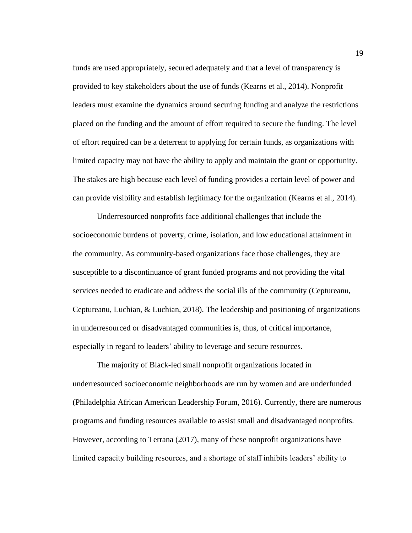funds are used appropriately, secured adequately and that a level of transparency is provided to key stakeholders about the use of funds (Kearns et al., 2014). Nonprofit leaders must examine the dynamics around securing funding and analyze the restrictions placed on the funding and the amount of effort required to secure the funding. The level of effort required can be a deterrent to applying for certain funds, as organizations with limited capacity may not have the ability to apply and maintain the grant or opportunity. The stakes are high because each level of funding provides a certain level of power and can provide visibility and establish legitimacy for the organization (Kearns et al., 2014).

Underresourced nonprofits face additional challenges that include the socioeconomic burdens of poverty, crime, isolation, and low educational attainment in the community. As community-based organizations face those challenges, they are susceptible to a discontinuance of grant funded programs and not providing the vital services needed to eradicate and address the social ills of the community (Ceptureanu, Ceptureanu, Luchian, & Luchian, 2018). The leadership and positioning of organizations in underresourced or disadvantaged communities is, thus, of critical importance, especially in regard to leaders' ability to leverage and secure resources.

The majority of Black-led small nonprofit organizations located in underresourced socioeconomic neighborhoods are run by women and are underfunded (Philadelphia African American Leadership Forum, 2016). Currently, there are numerous programs and funding resources available to assist small and disadvantaged nonprofits. However, according to Terrana (2017), many of these nonprofit organizations have limited capacity building resources, and a shortage of staff inhibits leaders' ability to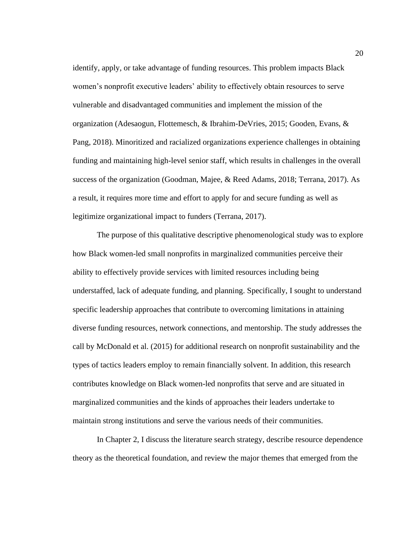identify, apply, or take advantage of funding resources. This problem impacts Black women's nonprofit executive leaders' ability to effectively obtain resources to serve vulnerable and disadvantaged communities and implement the mission of the organization (Adesaogun, Flottemesch, & Ibrahim-DeVries, 2015; Gooden, Evans, & Pang, 2018). Minoritized and racialized organizations experience challenges in obtaining funding and maintaining high-level senior staff, which results in challenges in the overall success of the organization (Goodman, Majee, & Reed Adams, 2018; Terrana, 2017). As a result, it requires more time and effort to apply for and secure funding as well as legitimize organizational impact to funders (Terrana, 2017).

The purpose of this qualitative descriptive phenomenological study was to explore how Black women-led small nonprofits in marginalized communities perceive their ability to effectively provide services with limited resources including being understaffed, lack of adequate funding, and planning. Specifically, I sought to understand specific leadership approaches that contribute to overcoming limitations in attaining diverse funding resources, network connections, and mentorship. The study addresses the call by McDonald et al. (2015) for additional research on nonprofit sustainability and the types of tactics leaders employ to remain financially solvent. In addition, this research contributes knowledge on Black women-led nonprofits that serve and are situated in marginalized communities and the kinds of approaches their leaders undertake to maintain strong institutions and serve the various needs of their communities.

In Chapter 2, I discuss the literature search strategy, describe resource dependence theory as the theoretical foundation, and review the major themes that emerged from the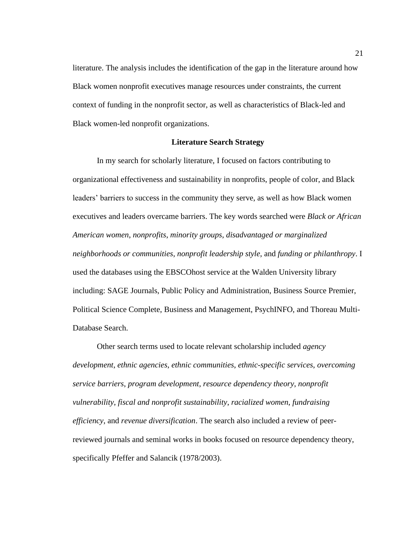literature. The analysis includes the identification of the gap in the literature around how Black women nonprofit executives manage resources under constraints, the current context of funding in the nonprofit sector, as well as characteristics of Black-led and Black women-led nonprofit organizations.

#### **Literature Search Strategy**

<span id="page-33-0"></span>In my search for scholarly literature, I focused on factors contributing to organizational effectiveness and sustainability in nonprofits, people of color, and Black leaders' barriers to success in the community they serve, as well as how Black women executives and leaders overcame barriers. The key words searched were *Black or African American women*, *nonprofits*, *minority groups*, *disadvantaged or marginalized neighborhoods or communities*, *nonprofit leadership style*, and *funding or philanthropy*. I used the databases using the EBSCOhost service at the Walden University library including: SAGE Journals, Public Policy and Administration, Business Source Premier, Political Science Complete, Business and Management, PsychINFO, and Thoreau Multi-Database Search.

Other search terms used to locate relevant scholarship included *agency development*, *ethnic agencies*, *ethnic communities*, *ethnic-specific services*, *overcoming service barriers*, *program development*, *resource dependency theory*, *nonprofit vulnerability*, *fiscal and nonprofit sustainability*, *racialized women*, *fundraising efficiency*, and *revenue diversification*. The search also included a review of peerreviewed journals and seminal works in books focused on resource dependency theory, specifically Pfeffer and Salancik (1978/2003).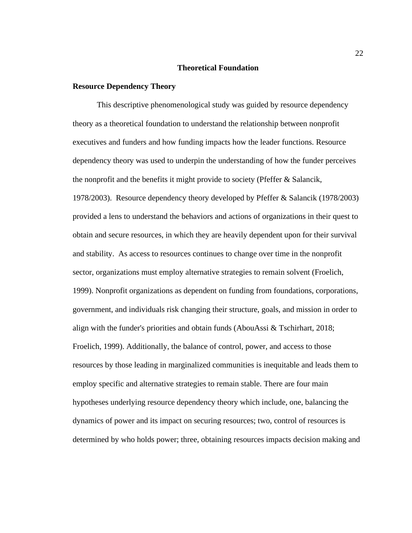#### **Theoretical Foundation**

#### <span id="page-34-1"></span><span id="page-34-0"></span>**Resource Dependency Theory**

This descriptive phenomenological study was guided by resource dependency theory as a theoretical foundation to understand the relationship between nonprofit executives and funders and how funding impacts how the leader functions. Resource dependency theory was used to underpin the understanding of how the funder perceives the nonprofit and the benefits it might provide to society (Pfeffer & Salancik, 1978/2003). Resource dependency theory developed by Pfeffer & Salancik (1978/2003) provided a lens to understand the behaviors and actions of organizations in their quest to obtain and secure resources, in which they are heavily dependent upon for their survival and stability. As access to resources continues to change over time in the nonprofit sector, organizations must employ alternative strategies to remain solvent (Froelich, 1999). Nonprofit organizations as dependent on funding from foundations, corporations, government, and individuals risk changing their structure, goals, and mission in order to align with the funder's priorities and obtain funds (AbouAssi & Tschirhart, 2018; Froelich, 1999). Additionally, the balance of control, power, and access to those resources by those leading in marginalized communities is inequitable and leads them to employ specific and alternative strategies to remain stable. There are four main hypotheses underlying resource dependency theory which include, one, balancing the dynamics of power and its impact on securing resources; two, control of resources is determined by who holds power; three, obtaining resources impacts decision making and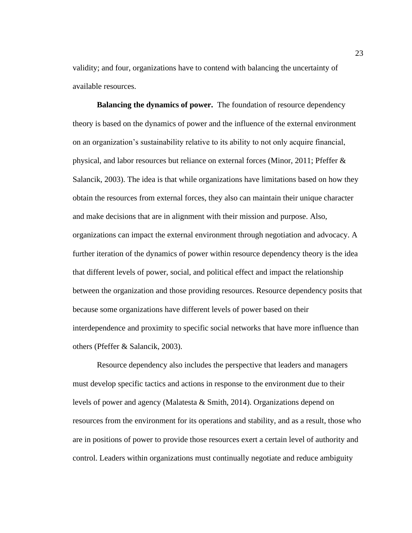validity; and four, organizations have to contend with balancing the uncertainty of available resources.

**Balancing the dynamics of power.** The foundation of resource dependency theory is based on the dynamics of power and the influence of the external environment on an organization's sustainability relative to its ability to not only acquire financial, physical, and labor resources but reliance on external forces (Minor, 2011; Pfeffer & Salancik, 2003). The idea is that while organizations have limitations based on how they obtain the resources from external forces, they also can maintain their unique character and make decisions that are in alignment with their mission and purpose. Also, organizations can impact the external environment through negotiation and advocacy. A further iteration of the dynamics of power within resource dependency theory is the idea that different levels of power, social, and political effect and impact the relationship between the organization and those providing resources. Resource dependency posits that because some organizations have different levels of power based on their interdependence and proximity to specific social networks that have more influence than others (Pfeffer & Salancik, 2003).

Resource dependency also includes the perspective that leaders and managers must develop specific tactics and actions in response to the environment due to their levels of power and agency (Malatesta  $&$  Smith, 2014). Organizations depend on resources from the environment for its operations and stability, and as a result, those who are in positions of power to provide those resources exert a certain level of authority and control. Leaders within organizations must continually negotiate and reduce ambiguity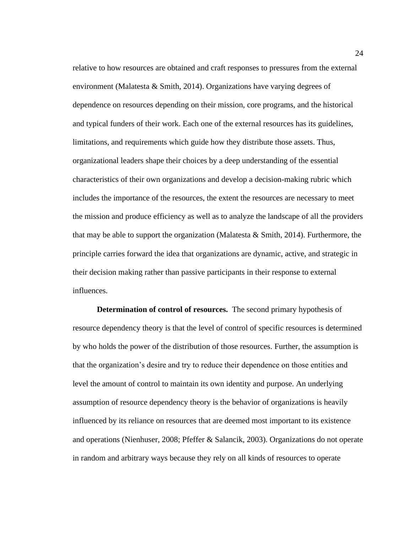relative to how resources are obtained and craft responses to pressures from the external environment (Malatesta  $&$  Smith, 2014). Organizations have varying degrees of dependence on resources depending on their mission, core programs, and the historical and typical funders of their work. Each one of the external resources has its guidelines, limitations, and requirements which guide how they distribute those assets. Thus, organizational leaders shape their choices by a deep understanding of the essential characteristics of their own organizations and develop a decision-making rubric which includes the importance of the resources, the extent the resources are necessary to meet the mission and produce efficiency as well as to analyze the landscape of all the providers that may be able to support the organization (Malatesta & Smith, 2014). Furthermore, the principle carries forward the idea that organizations are dynamic, active, and strategic in their decision making rather than passive participants in their response to external influences.

**Determination of control of resources.** The second primary hypothesis of resource dependency theory is that the level of control of specific resources is determined by who holds the power of the distribution of those resources. Further, the assumption is that the organization's desire and try to reduce their dependence on those entities and level the amount of control to maintain its own identity and purpose. An underlying assumption of resource dependency theory is the behavior of organizations is heavily influenced by its reliance on resources that are deemed most important to its existence and operations (Nienhuser, 2008; Pfeffer & Salancik, 2003). Organizations do not operate in random and arbitrary ways because they rely on all kinds of resources to operate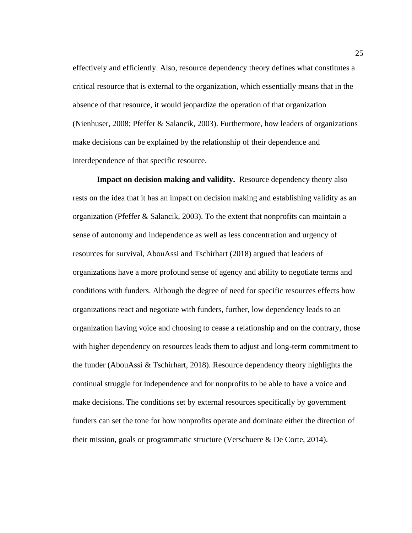effectively and efficiently. Also, resource dependency theory defines what constitutes a critical resource that is external to the organization, which essentially means that in the absence of that resource, it would jeopardize the operation of that organization (Nienhuser, 2008; Pfeffer & Salancik, 2003). Furthermore, how leaders of organizations make decisions can be explained by the relationship of their dependence and interdependence of that specific resource.

**Impact on decision making and validity.** Resource dependency theory also rests on the idea that it has an impact on decision making and establishing validity as an organization (Pfeffer & Salancik, 2003). To the extent that nonprofits can maintain a sense of autonomy and independence as well as less concentration and urgency of resources for survival, AbouAssi and Tschirhart (2018) argued that leaders of organizations have a more profound sense of agency and ability to negotiate terms and conditions with funders. Although the degree of need for specific resources effects how organizations react and negotiate with funders, further, low dependency leads to an organization having voice and choosing to cease a relationship and on the contrary, those with higher dependency on resources leads them to adjust and long-term commitment to the funder (AbouAssi  $\&$  Tschirhart, 2018). Resource dependency theory highlights the continual struggle for independence and for nonprofits to be able to have a voice and make decisions. The conditions set by external resources specifically by government funders can set the tone for how nonprofits operate and dominate either the direction of their mission, goals or programmatic structure (Verschuere & De Corte, 2014).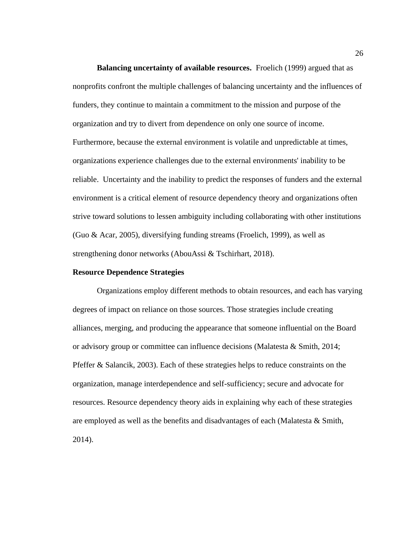**Balancing uncertainty of available resources.** Froelich (1999) argued that as nonprofits confront the multiple challenges of balancing uncertainty and the influences of funders, they continue to maintain a commitment to the mission and purpose of the organization and try to divert from dependence on only one source of income. Furthermore, because the external environment is volatile and unpredictable at times, organizations experience challenges due to the external environments' inability to be reliable. Uncertainty and the inability to predict the responses of funders and the external environment is a critical element of resource dependency theory and organizations often strive toward solutions to lessen ambiguity including collaborating with other institutions (Guo & Acar, 2005), diversifying funding streams (Froelich, 1999), as well as strengthening donor networks (AbouAssi & Tschirhart, 2018).

# **Resource Dependence Strategies**

Organizations employ different methods to obtain resources, and each has varying degrees of impact on reliance on those sources. Those strategies include creating alliances, merging, and producing the appearance that someone influential on the Board or advisory group or committee can influence decisions (Malatesta & Smith, 2014; Pfeffer & Salancik, 2003). Each of these strategies helps to reduce constraints on the organization, manage interdependence and self-sufficiency; secure and advocate for resources. Resource dependency theory aids in explaining why each of these strategies are employed as well as the benefits and disadvantages of each (Malatesta & Smith, 2014).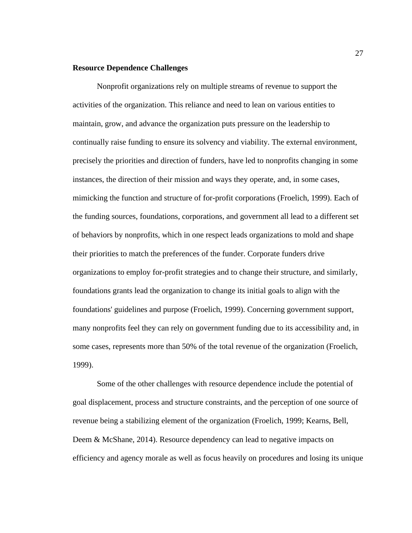# **Resource Dependence Challenges**

Nonprofit organizations rely on multiple streams of revenue to support the activities of the organization. This reliance and need to lean on various entities to maintain, grow, and advance the organization puts pressure on the leadership to continually raise funding to ensure its solvency and viability. The external environment, precisely the priorities and direction of funders, have led to nonprofits changing in some instances, the direction of their mission and ways they operate, and, in some cases, mimicking the function and structure of for-profit corporations (Froelich, 1999). Each of the funding sources, foundations, corporations, and government all lead to a different set of behaviors by nonprofits, which in one respect leads organizations to mold and shape their priorities to match the preferences of the funder. Corporate funders drive organizations to employ for-profit strategies and to change their structure, and similarly, foundations grants lead the organization to change its initial goals to align with the foundations' guidelines and purpose (Froelich, 1999). Concerning government support, many nonprofits feel they can rely on government funding due to its accessibility and, in some cases, represents more than 50% of the total revenue of the organization (Froelich, 1999).

Some of the other challenges with resource dependence include the potential of goal displacement, process and structure constraints, and the perception of one source of revenue being a stabilizing element of the organization (Froelich, 1999; Kearns, Bell, Deem & McShane, 2014). Resource dependency can lead to negative impacts on efficiency and agency morale as well as focus heavily on procedures and losing its unique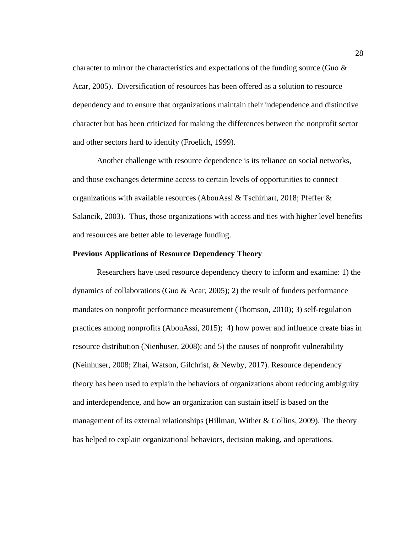character to mirror the characteristics and expectations of the funding source (Guo  $\&$ Acar, 2005). Diversification of resources has been offered as a solution to resource dependency and to ensure that organizations maintain their independence and distinctive character but has been criticized for making the differences between the nonprofit sector and other sectors hard to identify (Froelich, 1999).

Another challenge with resource dependence is its reliance on social networks, and those exchanges determine access to certain levels of opportunities to connect organizations with available resources (AbouAssi & Tschirhart, 2018; Pfeffer & Salancik, 2003). Thus, those organizations with access and ties with higher level benefits and resources are better able to leverage funding.

# **Previous Applications of Resource Dependency Theory**

Researchers have used resource dependency theory to inform and examine: 1) the dynamics of collaborations (Guo & Acar, 2005); 2) the result of funders performance mandates on nonprofit performance measurement (Thomson, 2010); 3) self-regulation practices among nonprofits (AbouAssi, 2015); 4) how power and influence create bias in resource distribution (Nienhuser, 2008); and 5) the causes of nonprofit vulnerability (Neinhuser, 2008; Zhai, Watson, Gilchrist, & Newby, 2017). Resource dependency theory has been used to explain the behaviors of organizations about reducing ambiguity and interdependence, and how an organization can sustain itself is based on the management of its external relationships (Hillman, Wither  $\&$  Collins, 2009). The theory has helped to explain organizational behaviors, decision making, and operations.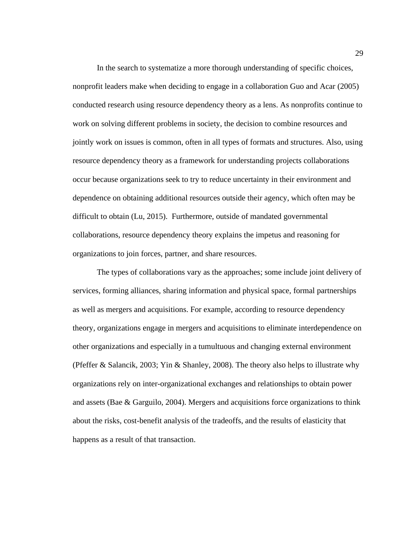In the search to systematize a more thorough understanding of specific choices, nonprofit leaders make when deciding to engage in a collaboration Guo and Acar (2005) conducted research using resource dependency theory as a lens. As nonprofits continue to work on solving different problems in society, the decision to combine resources and jointly work on issues is common, often in all types of formats and structures. Also, using resource dependency theory as a framework for understanding projects collaborations occur because organizations seek to try to reduce uncertainty in their environment and dependence on obtaining additional resources outside their agency, which often may be difficult to obtain (Lu, 2015). Furthermore, outside of mandated governmental collaborations, resource dependency theory explains the impetus and reasoning for organizations to join forces, partner, and share resources.

The types of collaborations vary as the approaches; some include joint delivery of services, forming alliances, sharing information and physical space, formal partnerships as well as mergers and acquisitions. For example, according to resource dependency theory, organizations engage in mergers and acquisitions to eliminate interdependence on other organizations and especially in a tumultuous and changing external environment (Pfeffer & Salancik, 2003; Yin & Shanley, 2008). The theory also helps to illustrate why organizations rely on inter-organizational exchanges and relationships to obtain power and assets (Bae & Garguilo, 2004). Mergers and acquisitions force organizations to think about the risks, cost-benefit analysis of the tradeoffs, and the results of elasticity that happens as a result of that transaction.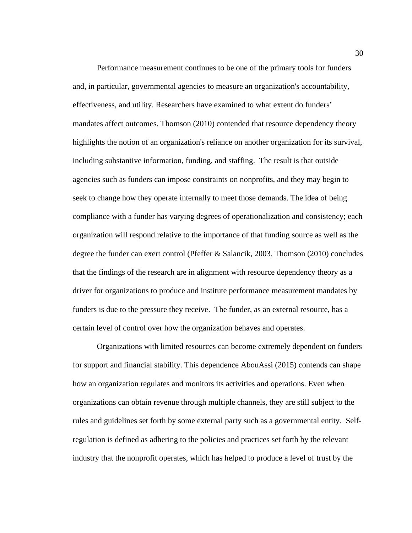Performance measurement continues to be one of the primary tools for funders and, in particular, governmental agencies to measure an organization's accountability, effectiveness, and utility. Researchers have examined to what extent do funders' mandates affect outcomes. Thomson (2010) contended that resource dependency theory highlights the notion of an organization's reliance on another organization for its survival, including substantive information, funding, and staffing. The result is that outside agencies such as funders can impose constraints on nonprofits, and they may begin to seek to change how they operate internally to meet those demands. The idea of being compliance with a funder has varying degrees of operationalization and consistency; each organization will respond relative to the importance of that funding source as well as the degree the funder can exert control (Pfeffer & Salancik, 2003. Thomson (2010) concludes that the findings of the research are in alignment with resource dependency theory as a driver for organizations to produce and institute performance measurement mandates by funders is due to the pressure they receive. The funder, as an external resource, has a certain level of control over how the organization behaves and operates.

Organizations with limited resources can become extremely dependent on funders for support and financial stability. This dependence AbouAssi (2015) contends can shape how an organization regulates and monitors its activities and operations. Even when organizations can obtain revenue through multiple channels, they are still subject to the rules and guidelines set forth by some external party such as a governmental entity. Selfregulation is defined as adhering to the policies and practices set forth by the relevant industry that the nonprofit operates, which has helped to produce a level of trust by the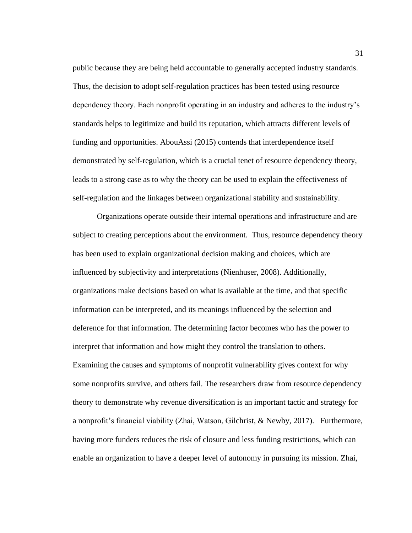public because they are being held accountable to generally accepted industry standards. Thus, the decision to adopt self-regulation practices has been tested using resource dependency theory. Each nonprofit operating in an industry and adheres to the industry's standards helps to legitimize and build its reputation, which attracts different levels of funding and opportunities. AbouAssi (2015) contends that interdependence itself demonstrated by self-regulation, which is a crucial tenet of resource dependency theory, leads to a strong case as to why the theory can be used to explain the effectiveness of self-regulation and the linkages between organizational stability and sustainability.

Organizations operate outside their internal operations and infrastructure and are subject to creating perceptions about the environment. Thus, resource dependency theory has been used to explain organizational decision making and choices, which are influenced by subjectivity and interpretations (Nienhuser, 2008). Additionally, organizations make decisions based on what is available at the time, and that specific information can be interpreted, and its meanings influenced by the selection and deference for that information. The determining factor becomes who has the power to interpret that information and how might they control the translation to others. Examining the causes and symptoms of nonprofit vulnerability gives context for why some nonprofits survive, and others fail. The researchers draw from resource dependency theory to demonstrate why revenue diversification is an important tactic and strategy for a nonprofit's financial viability (Zhai, Watson, Gilchrist, & Newby, 2017). Furthermore, having more funders reduces the risk of closure and less funding restrictions, which can enable an organization to have a deeper level of autonomy in pursuing its mission. Zhai,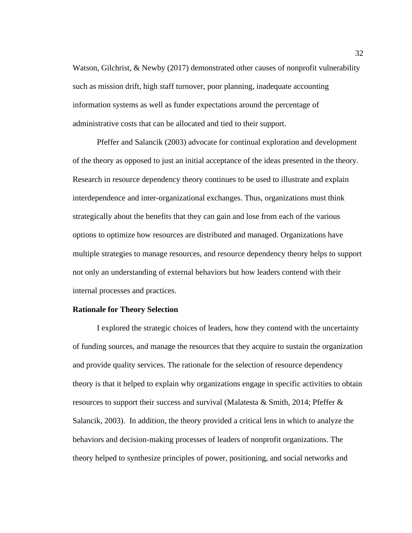Watson, Gilchrist, & Newby (2017) demonstrated other causes of nonprofit vulnerability such as mission drift, high staff turnover, poor planning, inadequate accounting information systems as well as funder expectations around the percentage of administrative costs that can be allocated and tied to their support.

Pfeffer and Salancik (2003) advocate for continual exploration and development of the theory as opposed to just an initial acceptance of the ideas presented in the theory. Research in resource dependency theory continues to be used to illustrate and explain interdependence and inter-organizational exchanges. Thus, organizations must think strategically about the benefits that they can gain and lose from each of the various options to optimize how resources are distributed and managed. Organizations have multiple strategies to manage resources, and resource dependency theory helps to support not only an understanding of external behaviors but how leaders contend with their internal processes and practices.

### **Rationale for Theory Selection**

I explored the strategic choices of leaders, how they contend with the uncertainty of funding sources, and manage the resources that they acquire to sustain the organization and provide quality services. The rationale for the selection of resource dependency theory is that it helped to explain why organizations engage in specific activities to obtain resources to support their success and survival (Malatesta & Smith, 2014; Pfeffer & Salancik, 2003). In addition, the theory provided a critical lens in which to analyze the behaviors and decision-making processes of leaders of nonprofit organizations. The theory helped to synthesize principles of power, positioning, and social networks and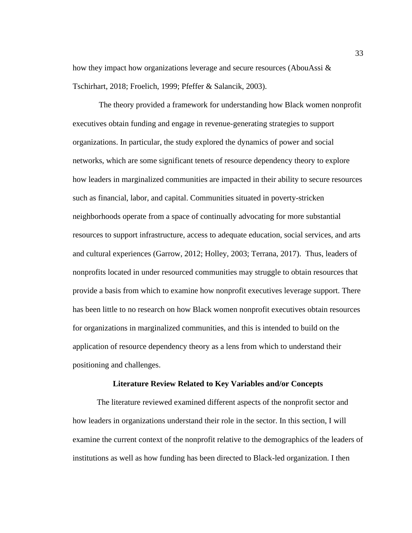how they impact how organizations leverage and secure resources (AbouAssi & Tschirhart, 2018; Froelich, 1999; Pfeffer & Salancik, 2003).

The theory provided a framework for understanding how Black women nonprofit executives obtain funding and engage in revenue-generating strategies to support organizations. In particular, the study explored the dynamics of power and social networks, which are some significant tenets of resource dependency theory to explore how leaders in marginalized communities are impacted in their ability to secure resources such as financial, labor, and capital. Communities situated in poverty-stricken neighborhoods operate from a space of continually advocating for more substantial resources to support infrastructure, access to adequate education, social services, and arts and cultural experiences (Garrow, 2012; Holley, 2003; Terrana, 2017). Thus, leaders of nonprofits located in under resourced communities may struggle to obtain resources that provide a basis from which to examine how nonprofit executives leverage support. There has been little to no research on how Black women nonprofit executives obtain resources for organizations in marginalized communities, and this is intended to build on the application of resource dependency theory as a lens from which to understand their positioning and challenges.

### **Literature Review Related to Key Variables and/or Concepts**

The literature reviewed examined different aspects of the nonprofit sector and how leaders in organizations understand their role in the sector. In this section, I will examine the current context of the nonprofit relative to the demographics of the leaders of institutions as well as how funding has been directed to Black-led organization. I then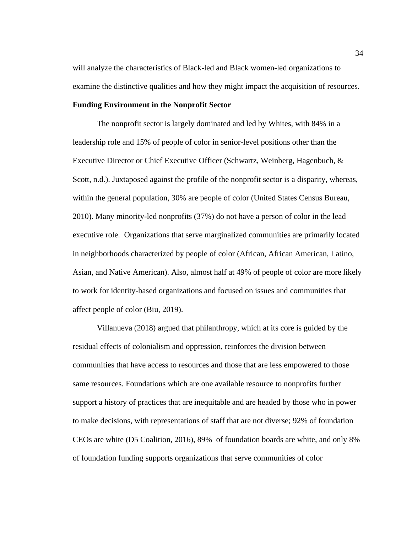will analyze the characteristics of Black-led and Black women-led organizations to examine the distinctive qualities and how they might impact the acquisition of resources.

### **Funding Environment in the Nonprofit Sector**

The nonprofit sector is largely dominated and led by Whites, with 84% in a leadership role and 15% of people of color in senior-level positions other than the Executive Director or Chief Executive Officer (Schwartz, Weinberg, Hagenbuch, & Scott, n.d.). Juxtaposed against the profile of the nonprofit sector is a disparity, whereas, within the general population, 30% are people of color (United States Census Bureau, 2010). Many minority-led nonprofits (37%) do not have a person of color in the lead executive role. Organizations that serve marginalized communities are primarily located in neighborhoods characterized by people of color (African, African American, Latino, Asian, and Native American). Also, almost half at 49% of people of color are more likely to work for identity-based organizations and focused on issues and communities that affect people of color (Biu, 2019).

Villanueva (2018) argued that philanthropy, which at its core is guided by the residual effects of colonialism and oppression, reinforces the division between communities that have access to resources and those that are less empowered to those same resources. Foundations which are one available resource to nonprofits further support a history of practices that are inequitable and are headed by those who in power to make decisions, with representations of staff that are not diverse; 92% of foundation CEOs are white (D5 Coalition, 2016), 89% of foundation boards are white, and only 8% of foundation funding supports organizations that serve communities of color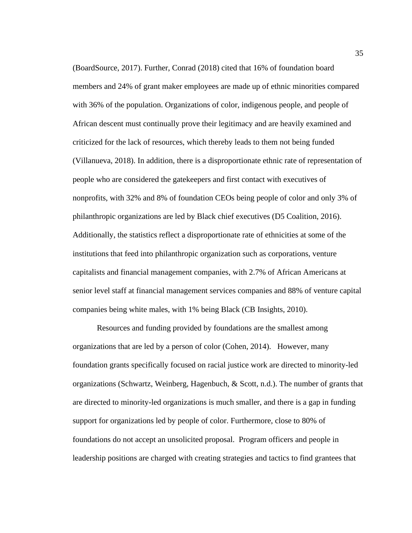(BoardSource, 2017). Further, Conrad (2018) cited that 16% of foundation board members and 24% of grant maker employees are made up of ethnic minorities compared with 36% of the population. Organizations of color, indigenous people, and people of African descent must continually prove their legitimacy and are heavily examined and criticized for the lack of resources, which thereby leads to them not being funded (Villanueva, 2018). In addition, there is a disproportionate ethnic rate of representation of people who are considered the gatekeepers and first contact with executives of nonprofits, with 32% and 8% of foundation CEOs being people of color and only 3% of philanthropic organizations are led by Black chief executives (D5 Coalition, 2016). Additionally, the statistics reflect a disproportionate rate of ethnicities at some of the institutions that feed into philanthropic organization such as corporations, venture capitalists and financial management companies, with 2.7% of African Americans at senior level staff at financial management services companies and 88% of venture capital companies being white males, with 1% being Black (CB Insights, 2010).

Resources and funding provided by foundations are the smallest among organizations that are led by a person of color (Cohen, 2014). However, many foundation grants specifically focused on racial justice work are directed to minority-led organizations (Schwartz, Weinberg, Hagenbuch, & Scott, n.d.). The number of grants that are directed to minority-led organizations is much smaller, and there is a gap in funding support for organizations led by people of color. Furthermore, close to 80% of foundations do not accept an unsolicited proposal. Program officers and people in leadership positions are charged with creating strategies and tactics to find grantees that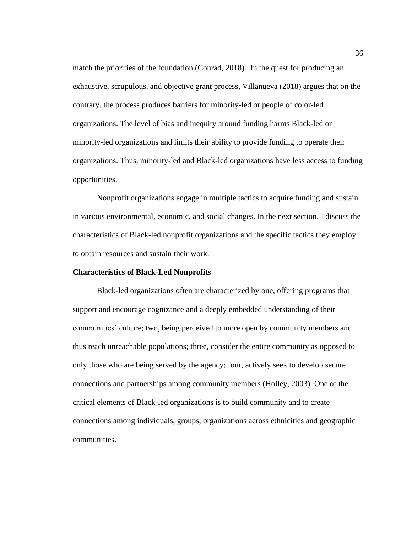match the priorities of the foundation (Conrad, 2018). In the quest for producing an exhaustive, scrupulous, and objective grant process, Villanueva (2018) argues that on the contrary, the process produces barriers for minority-led or people of color-led organizations. The level of bias and inequity around funding harms Black-led or minority-led organizations and limits their ability to provide funding to operate their organizations. Thus, minority-led and Black-led organizations have less access to funding opportunities.

Nonprofit organizations engage in multiple tactics to acquire funding and sustain in various environmental, economic, and social changes. In the next section, I discuss the characteristics of Black-led nonprofit organizations and the specific tactics they employ to obtain resources and sustain their work.

### **Characteristics of Black-Led Nonprofits**

Black-led organizations often are characterized by one, offering programs that support and encourage cognizance and a deeply embedded understanding of their communities' culture; two, being perceived to more open by community members and thus reach unreachable populations; three, consider the entire community as opposed to only those who are being served by the agency; four, actively seek to develop secure connections and partnerships among community members (Holley, 2003). One of the critical elements of Black-led organizations is to build community and to create connections among individuals, groups, organizations across ethnicities and geographic communities.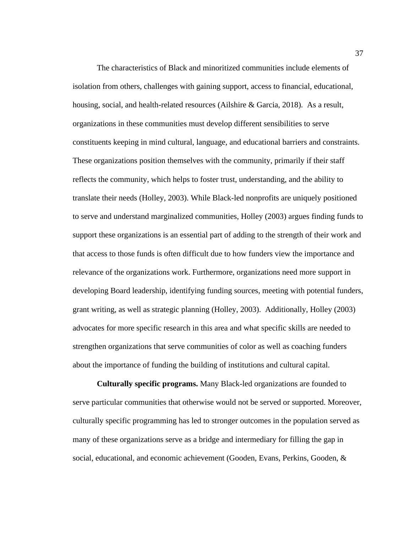The characteristics of Black and minoritized communities include elements of isolation from others, challenges with gaining support, access to financial, educational, housing, social, and health-related resources (Ailshire & Garcia, 2018). As a result, organizations in these communities must develop different sensibilities to serve constituents keeping in mind cultural, language, and educational barriers and constraints. These organizations position themselves with the community, primarily if their staff reflects the community, which helps to foster trust, understanding, and the ability to translate their needs (Holley, 2003). While Black-led nonprofits are uniquely positioned to serve and understand marginalized communities, Holley (2003) argues finding funds to support these organizations is an essential part of adding to the strength of their work and that access to those funds is often difficult due to how funders view the importance and relevance of the organizations work. Furthermore, organizations need more support in developing Board leadership, identifying funding sources, meeting with potential funders, grant writing, as well as strategic planning (Holley, 2003). Additionally, Holley (2003) advocates for more specific research in this area and what specific skills are needed to strengthen organizations that serve communities of color as well as coaching funders about the importance of funding the building of institutions and cultural capital.

**Culturally specific programs.** Many Black-led organizations are founded to serve particular communities that otherwise would not be served or supported. Moreover, culturally specific programming has led to stronger outcomes in the population served as many of these organizations serve as a bridge and intermediary for filling the gap in social, educational, and economic achievement (Gooden, Evans, Perkins, Gooden, &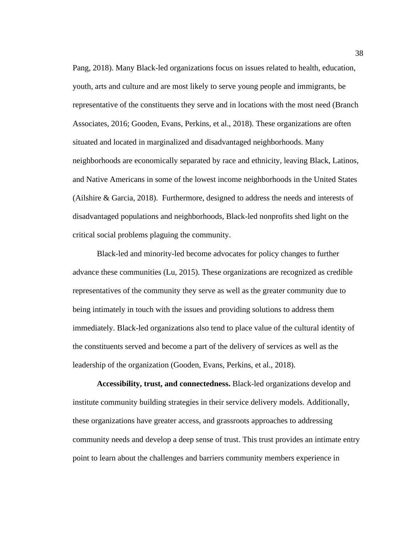Pang, 2018). Many Black-led organizations focus on issues related to health, education, youth, arts and culture and are most likely to serve young people and immigrants, be representative of the constituents they serve and in locations with the most need (Branch Associates, 2016; Gooden, Evans, Perkins, et al., 2018). These organizations are often situated and located in marginalized and disadvantaged neighborhoods. Many neighborhoods are economically separated by race and ethnicity, leaving Black, Latinos, and Native Americans in some of the lowest income neighborhoods in the United States (Ailshire & Garcia, 2018). Furthermore, designed to address the needs and interests of disadvantaged populations and neighborhoods, Black-led nonprofits shed light on the critical social problems plaguing the community.

Black-led and minority-led become advocates for policy changes to further advance these communities (Lu, 2015). These organizations are recognized as credible representatives of the community they serve as well as the greater community due to being intimately in touch with the issues and providing solutions to address them immediately. Black-led organizations also tend to place value of the cultural identity of the constituents served and become a part of the delivery of services as well as the leadership of the organization (Gooden, Evans, Perkins, et al., 2018).

**Accessibility, trust, and connectedness.** Black-led organizations develop and institute community building strategies in their service delivery models. Additionally, these organizations have greater access, and grassroots approaches to addressing community needs and develop a deep sense of trust. This trust provides an intimate entry point to learn about the challenges and barriers community members experience in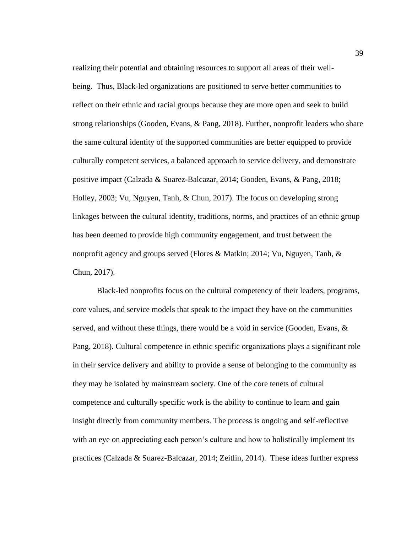realizing their potential and obtaining resources to support all areas of their wellbeing. Thus, Black-led organizations are positioned to serve better communities to reflect on their ethnic and racial groups because they are more open and seek to build strong relationships (Gooden, Evans, & Pang, 2018). Further, nonprofit leaders who share the same cultural identity of the supported communities are better equipped to provide culturally competent services, a balanced approach to service delivery, and demonstrate positive impact (Calzada & Suarez-Balcazar, 2014; Gooden, Evans, & Pang, 2018; Holley, 2003; Vu, Nguyen, Tanh, & Chun, 2017). The focus on developing strong linkages between the cultural identity, traditions, norms, and practices of an ethnic group has been deemed to provide high community engagement, and trust between the nonprofit agency and groups served (Flores & Matkin; 2014; Vu, Nguyen, Tanh, & Chun, 2017).

Black-led nonprofits focus on the cultural competency of their leaders, programs, core values, and service models that speak to the impact they have on the communities served, and without these things, there would be a void in service (Gooden, Evans,  $\&$ Pang, 2018). Cultural competence in ethnic specific organizations plays a significant role in their service delivery and ability to provide a sense of belonging to the community as they may be isolated by mainstream society. One of the core tenets of cultural competence and culturally specific work is the ability to continue to learn and gain insight directly from community members. The process is ongoing and self-reflective with an eye on appreciating each person's culture and how to holistically implement its practices (Calzada & Suarez-Balcazar, 2014; Zeitlin, 2014). These ideas further express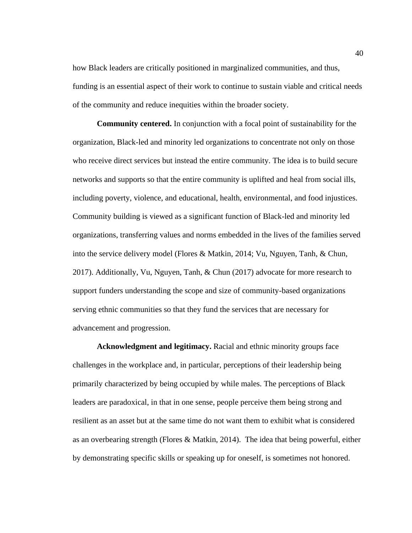how Black leaders are critically positioned in marginalized communities, and thus, funding is an essential aspect of their work to continue to sustain viable and critical needs of the community and reduce inequities within the broader society.

**Community centered.** In conjunction with a focal point of sustainability for the organization, Black-led and minority led organizations to concentrate not only on those who receive direct services but instead the entire community. The idea is to build secure networks and supports so that the entire community is uplifted and heal from social ills, including poverty, violence, and educational, health, environmental, and food injustices. Community building is viewed as a significant function of Black-led and minority led organizations, transferring values and norms embedded in the lives of the families served into the service delivery model (Flores & Matkin, 2014; Vu, Nguyen, Tanh, & Chun, 2017). Additionally, Vu, Nguyen, Tanh, & Chun (2017) advocate for more research to support funders understanding the scope and size of community-based organizations serving ethnic communities so that they fund the services that are necessary for advancement and progression.

**Acknowledgment and legitimacy.** Racial and ethnic minority groups face challenges in the workplace and, in particular, perceptions of their leadership being primarily characterized by being occupied by while males. The perceptions of Black leaders are paradoxical, in that in one sense, people perceive them being strong and resilient as an asset but at the same time do not want them to exhibit what is considered as an overbearing strength (Flores & Matkin, 2014). The idea that being powerful, either by demonstrating specific skills or speaking up for oneself, is sometimes not honored.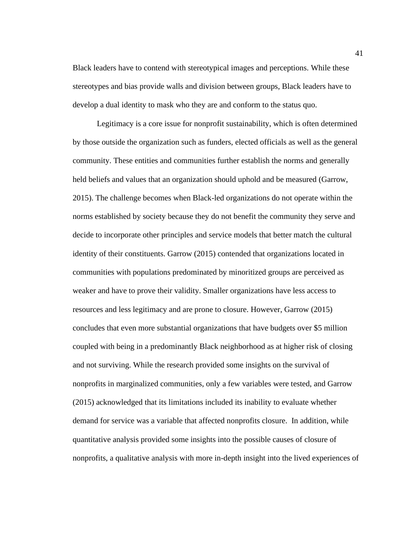Black leaders have to contend with stereotypical images and perceptions. While these stereotypes and bias provide walls and division between groups, Black leaders have to develop a dual identity to mask who they are and conform to the status quo.

Legitimacy is a core issue for nonprofit sustainability, which is often determined by those outside the organization such as funders, elected officials as well as the general community. These entities and communities further establish the norms and generally held beliefs and values that an organization should uphold and be measured (Garrow, 2015). The challenge becomes when Black-led organizations do not operate within the norms established by society because they do not benefit the community they serve and decide to incorporate other principles and service models that better match the cultural identity of their constituents. Garrow (2015) contended that organizations located in communities with populations predominated by minoritized groups are perceived as weaker and have to prove their validity. Smaller organizations have less access to resources and less legitimacy and are prone to closure. However, Garrow (2015) concludes that even more substantial organizations that have budgets over \$5 million coupled with being in a predominantly Black neighborhood as at higher risk of closing and not surviving. While the research provided some insights on the survival of nonprofits in marginalized communities, only a few variables were tested, and Garrow (2015) acknowledged that its limitations included its inability to evaluate whether demand for service was a variable that affected nonprofits closure. In addition, while quantitative analysis provided some insights into the possible causes of closure of nonprofits, a qualitative analysis with more in-depth insight into the lived experiences of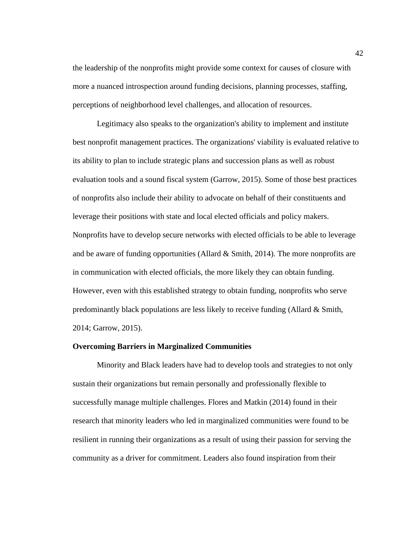the leadership of the nonprofits might provide some context for causes of closure with more a nuanced introspection around funding decisions, planning processes, staffing, perceptions of neighborhood level challenges, and allocation of resources.

Legitimacy also speaks to the organization's ability to implement and institute best nonprofit management practices. The organizations' viability is evaluated relative to its ability to plan to include strategic plans and succession plans as well as robust evaluation tools and a sound fiscal system (Garrow, 2015). Some of those best practices of nonprofits also include their ability to advocate on behalf of their constituents and leverage their positions with state and local elected officials and policy makers. Nonprofits have to develop secure networks with elected officials to be able to leverage and be aware of funding opportunities (Allard  $\&$  Smith, 2014). The more nonprofits are in communication with elected officials, the more likely they can obtain funding. However, even with this established strategy to obtain funding, nonprofits who serve predominantly black populations are less likely to receive funding (Allard & Smith, 2014; Garrow, 2015).

### **Overcoming Barriers in Marginalized Communities**

Minority and Black leaders have had to develop tools and strategies to not only sustain their organizations but remain personally and professionally flexible to successfully manage multiple challenges. Flores and Matkin (2014) found in their research that minority leaders who led in marginalized communities were found to be resilient in running their organizations as a result of using their passion for serving the community as a driver for commitment. Leaders also found inspiration from their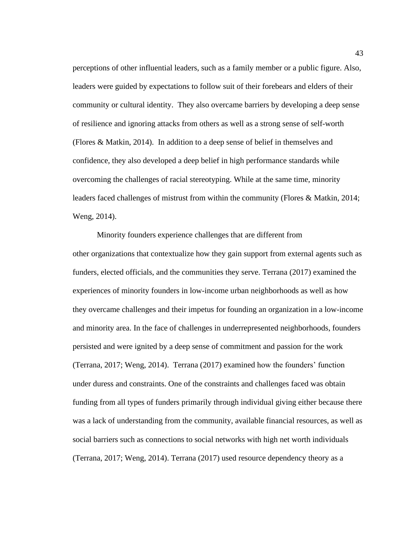perceptions of other influential leaders, such as a family member or a public figure. Also, leaders were guided by expectations to follow suit of their forebears and elders of their community or cultural identity. They also overcame barriers by developing a deep sense of resilience and ignoring attacks from others as well as a strong sense of self-worth (Flores & Matkin, 2014). In addition to a deep sense of belief in themselves and confidence, they also developed a deep belief in high performance standards while overcoming the challenges of racial stereotyping. While at the same time, minority leaders faced challenges of mistrust from within the community (Flores & Matkin, 2014; Weng, 2014).

Minority founders experience challenges that are different from other organizations that contextualize how they gain support from external agents such as funders, elected officials, and the communities they serve. Terrana (2017) examined the experiences of minority founders in low-income urban neighborhoods as well as how they overcame challenges and their impetus for founding an organization in a low-income and minority area. In the face of challenges in underrepresented neighborhoods, founders persisted and were ignited by a deep sense of commitment and passion for the work (Terrana, 2017; Weng, 2014). Terrana (2017) examined how the founders' function under duress and constraints. One of the constraints and challenges faced was obtain funding from all types of funders primarily through individual giving either because there was a lack of understanding from the community, available financial resources, as well as social barriers such as connections to social networks with high net worth individuals (Terrana, 2017; Weng, 2014). Terrana (2017) used resource dependency theory as a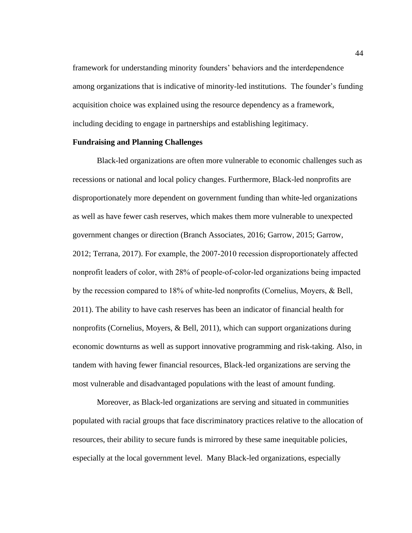framework for understanding minority founders' behaviors and the interdependence among organizations that is indicative of minority-led institutions. The founder's funding acquisition choice was explained using the resource dependency as a framework, including deciding to engage in partnerships and establishing legitimacy.

### **Fundraising and Planning Challenges**

Black-led organizations are often more vulnerable to economic challenges such as recessions or national and local policy changes. Furthermore, Black-led nonprofits are disproportionately more dependent on government funding than white-led organizations as well as have fewer cash reserves, which makes them more vulnerable to unexpected government changes or direction (Branch Associates, 2016; Garrow, 2015; Garrow, 2012; Terrana, 2017). For example, the 2007‐2010 recession disproportionately affected nonprofit leaders of color, with 28% of people‐of‐color‐led organizations being impacted by the recession compared to 18% of white‐led nonprofits (Cornelius, Moyers, & Bell, 2011). The ability to have cash reserves has been an indicator of financial health for nonprofits (Cornelius, Moyers, & Bell, 2011), which can support organizations during economic downturns as well as support innovative programming and risk-taking. Also, in tandem with having fewer financial resources, Black-led organizations are serving the most vulnerable and disadvantaged populations with the least of amount funding.

Moreover, as Black-led organizations are serving and situated in communities populated with racial groups that face discriminatory practices relative to the allocation of resources, their ability to secure funds is mirrored by these same inequitable policies, especially at the local government level. Many Black-led organizations, especially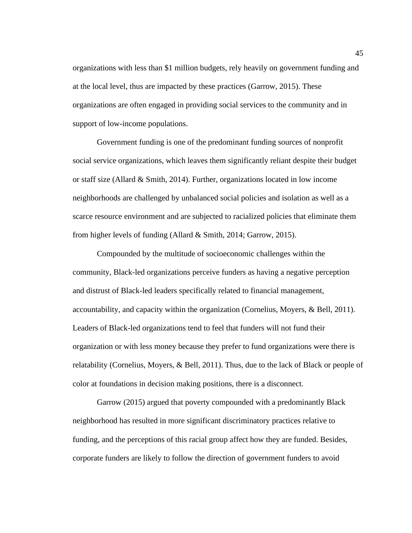organizations with less than \$1 million budgets, rely heavily on government funding and at the local level, thus are impacted by these practices (Garrow, 2015). These organizations are often engaged in providing social services to the community and in support of low-income populations.

Government funding is one of the predominant funding sources of nonprofit social service organizations, which leaves them significantly reliant despite their budget or staff size (Allard  $&$  Smith, 2014). Further, organizations located in low income neighborhoods are challenged by unbalanced social policies and isolation as well as a scarce resource environment and are subjected to racialized policies that eliminate them from higher levels of funding (Allard & Smith, 2014; Garrow, 2015).

Compounded by the multitude of socioeconomic challenges within the community, Black-led organizations perceive funders as having a negative perception and distrust of Black-led leaders specifically related to financial management, accountability, and capacity within the organization (Cornelius, Moyers, & Bell, 2011). Leaders of Black-led organizations tend to feel that funders will not fund their organization or with less money because they prefer to fund organizations were there is relatability (Cornelius, Moyers, & Bell, 2011). Thus, due to the lack of Black or people of color at foundations in decision making positions, there is a disconnect.

Garrow (2015) argued that poverty compounded with a predominantly Black neighborhood has resulted in more significant discriminatory practices relative to funding, and the perceptions of this racial group affect how they are funded. Besides, corporate funders are likely to follow the direction of government funders to avoid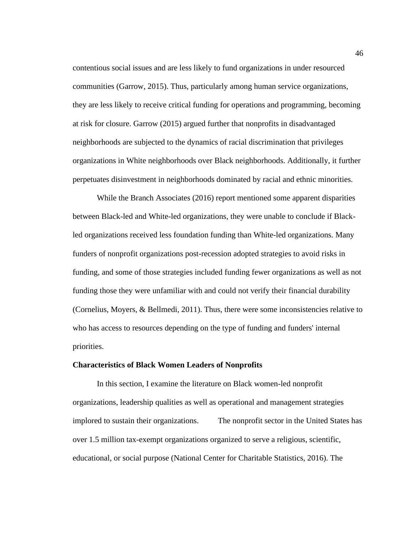contentious social issues and are less likely to fund organizations in under resourced communities (Garrow, 2015). Thus, particularly among human service organizations, they are less likely to receive critical funding for operations and programming, becoming at risk for closure. Garrow (2015) argued further that nonprofits in disadvantaged neighborhoods are subjected to the dynamics of racial discrimination that privileges organizations in White neighborhoods over Black neighborhoods. Additionally, it further perpetuates disinvestment in neighborhoods dominated by racial and ethnic minorities.

While the Branch Associates (2016) report mentioned some apparent disparities between Black-led and White-led organizations, they were unable to conclude if Blackled organizations received less foundation funding than White-led organizations. Many funders of nonprofit organizations post-recession adopted strategies to avoid risks in funding, and some of those strategies included funding fewer organizations as well as not funding those they were unfamiliar with and could not verify their financial durability (Cornelius, Moyers, & Bellmedi, 2011). Thus, there were some inconsistencies relative to who has access to resources depending on the type of funding and funders' internal priorities.

### **Characteristics of Black Women Leaders of Nonprofits**

In this section, I examine the literature on Black women-led nonprofit organizations, leadership qualities as well as operational and management strategies implored to sustain their organizations. The nonprofit sector in the United States has over 1.5 million tax-exempt organizations organized to serve a religious, scientific, educational, or social purpose (National Center for Charitable Statistics, 2016). The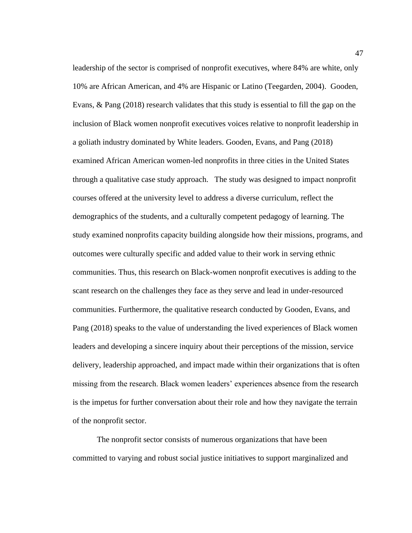leadership of the sector is comprised of nonprofit executives, where 84% are white, only 10% are African American, and 4% are Hispanic or Latino (Teegarden, 2004). Gooden, Evans, & Pang (2018) research validates that this study is essential to fill the gap on the inclusion of Black women nonprofit executives voices relative to nonprofit leadership in a goliath industry dominated by White leaders. Gooden, Evans, and Pang (2018) examined African American women-led nonprofits in three cities in the United States through a qualitative case study approach. The study was designed to impact nonprofit courses offered at the university level to address a diverse curriculum, reflect the demographics of the students, and a culturally competent pedagogy of learning. The study examined nonprofits capacity building alongside how their missions, programs, and outcomes were culturally specific and added value to their work in serving ethnic communities. Thus, this research on Black-women nonprofit executives is adding to the scant research on the challenges they face as they serve and lead in under-resourced communities. Furthermore, the qualitative research conducted by Gooden, Evans, and Pang (2018) speaks to the value of understanding the lived experiences of Black women leaders and developing a sincere inquiry about their perceptions of the mission, service delivery, leadership approached, and impact made within their organizations that is often missing from the research. Black women leaders' experiences absence from the research is the impetus for further conversation about their role and how they navigate the terrain of the nonprofit sector.

The nonprofit sector consists of numerous organizations that have been committed to varying and robust social justice initiatives to support marginalized and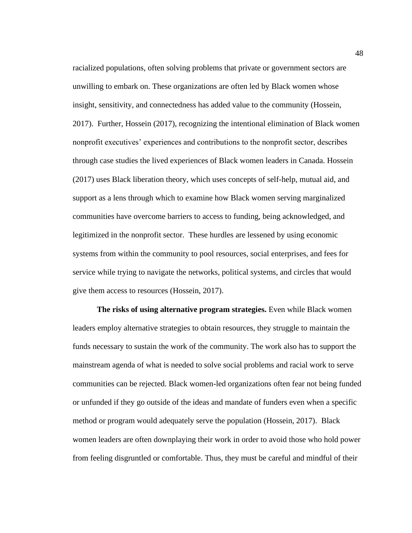racialized populations, often solving problems that private or government sectors are unwilling to embark on. These organizations are often led by Black women whose insight, sensitivity, and connectedness has added value to the community (Hossein, 2017). Further, Hossein (2017), recognizing the intentional elimination of Black women nonprofit executives' experiences and contributions to the nonprofit sector, describes through case studies the lived experiences of Black women leaders in Canada. Hossein (2017) uses Black liberation theory, which uses concepts of self-help, mutual aid, and support as a lens through which to examine how Black women serving marginalized communities have overcome barriers to access to funding, being acknowledged, and legitimized in the nonprofit sector. These hurdles are lessened by using economic systems from within the community to pool resources, social enterprises, and fees for service while trying to navigate the networks, political systems, and circles that would give them access to resources (Hossein, 2017).

**The risks of using alternative program strategies.** Even while Black women leaders employ alternative strategies to obtain resources, they struggle to maintain the funds necessary to sustain the work of the community. The work also has to support the mainstream agenda of what is needed to solve social problems and racial work to serve communities can be rejected. Black women-led organizations often fear not being funded or unfunded if they go outside of the ideas and mandate of funders even when a specific method or program would adequately serve the population (Hossein, 2017). Black women leaders are often downplaying their work in order to avoid those who hold power from feeling disgruntled or comfortable. Thus, they must be careful and mindful of their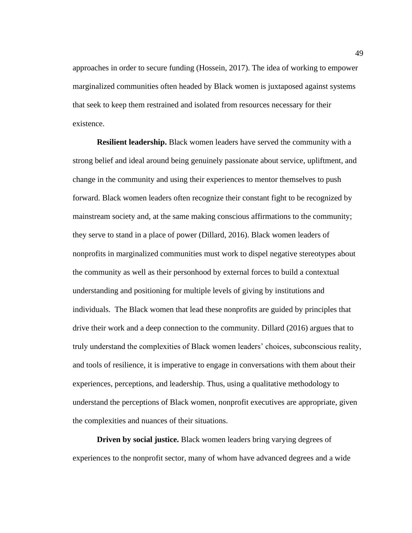approaches in order to secure funding (Hossein, 2017). The idea of working to empower marginalized communities often headed by Black women is juxtaposed against systems that seek to keep them restrained and isolated from resources necessary for their existence.

**Resilient leadership.** Black women leaders have served the community with a strong belief and ideal around being genuinely passionate about service, upliftment, and change in the community and using their experiences to mentor themselves to push forward. Black women leaders often recognize their constant fight to be recognized by mainstream society and, at the same making conscious affirmations to the community; they serve to stand in a place of power (Dillard, 2016). Black women leaders of nonprofits in marginalized communities must work to dispel negative stereotypes about the community as well as their personhood by external forces to build a contextual understanding and positioning for multiple levels of giving by institutions and individuals. The Black women that lead these nonprofits are guided by principles that drive their work and a deep connection to the community. Dillard (2016) argues that to truly understand the complexities of Black women leaders' choices, subconscious reality, and tools of resilience, it is imperative to engage in conversations with them about their experiences, perceptions, and leadership. Thus, using a qualitative methodology to understand the perceptions of Black women, nonprofit executives are appropriate, given the complexities and nuances of their situations.

**Driven by social justice.** Black women leaders bring varying degrees of experiences to the nonprofit sector, many of whom have advanced degrees and a wide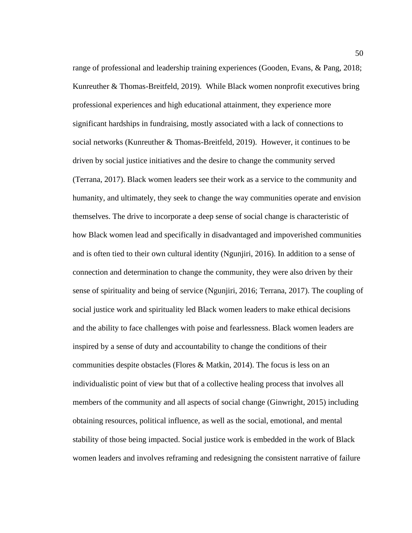range of professional and leadership training experiences (Gooden, Evans, & Pang, 2018; Kunreuther & Thomas-Breitfeld, 2019)*.* While Black women nonprofit executives bring professional experiences and high educational attainment, they experience more significant hardships in fundraising, mostly associated with a lack of connections to social networks (Kunreuther & Thomas-Breitfeld, 2019). However, it continues to be driven by social justice initiatives and the desire to change the community served (Terrana, 2017). Black women leaders see their work as a service to the community and humanity, and ultimately, they seek to change the way communities operate and envision themselves. The drive to incorporate a deep sense of social change is characteristic of how Black women lead and specifically in disadvantaged and impoverished communities and is often tied to their own cultural identity (Ngunjiri, 2016). In addition to a sense of connection and determination to change the community, they were also driven by their sense of spirituality and being of service (Ngunjiri, 2016; Terrana, 2017). The coupling of social justice work and spirituality led Black women leaders to make ethical decisions and the ability to face challenges with poise and fearlessness. Black women leaders are inspired by a sense of duty and accountability to change the conditions of their communities despite obstacles (Flores & Matkin, 2014). The focus is less on an individualistic point of view but that of a collective healing process that involves all members of the community and all aspects of social change (Ginwright, 2015) including obtaining resources, political influence, as well as the social, emotional, and mental stability of those being impacted. Social justice work is embedded in the work of Black women leaders and involves reframing and redesigning the consistent narrative of failure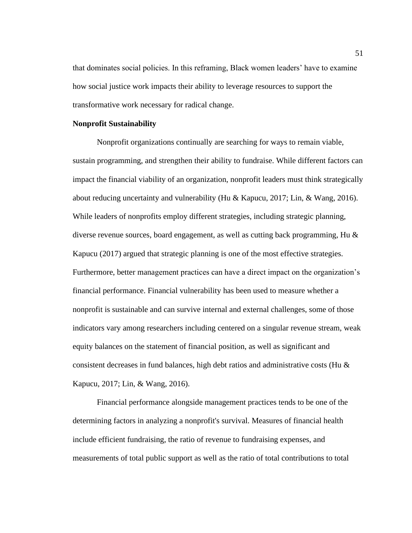that dominates social policies. In this reframing, Black women leaders' have to examine how social justice work impacts their ability to leverage resources to support the transformative work necessary for radical change.

# **Nonprofit Sustainability**

Nonprofit organizations continually are searching for ways to remain viable, sustain programming, and strengthen their ability to fundraise. While different factors can impact the financial viability of an organization, nonprofit leaders must think strategically about reducing uncertainty and vulnerability (Hu & Kapucu, 2017; Lin, & Wang, 2016). While leaders of nonprofits employ different strategies, including strategic planning, diverse revenue sources, board engagement, as well as cutting back programming, Hu & Kapucu (2017) argued that strategic planning is one of the most effective strategies. Furthermore, better management practices can have a direct impact on the organization's financial performance. Financial vulnerability has been used to measure whether a nonprofit is sustainable and can survive internal and external challenges, some of those indicators vary among researchers including centered on a singular revenue stream, weak equity balances on the statement of financial position, as well as significant and consistent decreases in fund balances, high debt ratios and administrative costs (Hu  $\&$ Kapucu, 2017; Lin, & Wang, 2016).

Financial performance alongside management practices tends to be one of the determining factors in analyzing a nonprofit's survival. Measures of financial health include efficient fundraising, the ratio of revenue to fundraising expenses, and measurements of total public support as well as the ratio of total contributions to total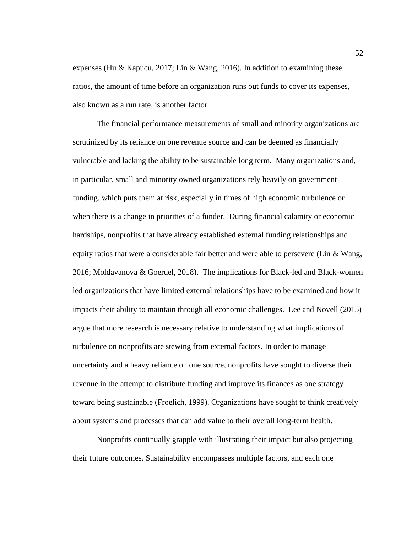expenses (Hu & Kapucu, 2017; Lin & Wang, 2016). In addition to examining these ratios, the amount of time before an organization runs out funds to cover its expenses, also known as a run rate, is another factor.

The financial performance measurements of small and minority organizations are scrutinized by its reliance on one revenue source and can be deemed as financially vulnerable and lacking the ability to be sustainable long term. Many organizations and, in particular, small and minority owned organizations rely heavily on government funding, which puts them at risk, especially in times of high economic turbulence or when there is a change in priorities of a funder. During financial calamity or economic hardships, nonprofits that have already established external funding relationships and equity ratios that were a considerable fair better and were able to persevere (Lin  $\&$  Wang, 2016; Moldavanova & Goerdel, 2018). The implications for Black-led and Black-women led organizations that have limited external relationships have to be examined and how it impacts their ability to maintain through all economic challenges. Lee and Novell (2015) argue that more research is necessary relative to understanding what implications of turbulence on nonprofits are stewing from external factors. In order to manage uncertainty and a heavy reliance on one source, nonprofits have sought to diverse their revenue in the attempt to distribute funding and improve its finances as one strategy toward being sustainable (Froelich, 1999). Organizations have sought to think creatively about systems and processes that can add value to their overall long-term health.

Nonprofits continually grapple with illustrating their impact but also projecting their future outcomes. Sustainability encompasses multiple factors, and each one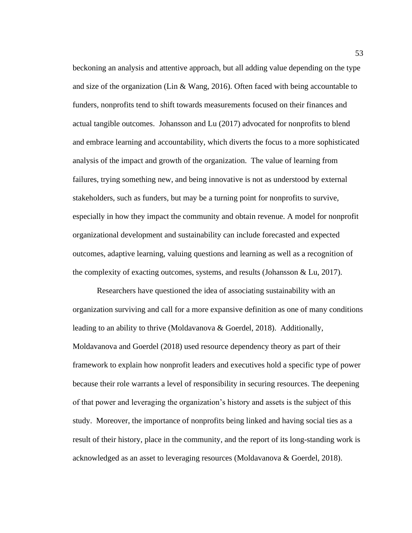beckoning an analysis and attentive approach, but all adding value depending on the type and size of the organization (Lin & Wang, 2016). Often faced with being accountable to funders, nonprofits tend to shift towards measurements focused on their finances and actual tangible outcomes. Johansson and Lu (2017) advocated for nonprofits to blend and embrace learning and accountability, which diverts the focus to a more sophisticated analysis of the impact and growth of the organization. The value of learning from failures, trying something new, and being innovative is not as understood by external stakeholders, such as funders, but may be a turning point for nonprofits to survive, especially in how they impact the community and obtain revenue. A model for nonprofit organizational development and sustainability can include forecasted and expected outcomes, adaptive learning, valuing questions and learning as well as a recognition of the complexity of exacting outcomes, systems, and results (Johansson & Lu, 2017).

Researchers have questioned the idea of associating sustainability with an organization surviving and call for a more expansive definition as one of many conditions leading to an ability to thrive (Moldavanova & Goerdel, 2018). Additionally, Moldavanova and Goerdel (2018) used resource dependency theory as part of their framework to explain how nonprofit leaders and executives hold a specific type of power because their role warrants a level of responsibility in securing resources. The deepening of that power and leveraging the organization's history and assets is the subject of this study. Moreover, the importance of nonprofits being linked and having social ties as a result of their history, place in the community, and the report of its long-standing work is acknowledged as an asset to leveraging resources (Moldavanova & Goerdel, 2018).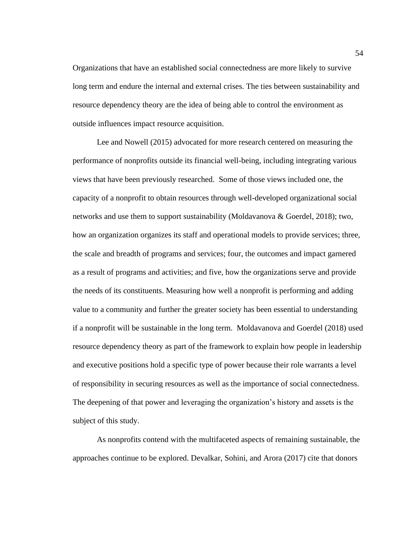Organizations that have an established social connectedness are more likely to survive long term and endure the internal and external crises. The ties between sustainability and resource dependency theory are the idea of being able to control the environment as outside influences impact resource acquisition.

Lee and Nowell (2015) advocated for more research centered on measuring the performance of nonprofits outside its financial well-being, including integrating various views that have been previously researched. Some of those views included one, the capacity of a nonprofit to obtain resources through well-developed organizational social networks and use them to support sustainability (Moldavanova & Goerdel, 2018); two, how an organization organizes its staff and operational models to provide services; three, the scale and breadth of programs and services; four, the outcomes and impact garnered as a result of programs and activities; and five, how the organizations serve and provide the needs of its constituents. Measuring how well a nonprofit is performing and adding value to a community and further the greater society has been essential to understanding if a nonprofit will be sustainable in the long term. Moldavanova and Goerdel (2018) used resource dependency theory as part of the framework to explain how people in leadership and executive positions hold a specific type of power because their role warrants a level of responsibility in securing resources as well as the importance of social connectedness. The deepening of that power and leveraging the organization's history and assets is the subject of this study.

As nonprofits contend with the multifaceted aspects of remaining sustainable, the approaches continue to be explored. Devalkar, Sohini, and Arora (2017) cite that donors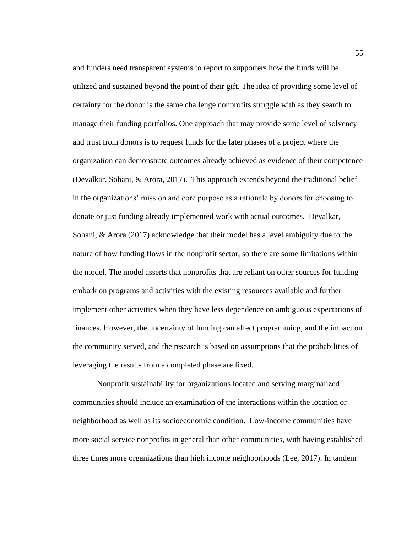and funders need transparent systems to report to supporters how the funds will be utilized and sustained beyond the point of their gift. The idea of providing some level of certainty for the donor is the same challenge nonprofits struggle with as they search to manage their funding portfolios. One approach that may provide some level of solvency and trust from donors is to request funds for the later phases of a project where the organization can demonstrate outcomes already achieved as evidence of their competence (Devalkar, Sohani, & Arora, 2017). This approach extends beyond the traditional belief in the organizations' mission and core purpose as a rationale by donors for choosing to donate or just funding already implemented work with actual outcomes. Devalkar, Sohani, & Arora (2017) acknowledge that their model has a level ambiguity due to the nature of how funding flows in the nonprofit sector, so there are some limitations within the model. The model asserts that nonprofits that are reliant on other sources for funding embark on programs and activities with the existing resources available and further implement other activities when they have less dependence on ambiguous expectations of finances. However, the uncertainty of funding can affect programming, and the impact on the community served, and the research is based on assumptions that the probabilities of leveraging the results from a completed phase are fixed.

Nonprofit sustainability for organizations located and serving marginalized communities should include an examination of the interactions within the location or neighborhood as well as its socioeconomic condition. Low-income communities have more social service nonprofits in general than other communities, with having established three times more organizations than high income neighborhoods (Lee, 2017). In tandem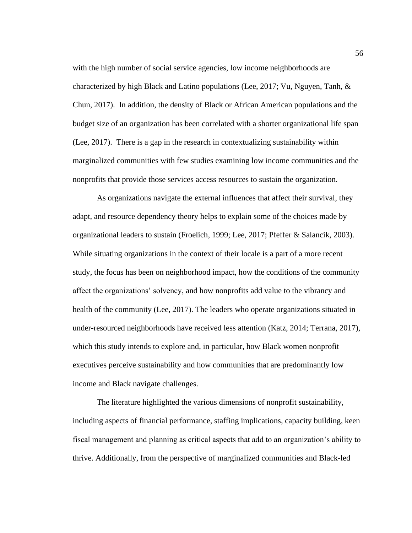with the high number of social service agencies, low income neighborhoods are characterized by high Black and Latino populations (Lee, 2017; Vu, Nguyen, Tanh,  $\&$ Chun, 2017). In addition, the density of Black or African American populations and the budget size of an organization has been correlated with a shorter organizational life span (Lee, 2017). There is a gap in the research in contextualizing sustainability within marginalized communities with few studies examining low income communities and the nonprofits that provide those services access resources to sustain the organization.

As organizations navigate the external influences that affect their survival, they adapt, and resource dependency theory helps to explain some of the choices made by organizational leaders to sustain (Froelich, 1999; Lee, 2017; Pfeffer & Salancik, 2003). While situating organizations in the context of their locale is a part of a more recent study, the focus has been on neighborhood impact, how the conditions of the community affect the organizations' solvency, and how nonprofits add value to the vibrancy and health of the community (Lee, 2017). The leaders who operate organizations situated in under-resourced neighborhoods have received less attention (Katz, 2014; Terrana, 2017), which this study intends to explore and, in particular, how Black women nonprofit executives perceive sustainability and how communities that are predominantly low income and Black navigate challenges.

The literature highlighted the various dimensions of nonprofit sustainability, including aspects of financial performance, staffing implications, capacity building, keen fiscal management and planning as critical aspects that add to an organization's ability to thrive. Additionally, from the perspective of marginalized communities and Black-led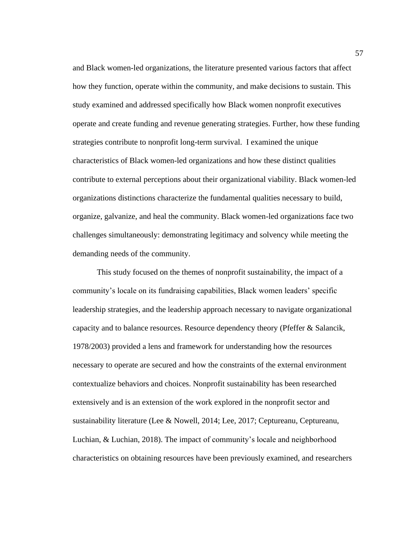and Black women-led organizations, the literature presented various factors that affect how they function, operate within the community, and make decisions to sustain. This study examined and addressed specifically how Black women nonprofit executives operate and create funding and revenue generating strategies. Further, how these funding strategies contribute to nonprofit long-term survival. I examined the unique characteristics of Black women-led organizations and how these distinct qualities contribute to external perceptions about their organizational viability. Black women-led organizations distinctions characterize the fundamental qualities necessary to build, organize, galvanize, and heal the community. Black women-led organizations face two challenges simultaneously: demonstrating legitimacy and solvency while meeting the demanding needs of the community.

This study focused on the themes of nonprofit sustainability, the impact of a community's locale on its fundraising capabilities, Black women leaders' specific leadership strategies, and the leadership approach necessary to navigate organizational capacity and to balance resources. Resource dependency theory (Pfeffer & Salancik, 1978/2003) provided a lens and framework for understanding how the resources necessary to operate are secured and how the constraints of the external environment contextualize behaviors and choices. Nonprofit sustainability has been researched extensively and is an extension of the work explored in the nonprofit sector and sustainability literature (Lee & Nowell, 2014; Lee, 2017; Ceptureanu, Ceptureanu, Luchian, & Luchian, 2018). The impact of community's locale and neighborhood characteristics on obtaining resources have been previously examined, and researchers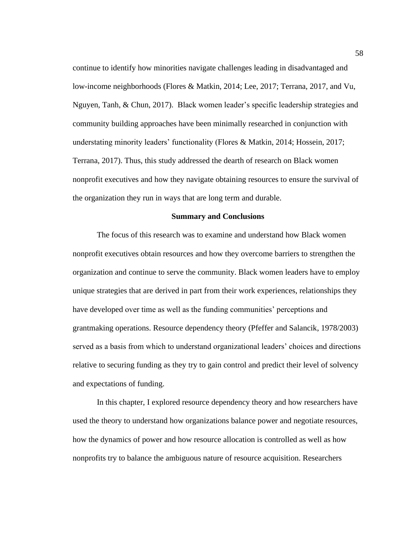continue to identify how minorities navigate challenges leading in disadvantaged and low-income neighborhoods (Flores & Matkin, 2014; Lee, 2017; Terrana, 2017, and Vu, Nguyen, Tanh, & Chun, 2017). Black women leader's specific leadership strategies and community building approaches have been minimally researched in conjunction with understating minority leaders' functionality (Flores & Matkin, 2014; Hossein, 2017; Terrana, 2017). Thus, this study addressed the dearth of research on Black women nonprofit executives and how they navigate obtaining resources to ensure the survival of the organization they run in ways that are long term and durable.

#### **Summary and Conclusions**

The focus of this research was to examine and understand how Black women nonprofit executives obtain resources and how they overcome barriers to strengthen the organization and continue to serve the community. Black women leaders have to employ unique strategies that are derived in part from their work experiences, relationships they have developed over time as well as the funding communities' perceptions and grantmaking operations. Resource dependency theory (Pfeffer and Salancik, 1978/2003) served as a basis from which to understand organizational leaders' choices and directions relative to securing funding as they try to gain control and predict their level of solvency and expectations of funding.

In this chapter, I explored resource dependency theory and how researchers have used the theory to understand how organizations balance power and negotiate resources, how the dynamics of power and how resource allocation is controlled as well as how nonprofits try to balance the ambiguous nature of resource acquisition. Researchers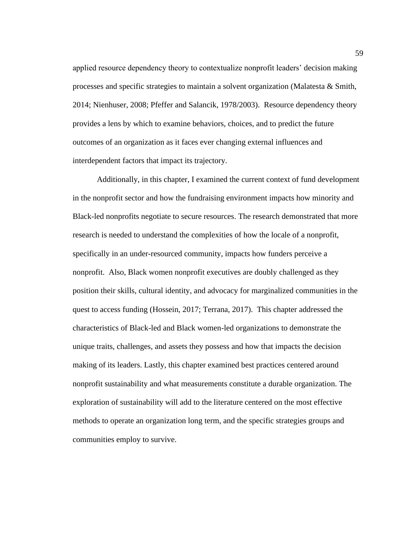applied resource dependency theory to contextualize nonprofit leaders' decision making processes and specific strategies to maintain a solvent organization (Malatesta & Smith, 2014; Nienhuser, 2008; Pfeffer and Salancik, 1978/2003). Resource dependency theory provides a lens by which to examine behaviors, choices, and to predict the future outcomes of an organization as it faces ever changing external influences and interdependent factors that impact its trajectory.

Additionally, in this chapter, I examined the current context of fund development in the nonprofit sector and how the fundraising environment impacts how minority and Black-led nonprofits negotiate to secure resources. The research demonstrated that more research is needed to understand the complexities of how the locale of a nonprofit, specifically in an under-resourced community, impacts how funders perceive a nonprofit. Also, Black women nonprofit executives are doubly challenged as they position their skills, cultural identity, and advocacy for marginalized communities in the quest to access funding (Hossein, 2017; Terrana, 2017). This chapter addressed the characteristics of Black-led and Black women-led organizations to demonstrate the unique traits, challenges, and assets they possess and how that impacts the decision making of its leaders. Lastly, this chapter examined best practices centered around nonprofit sustainability and what measurements constitute a durable organization. The exploration of sustainability will add to the literature centered on the most effective methods to operate an organization long term, and the specific strategies groups and communities employ to survive.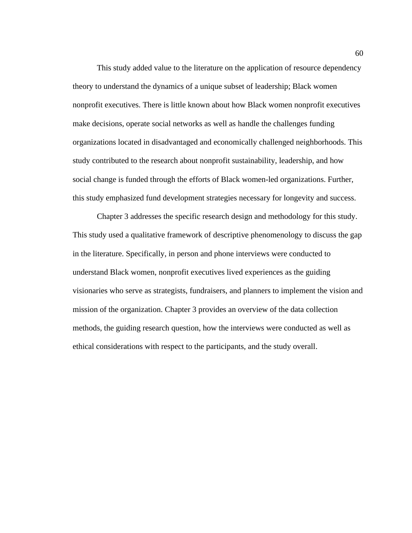This study added value to the literature on the application of resource dependency theory to understand the dynamics of a unique subset of leadership; Black women nonprofit executives. There is little known about how Black women nonprofit executives make decisions, operate social networks as well as handle the challenges funding organizations located in disadvantaged and economically challenged neighborhoods. This study contributed to the research about nonprofit sustainability, leadership, and how social change is funded through the efforts of Black women-led organizations. Further, this study emphasized fund development strategies necessary for longevity and success.

Chapter 3 addresses the specific research design and methodology for this study. This study used a qualitative framework of descriptive phenomenology to discuss the gap in the literature. Specifically, in person and phone interviews were conducted to understand Black women, nonprofit executives lived experiences as the guiding visionaries who serve as strategists, fundraisers, and planners to implement the vision and mission of the organization. Chapter 3 provides an overview of the data collection methods, the guiding research question, how the interviews were conducted as well as ethical considerations with respect to the participants, and the study overall.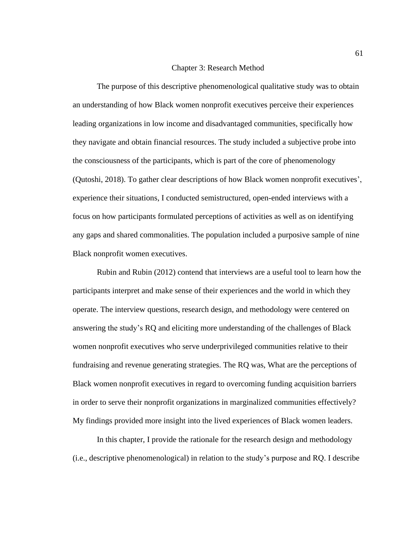## Chapter 3: Research Method

The purpose of this descriptive phenomenological qualitative study was to obtain an understanding of how Black women nonprofit executives perceive their experiences leading organizations in low income and disadvantaged communities, specifically how they navigate and obtain financial resources. The study included a subjective probe into the consciousness of the participants, which is part of the core of phenomenology (Qutoshi, 2018). To gather clear descriptions of how Black women nonprofit executives', experience their situations, I conducted semistructured, open-ended interviews with a focus on how participants formulated perceptions of activities as well as on identifying any gaps and shared commonalities. The population included a purposive sample of nine Black nonprofit women executives.

Rubin and Rubin (2012) contend that interviews are a useful tool to learn how the participants interpret and make sense of their experiences and the world in which they operate. The interview questions, research design, and methodology were centered on answering the study's RQ and eliciting more understanding of the challenges of Black women nonprofit executives who serve underprivileged communities relative to their fundraising and revenue generating strategies. The RQ was, What are the perceptions of Black women nonprofit executives in regard to overcoming funding acquisition barriers in order to serve their nonprofit organizations in marginalized communities effectively? My findings provided more insight into the lived experiences of Black women leaders.

In this chapter, I provide the rationale for the research design and methodology (i.e., descriptive phenomenological) in relation to the study's purpose and RQ. I describe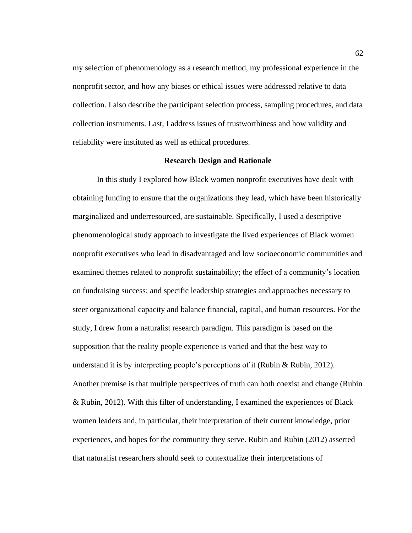my selection of phenomenology as a research method, my professional experience in the nonprofit sector, and how any biases or ethical issues were addressed relative to data collection. I also describe the participant selection process, sampling procedures, and data collection instruments. Last, I address issues of trustworthiness and how validity and reliability were instituted as well as ethical procedures.

## **Research Design and Rationale**

In this study I explored how Black women nonprofit executives have dealt with obtaining funding to ensure that the organizations they lead, which have been historically marginalized and underresourced, are sustainable. Specifically, I used a descriptive phenomenological study approach to investigate the lived experiences of Black women nonprofit executives who lead in disadvantaged and low socioeconomic communities and examined themes related to nonprofit sustainability; the effect of a community's location on fundraising success; and specific leadership strategies and approaches necessary to steer organizational capacity and balance financial, capital, and human resources. For the study, I drew from a naturalist research paradigm. This paradigm is based on the supposition that the reality people experience is varied and that the best way to understand it is by interpreting people's perceptions of it (Rubin & Rubin, 2012). Another premise is that multiple perspectives of truth can both coexist and change (Rubin & Rubin, 2012). With this filter of understanding, I examined the experiences of Black women leaders and, in particular, their interpretation of their current knowledge, prior experiences, and hopes for the community they serve. Rubin and Rubin (2012) asserted that naturalist researchers should seek to contextualize their interpretations of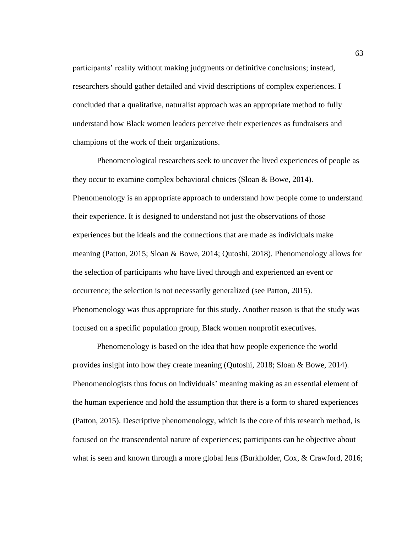participants' reality without making judgments or definitive conclusions; instead, researchers should gather detailed and vivid descriptions of complex experiences. I concluded that a qualitative, naturalist approach was an appropriate method to fully understand how Black women leaders perceive their experiences as fundraisers and champions of the work of their organizations.

Phenomenological researchers seek to uncover the lived experiences of people as they occur to examine complex behavioral choices (Sloan & Bowe, 2014). Phenomenology is an appropriate approach to understand how people come to understand their experience. It is designed to understand not just the observations of those experiences but the ideals and the connections that are made as individuals make meaning (Patton, 2015; Sloan & Bowe, 2014; Qutoshi, 2018). Phenomenology allows for the selection of participants who have lived through and experienced an event or occurrence; the selection is not necessarily generalized (see Patton, 2015). Phenomenology was thus appropriate for this study. Another reason is that the study was focused on a specific population group, Black women nonprofit executives.

Phenomenology is based on the idea that how people experience the world provides insight into how they create meaning (Qutoshi, 2018; Sloan & Bowe, 2014). Phenomenologists thus focus on individuals' meaning making as an essential element of the human experience and hold the assumption that there is a form to shared experiences (Patton, 2015). Descriptive phenomenology, which is the core of this research method, is focused on the transcendental nature of experiences; participants can be objective about what is seen and known through a more global lens (Burkholder, Cox, & Crawford, 2016;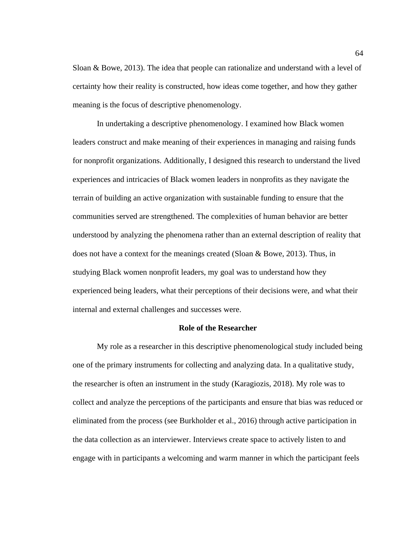Sloan & Bowe, 2013). The idea that people can rationalize and understand with a level of certainty how their reality is constructed, how ideas come together, and how they gather meaning is the focus of descriptive phenomenology.

In undertaking a descriptive phenomenology. I examined how Black women leaders construct and make meaning of their experiences in managing and raising funds for nonprofit organizations. Additionally, I designed this research to understand the lived experiences and intricacies of Black women leaders in nonprofits as they navigate the terrain of building an active organization with sustainable funding to ensure that the communities served are strengthened. The complexities of human behavior are better understood by analyzing the phenomena rather than an external description of reality that does not have a context for the meanings created (Sloan & Bowe, 2013). Thus, in studying Black women nonprofit leaders, my goal was to understand how they experienced being leaders, what their perceptions of their decisions were, and what their internal and external challenges and successes were.

#### **Role of the Researcher**

My role as a researcher in this descriptive phenomenological study included being one of the primary instruments for collecting and analyzing data. In a qualitative study, the researcher is often an instrument in the study (Karagiozis, 2018). My role was to collect and analyze the perceptions of the participants and ensure that bias was reduced or eliminated from the process (see Burkholder et al., 2016) through active participation in the data collection as an interviewer. Interviews create space to actively listen to and engage with in participants a welcoming and warm manner in which the participant feels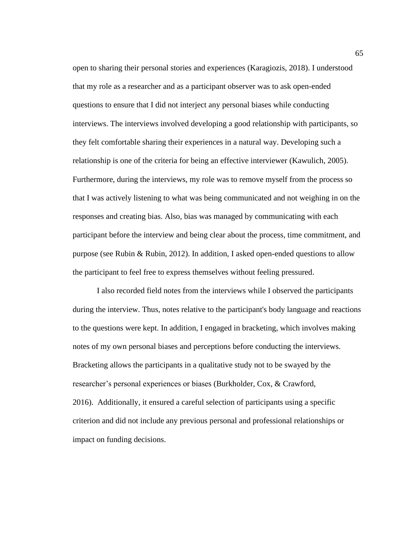open to sharing their personal stories and experiences (Karagiozis, 2018). I understood that my role as a researcher and as a participant observer was to ask open-ended questions to ensure that I did not interject any personal biases while conducting interviews. The interviews involved developing a good relationship with participants, so they felt comfortable sharing their experiences in a natural way. Developing such a relationship is one of the criteria for being an effective interviewer (Kawulich, 2005). Furthermore, during the interviews, my role was to remove myself from the process so that I was actively listening to what was being communicated and not weighing in on the responses and creating bias. Also, bias was managed by communicating with each participant before the interview and being clear about the process, time commitment, and purpose (see Rubin & Rubin, 2012). In addition, I asked open-ended questions to allow the participant to feel free to express themselves without feeling pressured.

I also recorded field notes from the interviews while I observed the participants during the interview. Thus, notes relative to the participant's body language and reactions to the questions were kept. In addition, I engaged in bracketing, which involves making notes of my own personal biases and perceptions before conducting the interviews. Bracketing allows the participants in a qualitative study not to be swayed by the researcher's personal experiences or biases (Burkholder, Cox, & Crawford, 2016). Additionally, it ensured a careful selection of participants using a specific criterion and did not include any previous personal and professional relationships or impact on funding decisions.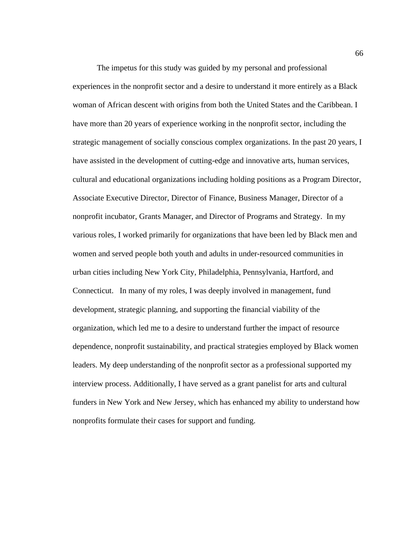The impetus for this study was guided by my personal and professional experiences in the nonprofit sector and a desire to understand it more entirely as a Black woman of African descent with origins from both the United States and the Caribbean. I have more than 20 years of experience working in the nonprofit sector, including the strategic management of socially conscious complex organizations. In the past 20 years, I have assisted in the development of cutting-edge and innovative arts, human services, cultural and educational organizations including holding positions as a Program Director, Associate Executive Director, Director of Finance, Business Manager, Director of a nonprofit incubator, Grants Manager, and Director of Programs and Strategy. In my various roles, I worked primarily for organizations that have been led by Black men and women and served people both youth and adults in under-resourced communities in urban cities including New York City, Philadelphia, Pennsylvania, Hartford, and Connecticut. In many of my roles, I was deeply involved in management, fund development, strategic planning, and supporting the financial viability of the organization, which led me to a desire to understand further the impact of resource dependence, nonprofit sustainability, and practical strategies employed by Black women leaders. My deep understanding of the nonprofit sector as a professional supported my interview process. Additionally, I have served as a grant panelist for arts and cultural funders in New York and New Jersey, which has enhanced my ability to understand how nonprofits formulate their cases for support and funding.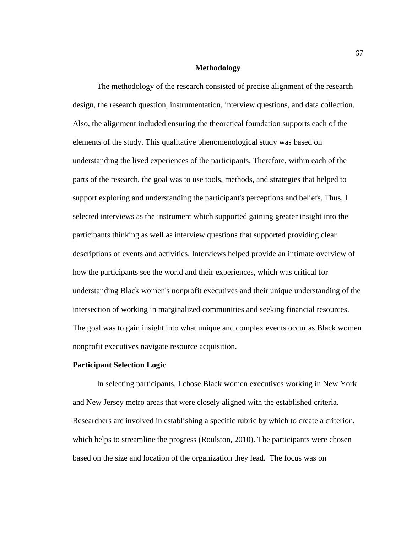## **Methodology**

The methodology of the research consisted of precise alignment of the research design, the research question, instrumentation, interview questions, and data collection. Also, the alignment included ensuring the theoretical foundation supports each of the elements of the study. This qualitative phenomenological study was based on understanding the lived experiences of the participants. Therefore, within each of the parts of the research, the goal was to use tools, methods, and strategies that helped to support exploring and understanding the participant's perceptions and beliefs. Thus, I selected interviews as the instrument which supported gaining greater insight into the participants thinking as well as interview questions that supported providing clear descriptions of events and activities. Interviews helped provide an intimate overview of how the participants see the world and their experiences, which was critical for understanding Black women's nonprofit executives and their unique understanding of the intersection of working in marginalized communities and seeking financial resources. The goal was to gain insight into what unique and complex events occur as Black women nonprofit executives navigate resource acquisition.

### **Participant Selection Logic**

In selecting participants, I chose Black women executives working in New York and New Jersey metro areas that were closely aligned with the established criteria. Researchers are involved in establishing a specific rubric by which to create a criterion, which helps to streamline the progress (Roulston, 2010). The participants were chosen based on the size and location of the organization they lead. The focus was on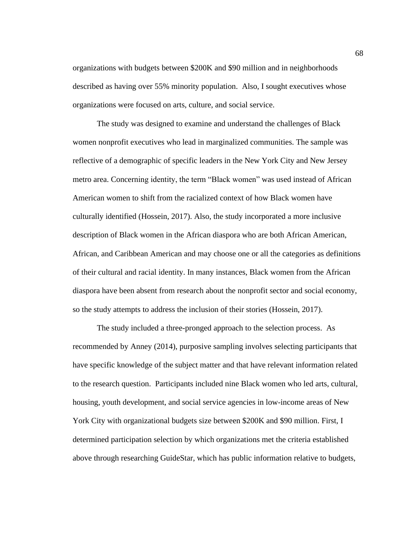organizations with budgets between \$200K and \$90 million and in neighborhoods described as having over 55% minority population. Also, I sought executives whose organizations were focused on arts, culture, and social service.

The study was designed to examine and understand the challenges of Black women nonprofit executives who lead in marginalized communities. The sample was reflective of a demographic of specific leaders in the New York City and New Jersey metro area. Concerning identity, the term "Black women" was used instead of African American women to shift from the racialized context of how Black women have culturally identified (Hossein, 2017). Also, the study incorporated a more inclusive description of Black women in the African diaspora who are both African American, African, and Caribbean American and may choose one or all the categories as definitions of their cultural and racial identity. In many instances, Black women from the African diaspora have been absent from research about the nonprofit sector and social economy, so the study attempts to address the inclusion of their stories (Hossein, 2017).

The study included a three-pronged approach to the selection process. As recommended by Anney (2014), purposive sampling involves selecting participants that have specific knowledge of the subject matter and that have relevant information related to the research question. Participants included nine Black women who led arts, cultural, housing, youth development, and social service agencies in low-income areas of New York City with organizational budgets size between \$200K and \$90 million. First, I determined participation selection by which organizations met the criteria established above through researching GuideStar, which has public information relative to budgets,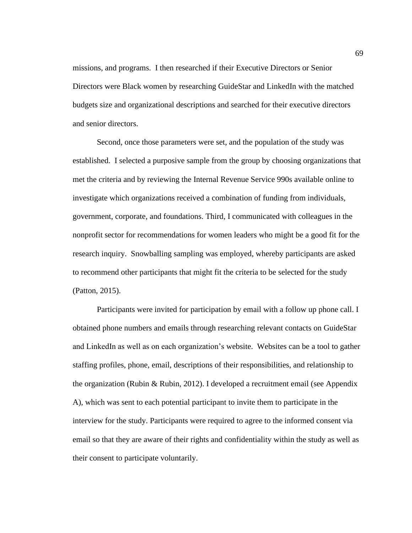missions, and programs. I then researched if their Executive Directors or Senior Directors were Black women by researching GuideStar and LinkedIn with the matched budgets size and organizational descriptions and searched for their executive directors and senior directors.

Second, once those parameters were set, and the population of the study was established. I selected a purposive sample from the group by choosing organizations that met the criteria and by reviewing the Internal Revenue Service 990s available online to investigate which organizations received a combination of funding from individuals, government, corporate, and foundations. Third, I communicated with colleagues in the nonprofit sector for recommendations for women leaders who might be a good fit for the research inquiry. Snowballing sampling was employed, whereby participants are asked to recommend other participants that might fit the criteria to be selected for the study (Patton, 2015).

Participants were invited for participation by email with a follow up phone call. I obtained phone numbers and emails through researching relevant contacts on GuideStar and LinkedIn as well as on each organization's website. Websites can be a tool to gather staffing profiles, phone, email, descriptions of their responsibilities, and relationship to the organization (Rubin & Rubin, 2012). I developed a recruitment email (see Appendix A), which was sent to each potential participant to invite them to participate in the interview for the study. Participants were required to agree to the informed consent via email so that they are aware of their rights and confidentiality within the study as well as their consent to participate voluntarily.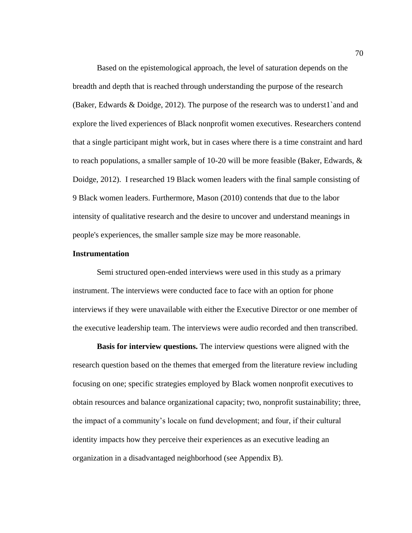Based on the epistemological approach, the level of saturation depends on the breadth and depth that is reached through understanding the purpose of the research (Baker, Edwards & Doidge, 2012). The purpose of the research was to underst1`and and explore the lived experiences of Black nonprofit women executives. Researchers contend that a single participant might work, but in cases where there is a time constraint and hard to reach populations, a smaller sample of 10-20 will be more feasible (Baker, Edwards, & Doidge, 2012). I researched 19 Black women leaders with the final sample consisting of 9 Black women leaders. Furthermore, Mason (2010) contends that due to the labor intensity of qualitative research and the desire to uncover and understand meanings in people's experiences, the smaller sample size may be more reasonable.

### **Instrumentation**

Semi structured open-ended interviews were used in this study as a primary instrument. The interviews were conducted face to face with an option for phone interviews if they were unavailable with either the Executive Director or one member of the executive leadership team. The interviews were audio recorded and then transcribed.

**Basis for interview questions.** The interview questions were aligned with the research question based on the themes that emerged from the literature review including focusing on one; specific strategies employed by Black women nonprofit executives to obtain resources and balance organizational capacity; two, nonprofit sustainability; three, the impact of a community's locale on fund development; and four, if their cultural identity impacts how they perceive their experiences as an executive leading an organization in a disadvantaged neighborhood (see Appendix B).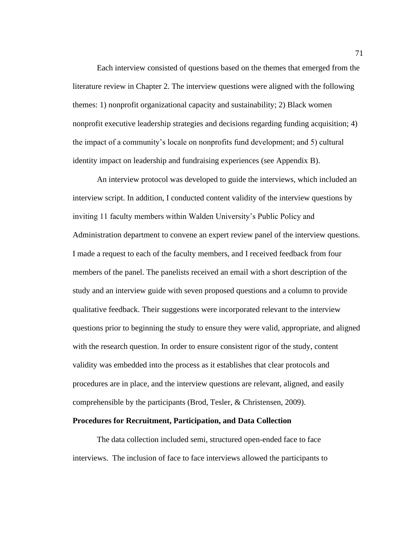Each interview consisted of questions based on the themes that emerged from the literature review in Chapter 2. The interview questions were aligned with the following themes: 1) nonprofit organizational capacity and sustainability; 2) Black women nonprofit executive leadership strategies and decisions regarding funding acquisition; 4) the impact of a community's locale on nonprofits fund development; and 5) cultural identity impact on leadership and fundraising experiences (see Appendix B).

An interview protocol was developed to guide the interviews, which included an interview script. In addition, I conducted content validity of the interview questions by inviting 11 faculty members within Walden University's Public Policy and Administration department to convene an expert review panel of the interview questions. I made a request to each of the faculty members, and I received feedback from four members of the panel. The panelists received an email with a short description of the study and an interview guide with seven proposed questions and a column to provide qualitative feedback. Their suggestions were incorporated relevant to the interview questions prior to beginning the study to ensure they were valid, appropriate, and aligned with the research question. In order to ensure consistent rigor of the study, content validity was embedded into the process as it establishes that clear protocols and procedures are in place, and the interview questions are relevant, aligned, and easily comprehensible by the participants (Brod, Tesler, & Christensen, 2009).

#### **Procedures for Recruitment, Participation, and Data Collection**

The data collection included semi, structured open-ended face to face interviews. The inclusion of face to face interviews allowed the participants to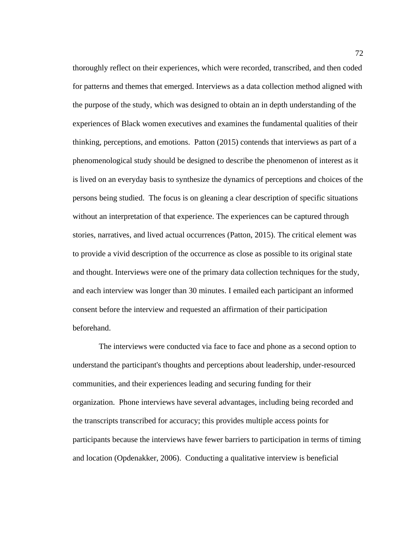thoroughly reflect on their experiences, which were recorded, transcribed, and then coded for patterns and themes that emerged. Interviews as a data collection method aligned with the purpose of the study, which was designed to obtain an in depth understanding of the experiences of Black women executives and examines the fundamental qualities of their thinking, perceptions, and emotions. Patton (2015) contends that interviews as part of a phenomenological study should be designed to describe the phenomenon of interest as it is lived on an everyday basis to synthesize the dynamics of perceptions and choices of the persons being studied. The focus is on gleaning a clear description of specific situations without an interpretation of that experience. The experiences can be captured through stories, narratives, and lived actual occurrences (Patton, 2015). The critical element was to provide a vivid description of the occurrence as close as possible to its original state and thought. Interviews were one of the primary data collection techniques for the study, and each interview was longer than 30 minutes. I emailed each participant an informed consent before the interview and requested an affirmation of their participation beforehand.

The interviews were conducted via face to face and phone as a second option to understand the participant's thoughts and perceptions about leadership, under-resourced communities, and their experiences leading and securing funding for their organization. Phone interviews have several advantages, including being recorded and the transcripts transcribed for accuracy; this provides multiple access points for participants because the interviews have fewer barriers to participation in terms of timing and location (Opdenakker, 2006). Conducting a qualitative interview is beneficial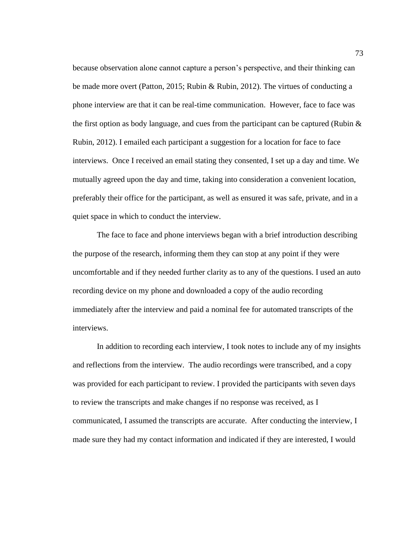because observation alone cannot capture a person's perspective, and their thinking can be made more overt (Patton, 2015; Rubin & Rubin, 2012). The virtues of conducting a phone interview are that it can be real-time communication. However, face to face was the first option as body language, and cues from the participant can be captured (Rubin  $\&$ Rubin, 2012). I emailed each participant a suggestion for a location for face to face interviews. Once I received an email stating they consented, I set up a day and time. We mutually agreed upon the day and time, taking into consideration a convenient location, preferably their office for the participant, as well as ensured it was safe, private, and in a quiet space in which to conduct the interview.

The face to face and phone interviews began with a brief introduction describing the purpose of the research, informing them they can stop at any point if they were uncomfortable and if they needed further clarity as to any of the questions. I used an auto recording device on my phone and downloaded a copy of the audio recording immediately after the interview and paid a nominal fee for automated transcripts of the interviews.

In addition to recording each interview, I took notes to include any of my insights and reflections from the interview. The audio recordings were transcribed, and a copy was provided for each participant to review. I provided the participants with seven days to review the transcripts and make changes if no response was received, as I communicated, I assumed the transcripts are accurate. After conducting the interview, I made sure they had my contact information and indicated if they are interested, I would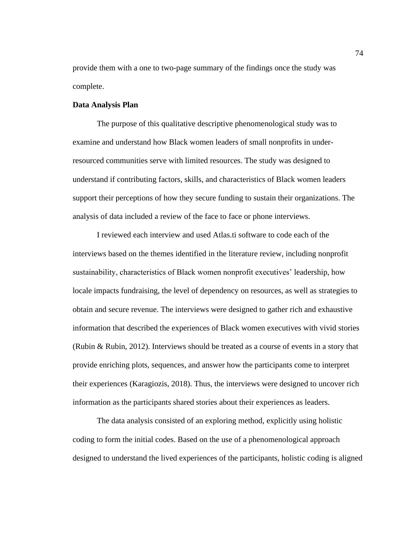provide them with a one to two-page summary of the findings once the study was complete.

#### **Data Analysis Plan**

The purpose of this qualitative descriptive phenomenological study was to examine and understand how Black women leaders of small nonprofits in underresourced communities serve with limited resources. The study was designed to understand if contributing factors, skills, and characteristics of Black women leaders support their perceptions of how they secure funding to sustain their organizations. The analysis of data included a review of the face to face or phone interviews.

I reviewed each interview and used Atlas.ti software to code each of the interviews based on the themes identified in the literature review, including nonprofit sustainability, characteristics of Black women nonprofit executives' leadership, how locale impacts fundraising, the level of dependency on resources, as well as strategies to obtain and secure revenue. The interviews were designed to gather rich and exhaustive information that described the experiences of Black women executives with vivid stories (Rubin & Rubin, 2012). Interviews should be treated as a course of events in a story that provide enriching plots, sequences, and answer how the participants come to interpret their experiences (Karagiozis, 2018). Thus, the interviews were designed to uncover rich information as the participants shared stories about their experiences as leaders.

The data analysis consisted of an exploring method, explicitly using holistic coding to form the initial codes. Based on the use of a phenomenological approach designed to understand the lived experiences of the participants, holistic coding is aligned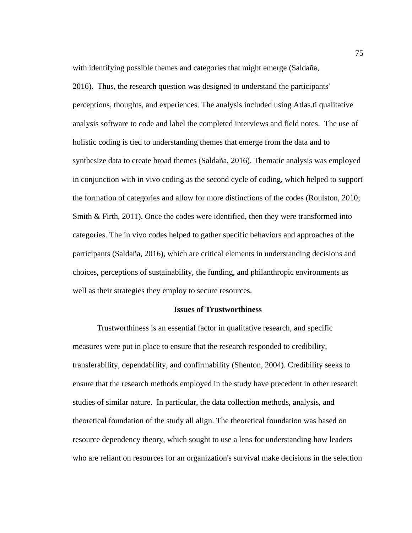with identifying possible themes and categories that might emerge (Saldaña,

2016). Thus, the research question was designed to understand the participants' perceptions, thoughts, and experiences. The analysis included using Atlas.ti qualitative analysis software to code and label the completed interviews and field notes. The use of holistic coding is tied to understanding themes that emerge from the data and to synthesize data to create broad themes (Saldaña, 2016). Thematic analysis was employed in conjunction with in vivo coding as the second cycle of coding, which helped to support the formation of categories and allow for more distinctions of the codes (Roulston, 2010; Smith & Firth, 2011). Once the codes were identified, then they were transformed into categories. The in vivo codes helped to gather specific behaviors and approaches of the participants (Saldaña, 2016), which are critical elements in understanding decisions and choices, perceptions of sustainability, the funding, and philanthropic environments as well as their strategies they employ to secure resources.

#### **Issues of Trustworthiness**

Trustworthiness is an essential factor in qualitative research, and specific measures were put in place to ensure that the research responded to credibility, transferability, dependability, and confirmability (Shenton, 2004). Credibility seeks to ensure that the research methods employed in the study have precedent in other research studies of similar nature. In particular, the data collection methods, analysis, and theoretical foundation of the study all align. The theoretical foundation was based on resource dependency theory, which sought to use a lens for understanding how leaders who are reliant on resources for an organization's survival make decisions in the selection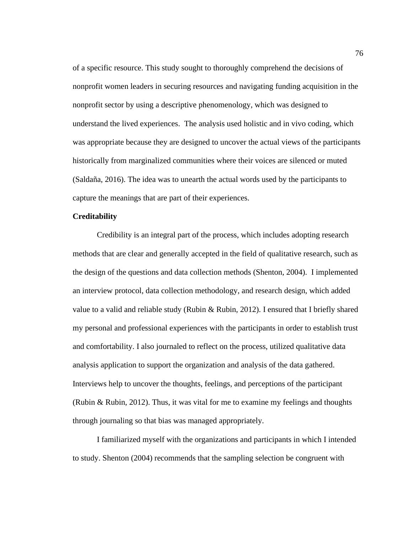of a specific resource. This study sought to thoroughly comprehend the decisions of nonprofit women leaders in securing resources and navigating funding acquisition in the nonprofit sector by using a descriptive phenomenology, which was designed to understand the lived experiences. The analysis used holistic and in vivo coding, which was appropriate because they are designed to uncover the actual views of the participants historically from marginalized communities where their voices are silenced or muted (Saldaña, 2016). The idea was to unearth the actual words used by the participants to capture the meanings that are part of their experiences.

# **Creditability**

Credibility is an integral part of the process, which includes adopting research methods that are clear and generally accepted in the field of qualitative research, such as the design of the questions and data collection methods (Shenton, 2004). I implemented an interview protocol, data collection methodology, and research design, which added value to a valid and reliable study (Rubin & Rubin, 2012). I ensured that I briefly shared my personal and professional experiences with the participants in order to establish trust and comfortability. I also journaled to reflect on the process, utilized qualitative data analysis application to support the organization and analysis of the data gathered. Interviews help to uncover the thoughts, feelings, and perceptions of the participant (Rubin & Rubin, 2012). Thus, it was vital for me to examine my feelings and thoughts through journaling so that bias was managed appropriately.

I familiarized myself with the organizations and participants in which I intended to study. Shenton (2004) recommends that the sampling selection be congruent with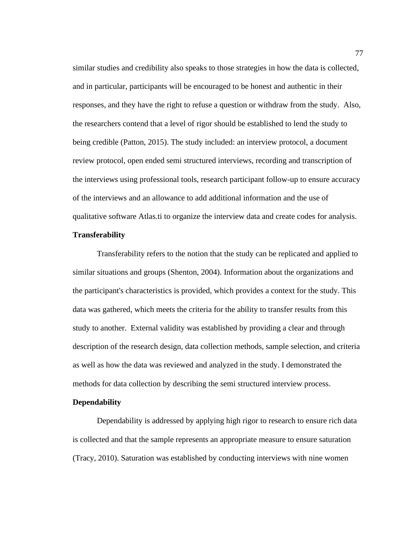similar studies and credibility also speaks to those strategies in how the data is collected, and in particular, participants will be encouraged to be honest and authentic in their responses, and they have the right to refuse a question or withdraw from the study. Also, the researchers contend that a level of rigor should be established to lend the study to being credible (Patton, 2015). The study included: an interview protocol, a document review protocol, open ended semi structured interviews, recording and transcription of the interviews using professional tools, research participant follow-up to ensure accuracy of the interviews and an allowance to add additional information and the use of qualitative software Atlas.ti to organize the interview data and create codes for analysis.

# **Transferability**

Transferability refers to the notion that the study can be replicated and applied to similar situations and groups (Shenton, 2004). Information about the organizations and the participant's characteristics is provided, which provides a context for the study. This data was gathered, which meets the criteria for the ability to transfer results from this study to another. External validity was established by providing a clear and through description of the research design, data collection methods, sample selection, and criteria as well as how the data was reviewed and analyzed in the study. I demonstrated the methods for data collection by describing the semi structured interview process.

# **Dependability**

Dependability is addressed by applying high rigor to research to ensure rich data is collected and that the sample represents an appropriate measure to ensure saturation (Tracy, 2010). Saturation was established by conducting interviews with nine women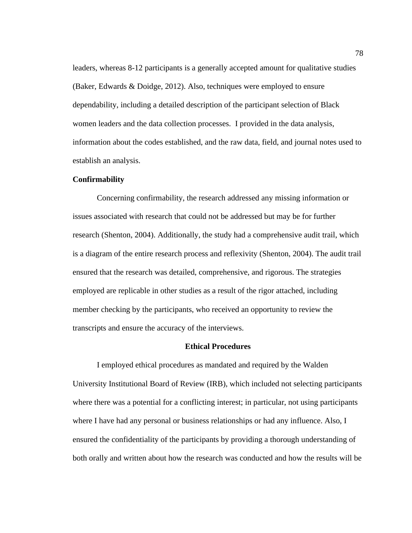leaders, whereas 8-12 participants is a generally accepted amount for qualitative studies (Baker, Edwards & Doidge, 2012). Also, techniques were employed to ensure dependability, including a detailed description of the participant selection of Black women leaders and the data collection processes. I provided in the data analysis, information about the codes established, and the raw data, field, and journal notes used to establish an analysis.

#### **Confirmability**

Concerning confirmability, the research addressed any missing information or issues associated with research that could not be addressed but may be for further research (Shenton, 2004). Additionally, the study had a comprehensive audit trail, which is a diagram of the entire research process and reflexivity (Shenton, 2004). The audit trail ensured that the research was detailed, comprehensive, and rigorous. The strategies employed are replicable in other studies as a result of the rigor attached, including member checking by the participants, who received an opportunity to review the transcripts and ensure the accuracy of the interviews.

## **Ethical Procedures**

I employed ethical procedures as mandated and required by the Walden University Institutional Board of Review (IRB), which included not selecting participants where there was a potential for a conflicting interest; in particular, not using participants where I have had any personal or business relationships or had any influence. Also, I ensured the confidentiality of the participants by providing a thorough understanding of both orally and written about how the research was conducted and how the results will be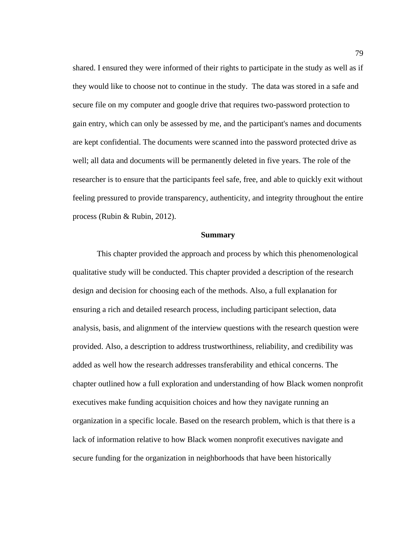shared. I ensured they were informed of their rights to participate in the study as well as if they would like to choose not to continue in the study. The data was stored in a safe and secure file on my computer and google drive that requires two-password protection to gain entry, which can only be assessed by me, and the participant's names and documents are kept confidential. The documents were scanned into the password protected drive as well; all data and documents will be permanently deleted in five years. The role of the researcher is to ensure that the participants feel safe, free, and able to quickly exit without feeling pressured to provide transparency, authenticity, and integrity throughout the entire process (Rubin & Rubin, 2012).

#### **Summary**

This chapter provided the approach and process by which this phenomenological qualitative study will be conducted. This chapter provided a description of the research design and decision for choosing each of the methods. Also, a full explanation for ensuring a rich and detailed research process, including participant selection, data analysis, basis, and alignment of the interview questions with the research question were provided. Also, a description to address trustworthiness, reliability, and credibility was added as well how the research addresses transferability and ethical concerns. The chapter outlined how a full exploration and understanding of how Black women nonprofit executives make funding acquisition choices and how they navigate running an organization in a specific locale. Based on the research problem, which is that there is a lack of information relative to how Black women nonprofit executives navigate and secure funding for the organization in neighborhoods that have been historically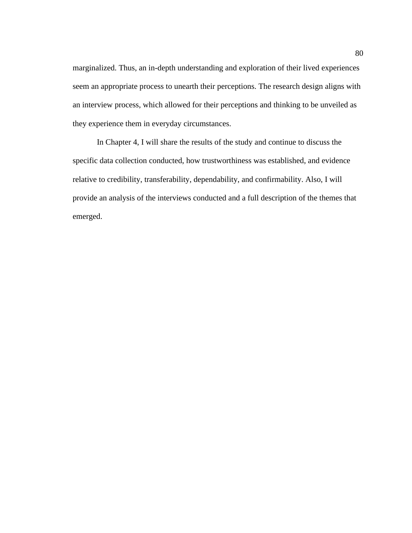marginalized. Thus, an in-depth understanding and exploration of their lived experiences seem an appropriate process to unearth their perceptions. The research design aligns with an interview process, which allowed for their perceptions and thinking to be unveiled as they experience them in everyday circumstances.

In Chapter 4, I will share the results of the study and continue to discuss the specific data collection conducted, how trustworthiness was established, and evidence relative to credibility, transferability, dependability, and confirmability. Also, I will provide an analysis of the interviews conducted and a full description of the themes that emerged.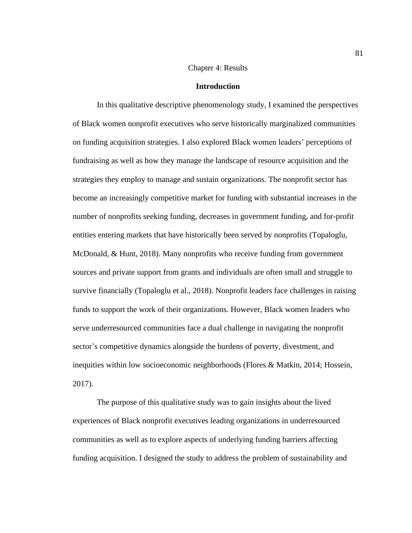## Chapter 4: Results

#### **Introduction**

In this qualitative descriptive phenomenology study, I examined the perspectives of Black women nonprofit executives who serve historically marginalized communities on funding acquisition strategies. I also explored Black women leaders' perceptions of fundraising as well as how they manage the landscape of resource acquisition and the strategies they employ to manage and sustain organizations. The nonprofit sector has become an increasingly competitive market for funding with substantial increases in the number of nonprofits seeking funding, decreases in government funding, and for-profit entities entering markets that have historically been served by nonprofits (Topaloglu, McDonald, & Hunt, 2018). Many nonprofits who receive funding from government sources and private support from grants and individuals are often small and struggle to survive financially (Topaloglu et al., 2018). Nonprofit leaders face challenges in raising funds to support the work of their organizations. However, Black women leaders who serve underresourced communities face a dual challenge in navigating the nonprofit sector's competitive dynamics alongside the burdens of poverty, divestment, and inequities within low socioeconomic neighborhoods (Flores & Matkin, 2014; Hossein, 2017).

The purpose of this qualitative study was to gain insights about the lived experiences of Black nonprofit executives leading organizations in underresourced communities as well as to explore aspects of underlying funding barriers affecting funding acquisition. I designed the study to address the problem of sustainability and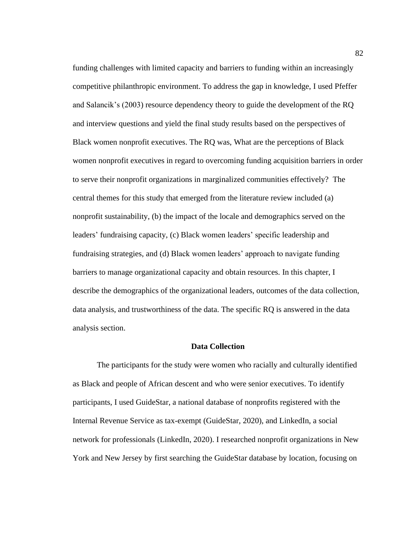funding challenges with limited capacity and barriers to funding within an increasingly competitive philanthropic environment. To address the gap in knowledge, I used Pfeffer and Salancik's (2003) resource dependency theory to guide the development of the RQ and interview questions and yield the final study results based on the perspectives of Black women nonprofit executives. The RQ was, What are the perceptions of Black women nonprofit executives in regard to overcoming funding acquisition barriers in order to serve their nonprofit organizations in marginalized communities effectively? The central themes for this study that emerged from the literature review included (a) nonprofit sustainability, (b) the impact of the locale and demographics served on the leaders' fundraising capacity, (c) Black women leaders' specific leadership and fundraising strategies, and (d) Black women leaders' approach to navigate funding barriers to manage organizational capacity and obtain resources. In this chapter, I describe the demographics of the organizational leaders, outcomes of the data collection, data analysis, and trustworthiness of the data. The specific RQ is answered in the data analysis section.

#### **Data Collection**

The participants for the study were women who racially and culturally identified as Black and people of African descent and who were senior executives. To identify participants, I used GuideStar, a national database of nonprofits registered with the Internal Revenue Service as tax-exempt (GuideStar, 2020), and LinkedIn, a social network for professionals (LinkedIn, 2020). I researched nonprofit organizations in New York and New Jersey by first searching the GuideStar database by location, focusing on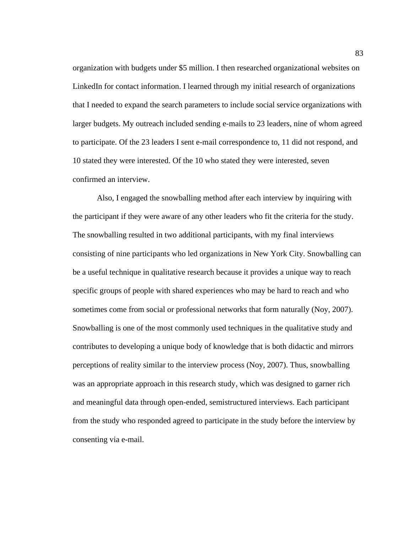organization with budgets under \$5 million. I then researched organizational websites on LinkedIn for contact information. I learned through my initial research of organizations that I needed to expand the search parameters to include social service organizations with larger budgets. My outreach included sending e-mails to 23 leaders, nine of whom agreed to participate. Of the 23 leaders I sent e-mail correspondence to, 11 did not respond, and 10 stated they were interested. Of the 10 who stated they were interested, seven confirmed an interview.

Also, I engaged the snowballing method after each interview by inquiring with the participant if they were aware of any other leaders who fit the criteria for the study. The snowballing resulted in two additional participants, with my final interviews consisting of nine participants who led organizations in New York City. Snowballing can be a useful technique in qualitative research because it provides a unique way to reach specific groups of people with shared experiences who may be hard to reach and who sometimes come from social or professional networks that form naturally (Noy, 2007). Snowballing is one of the most commonly used techniques in the qualitative study and contributes to developing a unique body of knowledge that is both didactic and mirrors perceptions of reality similar to the interview process (Noy, 2007). Thus, snowballing was an appropriate approach in this research study, which was designed to garner rich and meaningful data through open-ended, semistructured interviews. Each participant from the study who responded agreed to participate in the study before the interview by consenting via e-mail.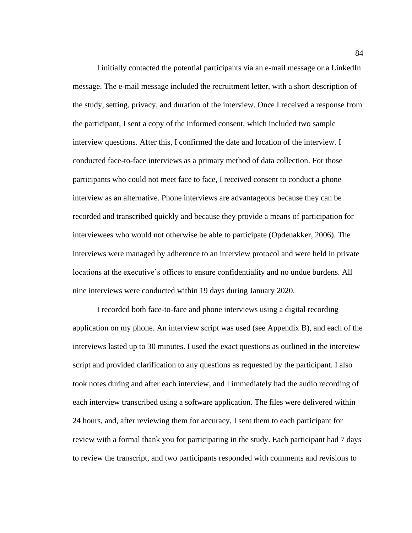I initially contacted the potential participants via an e-mail message or a LinkedIn message. The e-mail message included the recruitment letter, with a short description of the study, setting, privacy, and duration of the interview. Once I received a response from the participant, I sent a copy of the informed consent, which included two sample interview questions. After this, I confirmed the date and location of the interview. I conducted face-to-face interviews as a primary method of data collection. For those participants who could not meet face to face, I received consent to conduct a phone interview as an alternative. Phone interviews are advantageous because they can be recorded and transcribed quickly and because they provide a means of participation for interviewees who would not otherwise be able to participate (Opdenakker, 2006). The interviews were managed by adherence to an interview protocol and were held in private locations at the executive's offices to ensure confidentiality and no undue burdens. All nine interviews were conducted within 19 days during January 2020.

I recorded both face-to-face and phone interviews using a digital recording application on my phone. An interview script was used (see Appendix B), and each of the interviews lasted up to 30 minutes. I used the exact questions as outlined in the interview script and provided clarification to any questions as requested by the participant. I also took notes during and after each interview, and I immediately had the audio recording of each interview transcribed using a software application. The files were delivered within 24 hours, and, after reviewing them for accuracy, I sent them to each participant for review with a formal thank you for participating in the study. Each participant had 7 days to review the transcript, and two participants responded with comments and revisions to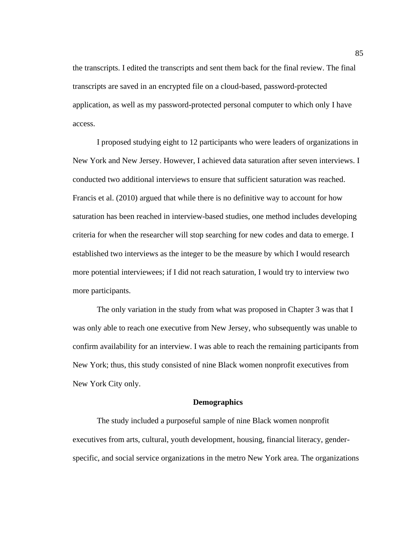the transcripts. I edited the transcripts and sent them back for the final review. The final transcripts are saved in an encrypted file on a cloud-based, password-protected application, as well as my password-protected personal computer to which only I have access.

I proposed studying eight to 12 participants who were leaders of organizations in New York and New Jersey. However, I achieved data saturation after seven interviews. I conducted two additional interviews to ensure that sufficient saturation was reached. Francis et al. (2010) argued that while there is no definitive way to account for how saturation has been reached in interview-based studies, one method includes developing criteria for when the researcher will stop searching for new codes and data to emerge. I established two interviews as the integer to be the measure by which I would research more potential interviewees; if I did not reach saturation, I would try to interview two more participants.

The only variation in the study from what was proposed in Chapter 3 was that I was only able to reach one executive from New Jersey, who subsequently was unable to confirm availability for an interview. I was able to reach the remaining participants from New York; thus, this study consisted of nine Black women nonprofit executives from New York City only.

## **Demographics**

The study included a purposeful sample of nine Black women nonprofit executives from arts, cultural, youth development, housing, financial literacy, genderspecific, and social service organizations in the metro New York area. The organizations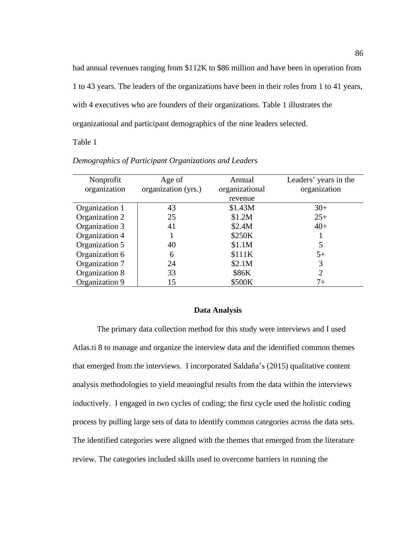had annual revenues ranging from \$112K to \$86 million and have been in operation from 1 to 43 years. The leaders of the organizations have been in their roles from 1 to 41 years, with 4 executives who are founders of their organizations. Table 1 illustrates the organizational and participant demographics of the nine leaders selected.

Table 1

| Nonprofit      | Age of              | Annual         | Leaders' years in the |
|----------------|---------------------|----------------|-----------------------|
| organization   | organization (yrs.) | organizational | organization          |
|                |                     | revenue        |                       |
| Organization 1 | 43                  | \$1.43M        | $30+$                 |
| Organization 2 | 25                  | \$1.2M         | $25+$                 |
| Organization 3 | 41                  | \$2.4M         | $40+$                 |
| Organization 4 |                     | \$250K         |                       |
| Organization 5 | 40                  | \$1.1M         | 5                     |
| Organization 6 | 6                   | \$111K         | $5+$                  |
| Organization 7 | 24                  | \$2.1M         | 3                     |
| Organization 8 | 33                  | \$86K          | 2                     |
| Organization 9 | 15                  | \$500K         | 7+                    |

*Demographics of Participant Organizations and Leaders*

#### **Data Analysis**

The primary data collection method for this study were interviews and I used Atlas.ti 8 to manage and organize the interview data and the identified common themes that emerged from the interviews. I incorporated Saldaña's (2015) qualitative content analysis methodologies to yield meaningful results from the data within the interviews inductively. I engaged in two cycles of coding; the first cycle used the holistic coding process by pulling large sets of data to identify common categories across the data sets. The identified categories were aligned with the themes that emerged from the literature review. The categories included skills used to overcome barriers in running the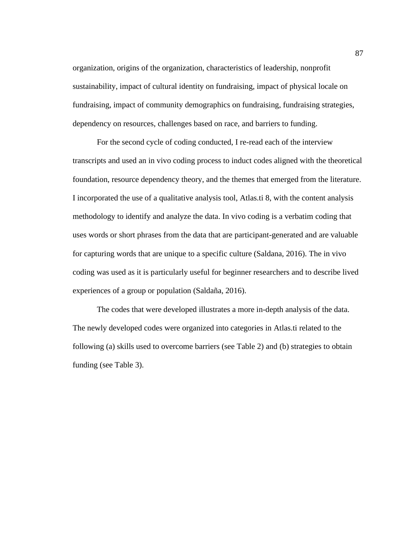organization, origins of the organization, characteristics of leadership, nonprofit sustainability, impact of cultural identity on fundraising, impact of physical locale on fundraising, impact of community demographics on fundraising, fundraising strategies, dependency on resources, challenges based on race, and barriers to funding.

For the second cycle of coding conducted, I re-read each of the interview transcripts and used an in vivo coding process to induct codes aligned with the theoretical foundation, resource dependency theory, and the themes that emerged from the literature. I incorporated the use of a qualitative analysis tool, Atlas.ti 8, with the content analysis methodology to identify and analyze the data. In vivo coding is a verbatim coding that uses words or short phrases from the data that are participant-generated and are valuable for capturing words that are unique to a specific culture (Saldana, 2016). The in vivo coding was used as it is particularly useful for beginner researchers and to describe lived experiences of a group or population (Saldaña, 2016).

The codes that were developed illustrates a more in-depth analysis of the data. The newly developed codes were organized into categories in Atlas.ti related to the following (a) skills used to overcome barriers (see Table 2) and (b) strategies to obtain funding (see Table 3).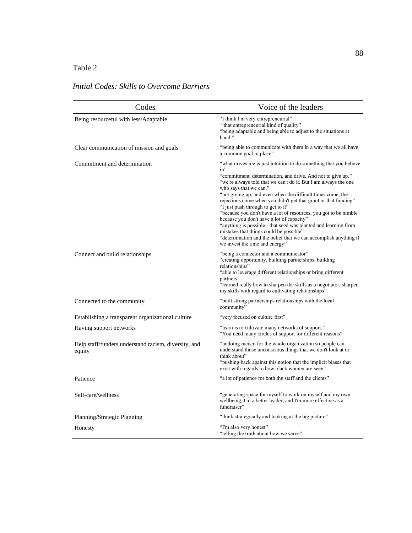# Table 2

# *Initial Codes: Skills to Overcome Barriers*

| Codes                                                          | Voice of the leaders                                                                                                                                                                                                                                                                                                                                                                                                                                                                                                                                                                                                                                                                                                                                  |  |
|----------------------------------------------------------------|-------------------------------------------------------------------------------------------------------------------------------------------------------------------------------------------------------------------------------------------------------------------------------------------------------------------------------------------------------------------------------------------------------------------------------------------------------------------------------------------------------------------------------------------------------------------------------------------------------------------------------------------------------------------------------------------------------------------------------------------------------|--|
| Being resourceful with less/Adaptable                          | "I think I'm very entrepreneurial"<br>"that entrepreneurial kind of quality"<br>"being adaptable and being able to adjust to the situations at<br>hand."                                                                                                                                                                                                                                                                                                                                                                                                                                                                                                                                                                                              |  |
| Clear communication of mission and goals                       | "being able to communicate with them in a way that we all have<br>a common goal in place"                                                                                                                                                                                                                                                                                                                                                                                                                                                                                                                                                                                                                                                             |  |
| Commitment and determination                                   | "what drives me is just intuition to do something that you believe<br>$in$ "<br>"commitment, determination, and drive. And not to give up."<br>"we're always told that we can't do it. But I am always the one<br>who says that we can."<br>"not giving up, and even when the difficult times come, the<br>rejections come when you didn't get that grant or that funding"<br>"I just push through to get to it"<br>"because you don't have a lot of resources, you got to be nimble<br>because you don't have a lot of capacity"<br>"anything is possible - that seed was planted and learning from<br>mistakes that things could be possible"<br>"determination and the belief that we can accomplish anything if<br>we invest the time and energy" |  |
| Connect and build relationships                                | "being a connector and a communicator"<br>"creating opportunity, building partnerships, building<br>relationships"<br>"able to leverage different relationships or bring different<br>partners"<br>"learned really how to sharpen the skills as a negotiator, sharpen<br>my skills with regard to cultivating relationships"                                                                                                                                                                                                                                                                                                                                                                                                                          |  |
| Connected to the community                                     | "built strong partnerships relationships with the local<br>community"                                                                                                                                                                                                                                                                                                                                                                                                                                                                                                                                                                                                                                                                                 |  |
| Establishing a transparent organizational culture              | "very focused on culture first"                                                                                                                                                                                                                                                                                                                                                                                                                                                                                                                                                                                                                                                                                                                       |  |
| Having support networks                                        | "learn is to cultivate many networks of support."<br>"You need many circles of support for different reasons"                                                                                                                                                                                                                                                                                                                                                                                                                                                                                                                                                                                                                                         |  |
| Help staff/funders understand racism, diversity, and<br>equity | "undoing racism for the whole organization so people can<br>understand those unconscious things that we don't look at or<br>think about"<br>"pushing back against this notion that the implicit biases that<br>exist with regards to how black women are seen"                                                                                                                                                                                                                                                                                                                                                                                                                                                                                        |  |
| Patience                                                       | "a lot of patience for both the staff and the clients"                                                                                                                                                                                                                                                                                                                                                                                                                                                                                                                                                                                                                                                                                                |  |
| Self-care/wellness                                             | "generating space for myself to work on myself and my own<br>wellbeing, I'm a better leader, and I'm more effective as a<br>fundraiser"                                                                                                                                                                                                                                                                                                                                                                                                                                                                                                                                                                                                               |  |
| Planning/Strategic Planning                                    | "think strategically and looking at the big picture"                                                                                                                                                                                                                                                                                                                                                                                                                                                                                                                                                                                                                                                                                                  |  |
| Honesty                                                        | "I'm also very honest"<br>"telling the truth about how we serve"                                                                                                                                                                                                                                                                                                                                                                                                                                                                                                                                                                                                                                                                                      |  |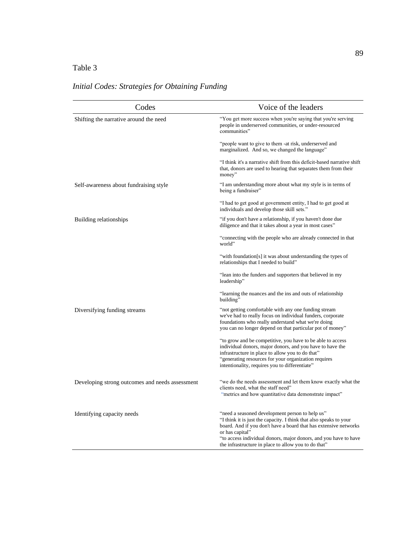## Table 3

# Codes Voice of the leaders Shifting the narrative around the need "You get more success when you're saying that you're serving people in underserved communities, or under-resourced communities" "people want to give to them -at risk, underserved and marginalized. And so, we changed the language" "I think it's a narrative shift from this deficit-based narrative shift that, donors are used to hearing that separates them from their money" Self-awareness about fundraising style "I am understanding more about what my style is in terms of being a fundraiser" "I had to get good at government entity, I had to get good at individuals and develop those skill sets." Building relationships "if you don't have a relationship, if you haven't done due diligence and that it takes about a year in most cases" "connecting with the people who are already connected in that world" "with foundation[s] it was about understanding the types of relationships that I needed to build" "lean into the funders and supporters that believed in my leadership" "learning the nuances and the ins and outs of relationship building' Diversifying funding streams "not getting comfortable with any one funding stream we've had to really focus on individual funders, corporate foundations who really understand what we're doing you can no longer depend on that particular pot of money" "to grow and be competitive, you have to be able to access individual donors, major donors, and you have to have the infrastructure in place to allow you to do that" "generating resources for your organization requires intentionality, requires you to differentiate" Developing strong outcomes and needs assessment "we do the needs assessment and let them know exactly what the clients need, what the staff need" "metrics and how quantitative data demonstrate impact" Identifying capacity needs "need a seasoned development person to help us" "I think it is just the capacity. I think that also speaks to your board. And if you don't have a board that has extensive networks or has capital" "to access individual donors, major donors, and you have to have the infrastructure in place to allow you to do that"

# *Initial Codes: Strategies for Obtaining Funding*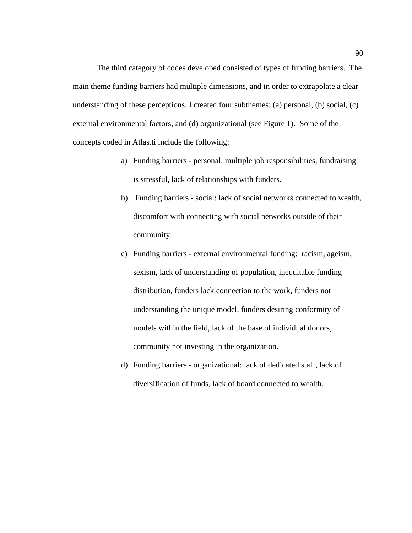The third category of codes developed consisted of types of funding barriers. The main theme funding barriers had multiple dimensions, and in order to extrapolate a clear understanding of these perceptions, I created four subthemes: (a) personal, (b) social, (c) external environmental factors, and (d) organizational (see Figure 1). Some of the concepts coded in Atlas.ti include the following:

- a) Funding barriers personal: multiple job responsibilities, fundraising is stressful, lack of relationships with funders.
- b) Funding barriers social: lack of social networks connected to wealth, discomfort with connecting with social networks outside of their community.
- c) Funding barriers external environmental funding: racism, ageism, sexism, lack of understanding of population, inequitable funding distribution, funders lack connection to the work, funders not understanding the unique model, funders desiring conformity of models within the field, lack of the base of individual donors, community not investing in the organization.
- d) Funding barriers organizational: lack of dedicated staff, lack of diversification of funds, lack of board connected to wealth.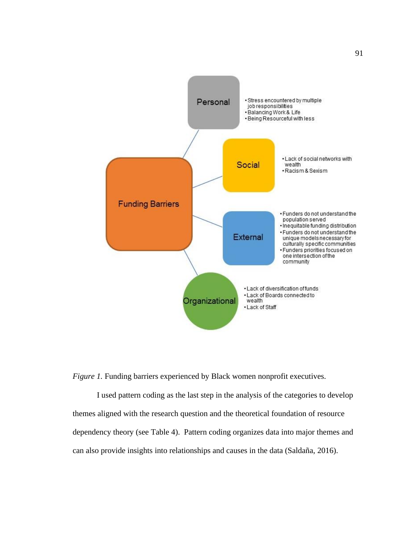

*Figure 1.* Funding barriers experienced by Black women nonprofit executives.

I used pattern coding as the last step in the analysis of the categories to develop themes aligned with the research question and the theoretical foundation of resource dependency theory (see Table 4). Pattern coding organizes data into major themes and can also provide insights into relationships and causes in the data (Saldaña, 2016).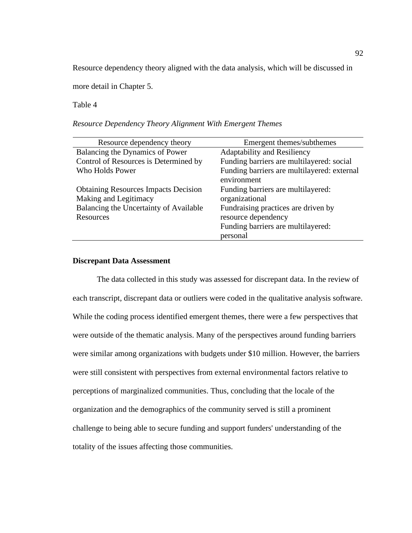Resource dependency theory aligned with the data analysis, which will be discussed in

more detail in Chapter 5.

Table 4

*Resource Dependency Theory Alignment With Emergent Themes*

| Resource dependency theory                  | Emergent themes/subthemes                                  |  |
|---------------------------------------------|------------------------------------------------------------|--|
| Balancing the Dynamics of Power             | Adaptability and Resiliency                                |  |
| Control of Resources is Determined by       | Funding barriers are multilayered: social                  |  |
| Who Holds Power                             | Funding barriers are multilayered: external<br>environment |  |
| <b>Obtaining Resources Impacts Decision</b> | Funding barriers are multilayered:                         |  |
| Making and Legitimacy                       | organizational                                             |  |
| Balancing the Uncertainty of Available      | Fundraising practices are driven by                        |  |
| Resources                                   | resource dependency                                        |  |
|                                             | Funding barriers are multilayered:                         |  |
|                                             | personal                                                   |  |

## **Discrepant Data Assessment**

The data collected in this study was assessed for discrepant data. In the review of each transcript, discrepant data or outliers were coded in the qualitative analysis software. While the coding process identified emergent themes, there were a few perspectives that were outside of the thematic analysis. Many of the perspectives around funding barriers were similar among organizations with budgets under \$10 million. However, the barriers were still consistent with perspectives from external environmental factors relative to perceptions of marginalized communities. Thus, concluding that the locale of the organization and the demographics of the community served is still a prominent challenge to being able to secure funding and support funders' understanding of the totality of the issues affecting those communities.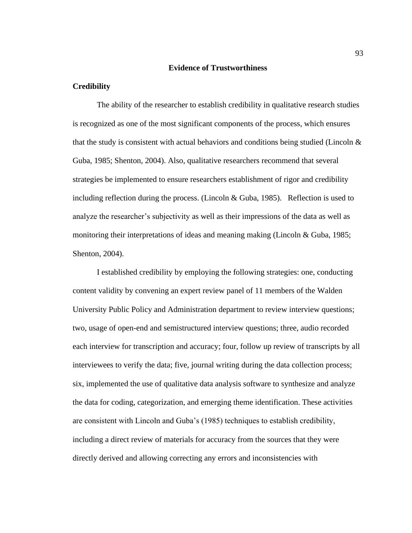#### **Evidence of Trustworthiness**

## **Credibility**

The ability of the researcher to establish credibility in qualitative research studies is recognized as one of the most significant components of the process, which ensures that the study is consistent with actual behaviors and conditions being studied (Lincoln  $\&$ Guba, 1985; Shenton, 2004). Also, qualitative researchers recommend that several strategies be implemented to ensure researchers establishment of rigor and credibility including reflection during the process. (Lincoln & Guba, 1985). Reflection is used to analyze the researcher's subjectivity as well as their impressions of the data as well as monitoring their interpretations of ideas and meaning making (Lincoln & Guba, 1985; Shenton, 2004).

I established credibility by employing the following strategies: one, conducting content validity by convening an expert review panel of 11 members of the Walden University Public Policy and Administration department to review interview questions; two, usage of open-end and semistructured interview questions; three, audio recorded each interview for transcription and accuracy; four, follow up review of transcripts by all interviewees to verify the data; five, journal writing during the data collection process; six, implemented the use of qualitative data analysis software to synthesize and analyze the data for coding, categorization, and emerging theme identification. These activities are consistent with Lincoln and Guba's (1985) techniques to establish credibility, including a direct review of materials for accuracy from the sources that they were directly derived and allowing correcting any errors and inconsistencies with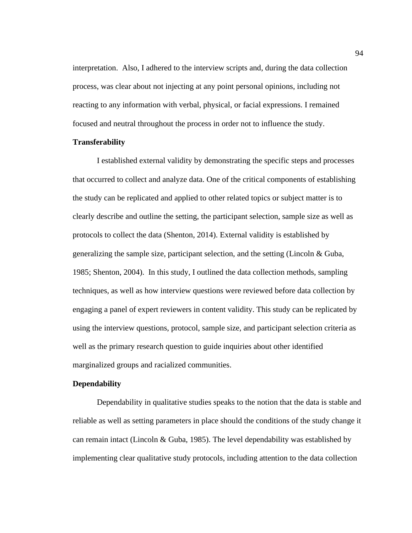interpretation. Also, I adhered to the interview scripts and, during the data collection process, was clear about not injecting at any point personal opinions, including not reacting to any information with verbal, physical, or facial expressions. I remained focused and neutral throughout the process in order not to influence the study.

## **Transferability**

I established external validity by demonstrating the specific steps and processes that occurred to collect and analyze data. One of the critical components of establishing the study can be replicated and applied to other related topics or subject matter is to clearly describe and outline the setting, the participant selection, sample size as well as protocols to collect the data (Shenton, 2014). External validity is established by generalizing the sample size, participant selection, and the setting (Lincoln & Guba, 1985; Shenton, 2004). In this study, I outlined the data collection methods, sampling techniques, as well as how interview questions were reviewed before data collection by engaging a panel of expert reviewers in content validity. This study can be replicated by using the interview questions, protocol, sample size, and participant selection criteria as well as the primary research question to guide inquiries about other identified marginalized groups and racialized communities.

#### **Dependability**

Dependability in qualitative studies speaks to the notion that the data is stable and reliable as well as setting parameters in place should the conditions of the study change it can remain intact (Lincoln & Guba, 1985). The level dependability was established by implementing clear qualitative study protocols, including attention to the data collection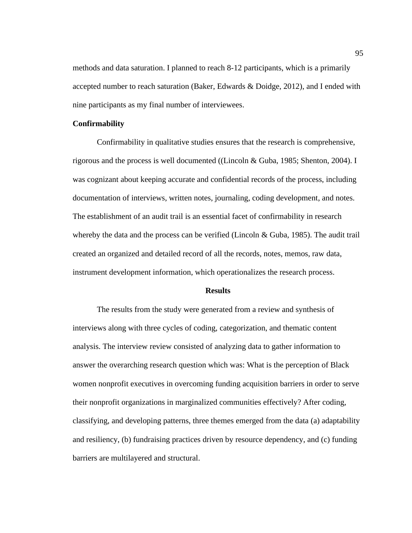methods and data saturation. I planned to reach 8-12 participants, which is a primarily accepted number to reach saturation (Baker, Edwards & Doidge, 2012), and I ended with nine participants as my final number of interviewees.

## **Confirmability**

Confirmability in qualitative studies ensures that the research is comprehensive, rigorous and the process is well documented ((Lincoln & Guba, 1985; Shenton, 2004). I was cognizant about keeping accurate and confidential records of the process, including documentation of interviews, written notes, journaling, coding development, and notes. The establishment of an audit trail is an essential facet of confirmability in research whereby the data and the process can be verified (Lincoln & Guba, 1985). The audit trail created an organized and detailed record of all the records, notes, memos, raw data, instrument development information, which operationalizes the research process.

### **Results**

The results from the study were generated from a review and synthesis of interviews along with three cycles of coding, categorization, and thematic content analysis. The interview review consisted of analyzing data to gather information to answer the overarching research question which was: What is the perception of Black women nonprofit executives in overcoming funding acquisition barriers in order to serve their nonprofit organizations in marginalized communities effectively? After coding, classifying, and developing patterns, three themes emerged from the data (a) adaptability and resiliency, (b) fundraising practices driven by resource dependency, and (c) funding barriers are multilayered and structural.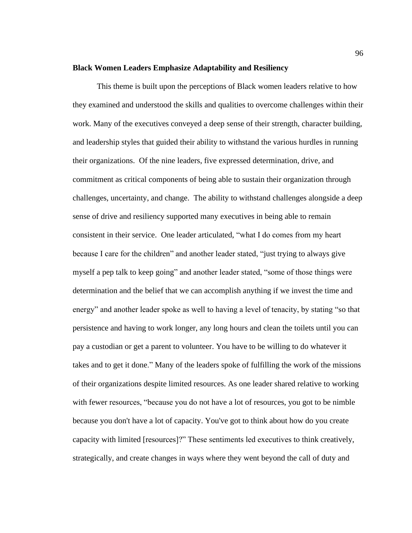### **Black Women Leaders Emphasize Adaptability and Resiliency**

This theme is built upon the perceptions of Black women leaders relative to how they examined and understood the skills and qualities to overcome challenges within their work. Many of the executives conveyed a deep sense of their strength, character building, and leadership styles that guided their ability to withstand the various hurdles in running their organizations. Of the nine leaders, five expressed determination, drive, and commitment as critical components of being able to sustain their organization through challenges, uncertainty, and change. The ability to withstand challenges alongside a deep sense of drive and resiliency supported many executives in being able to remain consistent in their service. One leader articulated, "what I do comes from my heart because I care for the children" and another leader stated, "just trying to always give myself a pep talk to keep going" and another leader stated, "some of those things were determination and the belief that we can accomplish anything if we invest the time and energy" and another leader spoke as well to having a level of tenacity, by stating "so that persistence and having to work longer, any long hours and clean the toilets until you can pay a custodian or get a parent to volunteer. You have to be willing to do whatever it takes and to get it done." Many of the leaders spoke of fulfilling the work of the missions of their organizations despite limited resources. As one leader shared relative to working with fewer resources, "because you do not have a lot of resources, you got to be nimble because you don't have a lot of capacity. You've got to think about how do you create capacity with limited [resources]?" These sentiments led executives to think creatively, strategically, and create changes in ways where they went beyond the call of duty and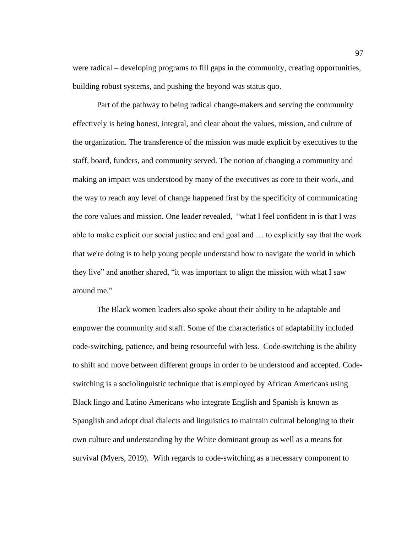were radical – developing programs to fill gaps in the community, creating opportunities, building robust systems, and pushing the beyond was status quo.

Part of the pathway to being radical change-makers and serving the community effectively is being honest, integral, and clear about the values, mission, and culture of the organization. The transference of the mission was made explicit by executives to the staff, board, funders, and community served. The notion of changing a community and making an impact was understood by many of the executives as core to their work, and the way to reach any level of change happened first by the specificity of communicating the core values and mission. One leader revealed, "what I feel confident in is that I was able to make explicit our social justice and end goal and … to explicitly say that the work that we're doing is to help young people understand how to navigate the world in which they live" and another shared, "it was important to align the mission with what I saw around me."

The Black women leaders also spoke about their ability to be adaptable and empower the community and staff. Some of the characteristics of adaptability included code-switching, patience, and being resourceful with less. Code-switching is the ability to shift and move between different groups in order to be understood and accepted. Codeswitching is a sociolinguistic technique that is employed by African Americans using Black lingo and Latino Americans who integrate English and Spanish is known as Spanglish and adopt dual dialects and linguistics to maintain cultural belonging to their own culture and understanding by the White dominant group as well as a means for survival (Myers, 2019). With regards to code-switching as a necessary component to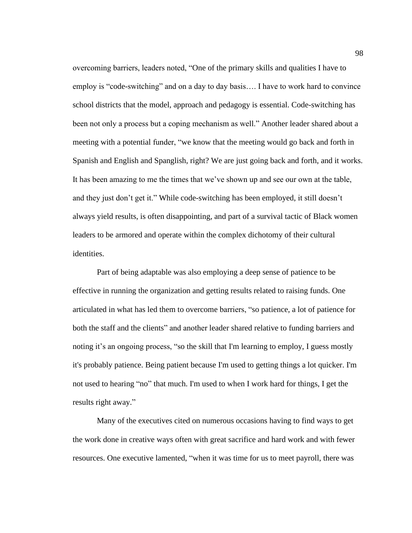overcoming barriers, leaders noted, "One of the primary skills and qualities I have to employ is "code-switching" and on a day to day basis…. I have to work hard to convince school districts that the model, approach and pedagogy is essential. Code-switching has been not only a process but a coping mechanism as well." Another leader shared about a meeting with a potential funder, "we know that the meeting would go back and forth in Spanish and English and Spanglish, right? We are just going back and forth, and it works. It has been amazing to me the times that we've shown up and see our own at the table, and they just don't get it." While code-switching has been employed, it still doesn't always yield results, is often disappointing, and part of a survival tactic of Black women leaders to be armored and operate within the complex dichotomy of their cultural identities.

Part of being adaptable was also employing a deep sense of patience to be effective in running the organization and getting results related to raising funds. One articulated in what has led them to overcome barriers, "so patience, a lot of patience for both the staff and the clients" and another leader shared relative to funding barriers and noting it's an ongoing process, "so the skill that I'm learning to employ, I guess mostly it's probably patience. Being patient because I'm used to getting things a lot quicker. I'm not used to hearing "no" that much. I'm used to when I work hard for things, I get the results right away."

Many of the executives cited on numerous occasions having to find ways to get the work done in creative ways often with great sacrifice and hard work and with fewer resources. One executive lamented, "when it was time for us to meet payroll, there was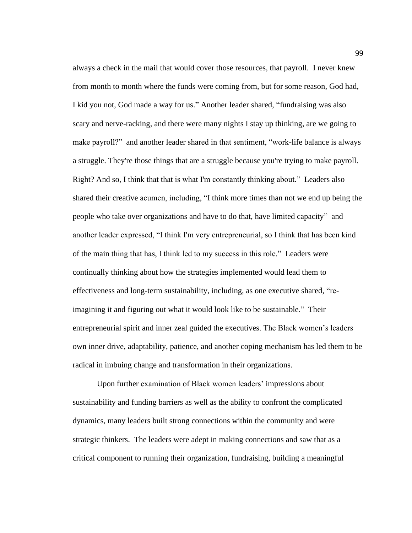always a check in the mail that would cover those resources, that payroll. I never knew from month to month where the funds were coming from, but for some reason, God had, I kid you not, God made a way for us." Another leader shared, "fundraising was also scary and nerve-racking, and there were many nights I stay up thinking, are we going to make payroll?" and another leader shared in that sentiment, "work-life balance is always a struggle. They're those things that are a struggle because you're trying to make payroll. Right? And so, I think that that is what I'm constantly thinking about." Leaders also shared their creative acumen, including, "I think more times than not we end up being the people who take over organizations and have to do that, have limited capacity" and another leader expressed, "I think I'm very entrepreneurial, so I think that has been kind of the main thing that has, I think led to my success in this role." Leaders were continually thinking about how the strategies implemented would lead them to effectiveness and long-term sustainability, including, as one executive shared, "reimagining it and figuring out what it would look like to be sustainable." Their entrepreneurial spirit and inner zeal guided the executives. The Black women's leaders own inner drive, adaptability, patience, and another coping mechanism has led them to be radical in imbuing change and transformation in their organizations.

Upon further examination of Black women leaders' impressions about sustainability and funding barriers as well as the ability to confront the complicated dynamics, many leaders built strong connections within the community and were strategic thinkers. The leaders were adept in making connections and saw that as a critical component to running their organization, fundraising, building a meaningful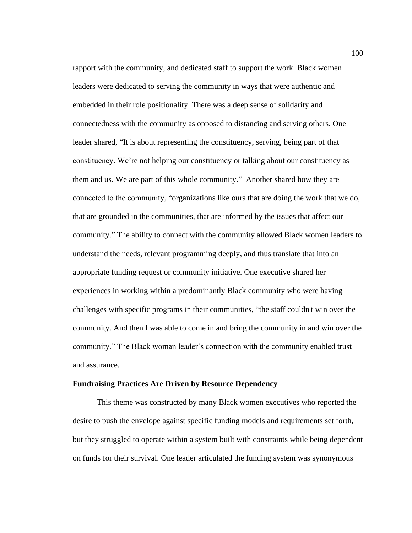rapport with the community, and dedicated staff to support the work. Black women leaders were dedicated to serving the community in ways that were authentic and embedded in their role positionality. There was a deep sense of solidarity and connectedness with the community as opposed to distancing and serving others. One leader shared, "It is about representing the constituency, serving, being part of that constituency. We're not helping our constituency or talking about our constituency as them and us. We are part of this whole community." Another shared how they are connected to the community, "organizations like ours that are doing the work that we do, that are grounded in the communities, that are informed by the issues that affect our community." The ability to connect with the community allowed Black women leaders to understand the needs, relevant programming deeply, and thus translate that into an appropriate funding request or community initiative. One executive shared her experiences in working within a predominantly Black community who were having challenges with specific programs in their communities, "the staff couldn't win over the community. And then I was able to come in and bring the community in and win over the community." The Black woman leader's connection with the community enabled trust and assurance.

#### **Fundraising Practices Are Driven by Resource Dependency**

This theme was constructed by many Black women executives who reported the desire to push the envelope against specific funding models and requirements set forth, but they struggled to operate within a system built with constraints while being dependent on funds for their survival. One leader articulated the funding system was synonymous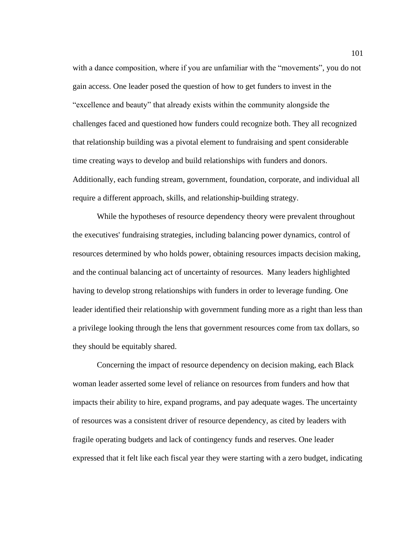with a dance composition, where if you are unfamiliar with the "movements", you do not gain access. One leader posed the question of how to get funders to invest in the "excellence and beauty" that already exists within the community alongside the challenges faced and questioned how funders could recognize both. They all recognized that relationship building was a pivotal element to fundraising and spent considerable time creating ways to develop and build relationships with funders and donors. Additionally, each funding stream, government, foundation, corporate, and individual all require a different approach, skills, and relationship-building strategy.

While the hypotheses of resource dependency theory were prevalent throughout the executives' fundraising strategies, including balancing power dynamics, control of resources determined by who holds power, obtaining resources impacts decision making, and the continual balancing act of uncertainty of resources. Many leaders highlighted having to develop strong relationships with funders in order to leverage funding. One leader identified their relationship with government funding more as a right than less than a privilege looking through the lens that government resources come from tax dollars, so they should be equitably shared.

Concerning the impact of resource dependency on decision making, each Black woman leader asserted some level of reliance on resources from funders and how that impacts their ability to hire, expand programs, and pay adequate wages. The uncertainty of resources was a consistent driver of resource dependency, as cited by leaders with fragile operating budgets and lack of contingency funds and reserves. One leader expressed that it felt like each fiscal year they were starting with a zero budget, indicating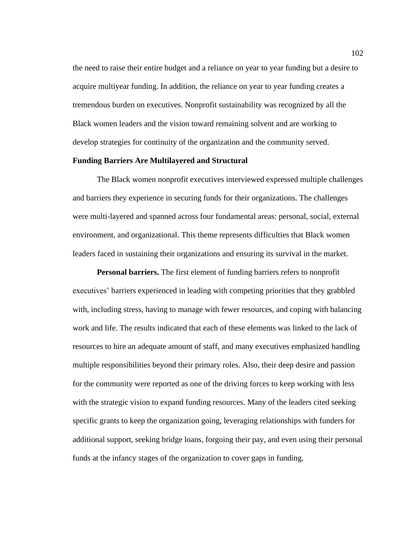the need to raise their entire budget and a reliance on year to year funding but a desire to acquire multiyear funding. In addition, the reliance on year to year funding creates a tremendous burden on executives. Nonprofit sustainability was recognized by all the Black women leaders and the vision toward remaining solvent and are working to develop strategies for continuity of the organization and the community served.

## **Funding Barriers Are Multilayered and Structural**

The Black women nonprofit executives interviewed expressed multiple challenges and barriers they experience in securing funds for their organizations. The challenges were multi-layered and spanned across four fundamental areas: personal, social, external environment, and organizational. This theme represents difficulties that Black women leaders faced in sustaining their organizations and ensuring its survival in the market.

**Personal barriers.** The first element of funding barriers refers to nonprofit executives' barriers experienced in leading with competing priorities that they grabbled with, including stress, having to manage with fewer resources, and coping with balancing work and life. The results indicated that each of these elements was linked to the lack of resources to hire an adequate amount of staff, and many executives emphasized handling multiple responsibilities beyond their primary roles. Also, their deep desire and passion for the community were reported as one of the driving forces to keep working with less with the strategic vision to expand funding resources. Many of the leaders cited seeking specific grants to keep the organization going, leveraging relationships with funders for additional support, seeking bridge loans, forgoing their pay, and even using their personal funds at the infancy stages of the organization to cover gaps in funding.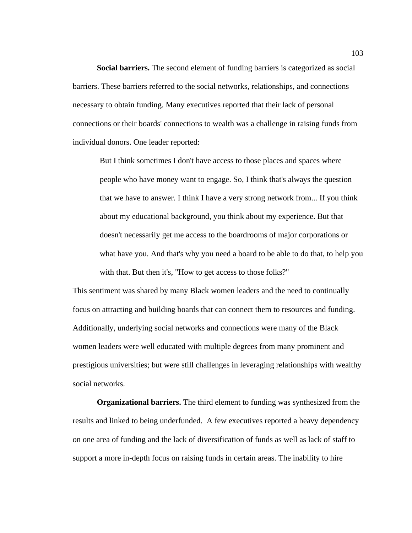**Social barriers.** The second element of funding barriers is categorized as social barriers. These barriers referred to the social networks, relationships, and connections necessary to obtain funding. Many executives reported that their lack of personal connections or their boards' connections to wealth was a challenge in raising funds from individual donors. One leader reported:

But I think sometimes I don't have access to those places and spaces where people who have money want to engage. So, I think that's always the question that we have to answer. I think I have a very strong network from... If you think about my educational background, you think about my experience. But that doesn't necessarily get me access to the boardrooms of major corporations or what have you. And that's why you need a board to be able to do that, to help you with that. But then it's, "How to get access to those folks?"

This sentiment was shared by many Black women leaders and the need to continually focus on attracting and building boards that can connect them to resources and funding. Additionally, underlying social networks and connections were many of the Black women leaders were well educated with multiple degrees from many prominent and prestigious universities; but were still challenges in leveraging relationships with wealthy social networks.

**Organizational barriers.** The third element to funding was synthesized from the results and linked to being underfunded. A few executives reported a heavy dependency on one area of funding and the lack of diversification of funds as well as lack of staff to support a more in-depth focus on raising funds in certain areas. The inability to hire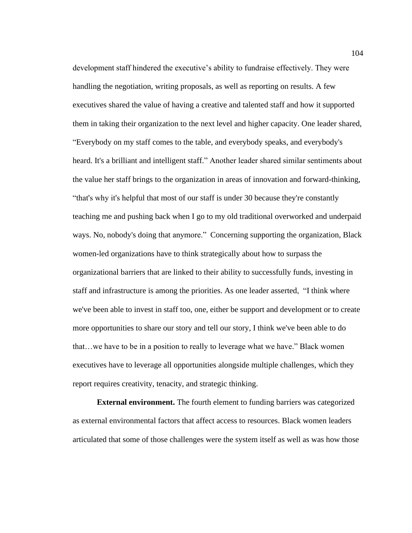development staff hindered the executive's ability to fundraise effectively. They were handling the negotiation, writing proposals, as well as reporting on results. A few executives shared the value of having a creative and talented staff and how it supported them in taking their organization to the next level and higher capacity. One leader shared, "Everybody on my staff comes to the table, and everybody speaks, and everybody's heard. It's a brilliant and intelligent staff." Another leader shared similar sentiments about the value her staff brings to the organization in areas of innovation and forward-thinking, "that's why it's helpful that most of our staff is under 30 because they're constantly teaching me and pushing back when I go to my old traditional overworked and underpaid ways. No, nobody's doing that anymore." Concerning supporting the organization, Black women-led organizations have to think strategically about how to surpass the organizational barriers that are linked to their ability to successfully funds, investing in staff and infrastructure is among the priorities. As one leader asserted, "I think where we've been able to invest in staff too, one, either be support and development or to create more opportunities to share our story and tell our story, I think we've been able to do that…we have to be in a position to really to leverage what we have." Black women executives have to leverage all opportunities alongside multiple challenges, which they report requires creativity, tenacity, and strategic thinking.

**External environment.** The fourth element to funding barriers was categorized as external environmental factors that affect access to resources. Black women leaders articulated that some of those challenges were the system itself as well as was how those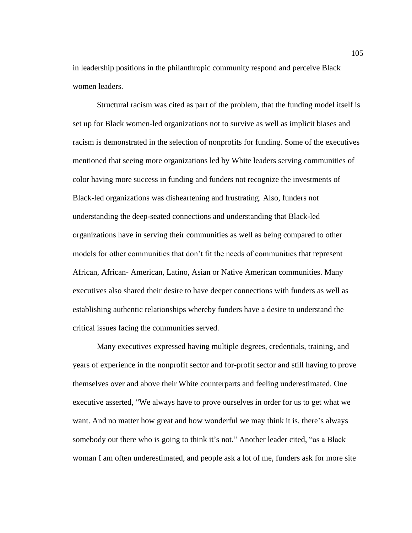in leadership positions in the philanthropic community respond and perceive Black women leaders.

Structural racism was cited as part of the problem, that the funding model itself is set up for Black women-led organizations not to survive as well as implicit biases and racism is demonstrated in the selection of nonprofits for funding. Some of the executives mentioned that seeing more organizations led by White leaders serving communities of color having more success in funding and funders not recognize the investments of Black-led organizations was disheartening and frustrating. Also, funders not understanding the deep-seated connections and understanding that Black-led organizations have in serving their communities as well as being compared to other models for other communities that don't fit the needs of communities that represent African, African- American, Latino, Asian or Native American communities. Many executives also shared their desire to have deeper connections with funders as well as establishing authentic relationships whereby funders have a desire to understand the critical issues facing the communities served.

Many executives expressed having multiple degrees, credentials, training, and years of experience in the nonprofit sector and for-profit sector and still having to prove themselves over and above their White counterparts and feeling underestimated. One executive asserted, "We always have to prove ourselves in order for us to get what we want. And no matter how great and how wonderful we may think it is, there's always somebody out there who is going to think it's not." Another leader cited, "as a Black woman I am often underestimated, and people ask a lot of me, funders ask for more site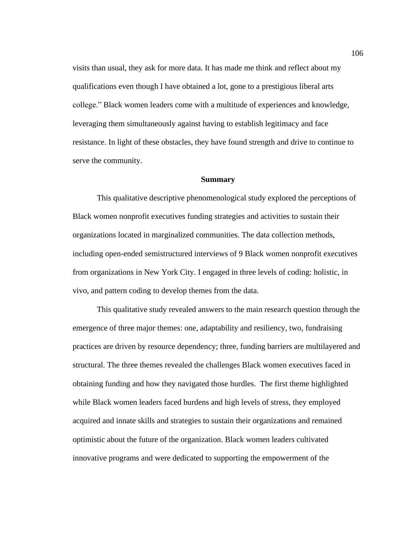visits than usual, they ask for more data. It has made me think and reflect about my qualifications even though I have obtained a lot, gone to a prestigious liberal arts college." Black women leaders come with a multitude of experiences and knowledge, leveraging them simultaneously against having to establish legitimacy and face resistance. In light of these obstacles, they have found strength and drive to continue to serve the community.

#### **Summary**

This qualitative descriptive phenomenological study explored the perceptions of Black women nonprofit executives funding strategies and activities to sustain their organizations located in marginalized communities. The data collection methods, including open-ended semistructured interviews of 9 Black women nonprofit executives from organizations in New York City. I engaged in three levels of coding: holistic, in vivo, and pattern coding to develop themes from the data.

This qualitative study revealed answers to the main research question through the emergence of three major themes: one, adaptability and resiliency, two, fundraising practices are driven by resource dependency; three, funding barriers are multilayered and structural. The three themes revealed the challenges Black women executives faced in obtaining funding and how they navigated those hurdles. The first theme highlighted while Black women leaders faced burdens and high levels of stress, they employed acquired and innate skills and strategies to sustain their organizations and remained optimistic about the future of the organization. Black women leaders cultivated innovative programs and were dedicated to supporting the empowerment of the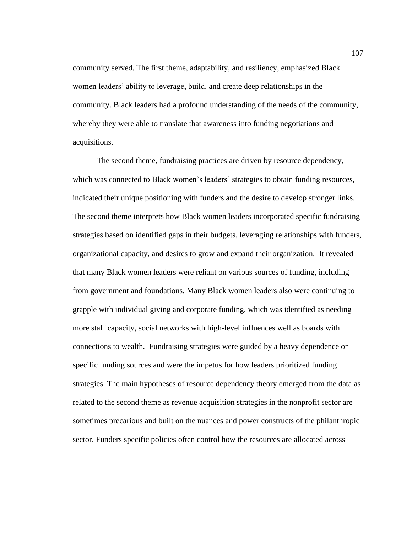community served. The first theme, adaptability, and resiliency, emphasized Black women leaders' ability to leverage, build, and create deep relationships in the community. Black leaders had a profound understanding of the needs of the community, whereby they were able to translate that awareness into funding negotiations and acquisitions.

The second theme, fundraising practices are driven by resource dependency, which was connected to Black women's leaders' strategies to obtain funding resources, indicated their unique positioning with funders and the desire to develop stronger links. The second theme interprets how Black women leaders incorporated specific fundraising strategies based on identified gaps in their budgets, leveraging relationships with funders, organizational capacity, and desires to grow and expand their organization. It revealed that many Black women leaders were reliant on various sources of funding, including from government and foundations. Many Black women leaders also were continuing to grapple with individual giving and corporate funding, which was identified as needing more staff capacity, social networks with high-level influences well as boards with connections to wealth. Fundraising strategies were guided by a heavy dependence on specific funding sources and were the impetus for how leaders prioritized funding strategies. The main hypotheses of resource dependency theory emerged from the data as related to the second theme as revenue acquisition strategies in the nonprofit sector are sometimes precarious and built on the nuances and power constructs of the philanthropic sector. Funders specific policies often control how the resources are allocated across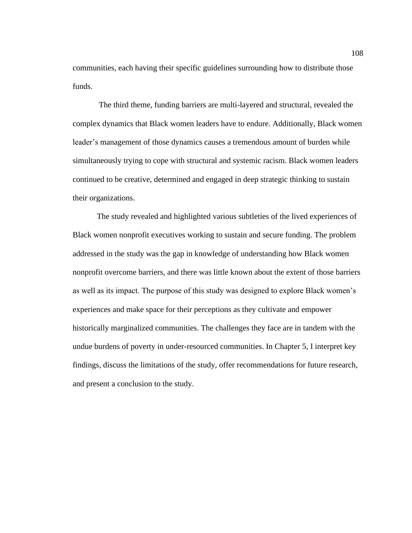communities, each having their specific guidelines surrounding how to distribute those funds.

The third theme, funding barriers are multi-layered and structural, revealed the complex dynamics that Black women leaders have to endure. Additionally, Black women leader's management of those dynamics causes a tremendous amount of burden while simultaneously trying to cope with structural and systemic racism. Black women leaders continued to be creative, determined and engaged in deep strategic thinking to sustain their organizations.

The study revealed and highlighted various subtleties of the lived experiences of Black women nonprofit executives working to sustain and secure funding. The problem addressed in the study was the gap in knowledge of understanding how Black women nonprofit overcome barriers, and there was little known about the extent of those barriers as well as its impact. The purpose of this study was designed to explore Black women's experiences and make space for their perceptions as they cultivate and empower historically marginalized communities. The challenges they face are in tandem with the undue burdens of poverty in under-resourced communities. In Chapter 5, I interpret key findings, discuss the limitations of the study, offer recommendations for future research, and present a conclusion to the study.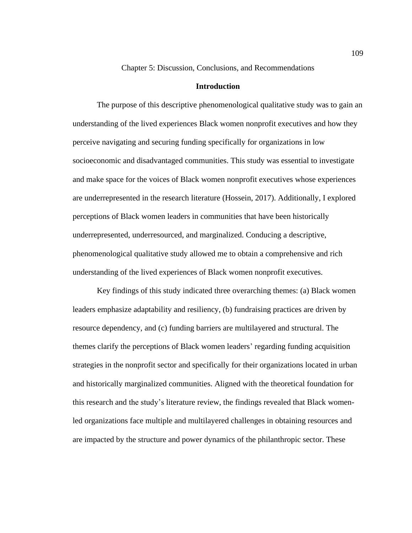Chapter 5: Discussion, Conclusions, and Recommendations

### **Introduction**

The purpose of this descriptive phenomenological qualitative study was to gain an understanding of the lived experiences Black women nonprofit executives and how they perceive navigating and securing funding specifically for organizations in low socioeconomic and disadvantaged communities. This study was essential to investigate and make space for the voices of Black women nonprofit executives whose experiences are underrepresented in the research literature (Hossein, 2017). Additionally, I explored perceptions of Black women leaders in communities that have been historically underrepresented, underresourced, and marginalized. Conducing a descriptive, phenomenological qualitative study allowed me to obtain a comprehensive and rich understanding of the lived experiences of Black women nonprofit executives.

Key findings of this study indicated three overarching themes: (a) Black women leaders emphasize adaptability and resiliency, (b) fundraising practices are driven by resource dependency, and (c) funding barriers are multilayered and structural. The themes clarify the perceptions of Black women leaders' regarding funding acquisition strategies in the nonprofit sector and specifically for their organizations located in urban and historically marginalized communities. Aligned with the theoretical foundation for this research and the study's literature review, the findings revealed that Black womenled organizations face multiple and multilayered challenges in obtaining resources and are impacted by the structure and power dynamics of the philanthropic sector. These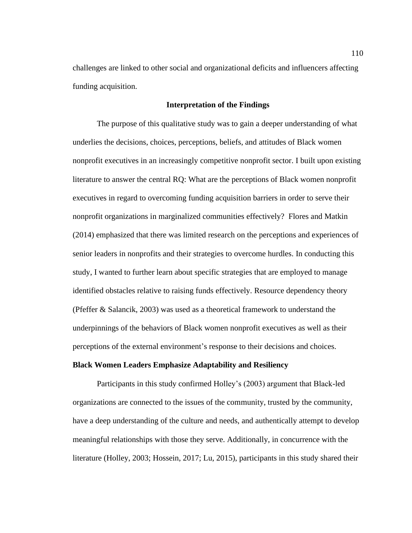challenges are linked to other social and organizational deficits and influencers affecting funding acquisition.

#### **Interpretation of the Findings**

The purpose of this qualitative study was to gain a deeper understanding of what underlies the decisions, choices, perceptions, beliefs, and attitudes of Black women nonprofit executives in an increasingly competitive nonprofit sector. I built upon existing literature to answer the central RQ: What are the perceptions of Black women nonprofit executives in regard to overcoming funding acquisition barriers in order to serve their nonprofit organizations in marginalized communities effectively? Flores and Matkin (2014) emphasized that there was limited research on the perceptions and experiences of senior leaders in nonprofits and their strategies to overcome hurdles. In conducting this study, I wanted to further learn about specific strategies that are employed to manage identified obstacles relative to raising funds effectively. Resource dependency theory (Pfeffer & Salancik, 2003) was used as a theoretical framework to understand the underpinnings of the behaviors of Black women nonprofit executives as well as their perceptions of the external environment's response to their decisions and choices.

#### **Black Women Leaders Emphasize Adaptability and Resiliency**

Participants in this study confirmed Holley's (2003) argument that Black-led organizations are connected to the issues of the community, trusted by the community, have a deep understanding of the culture and needs, and authentically attempt to develop meaningful relationships with those they serve. Additionally, in concurrence with the literature (Holley, 2003; Hossein, 2017; Lu, 2015), participants in this study shared their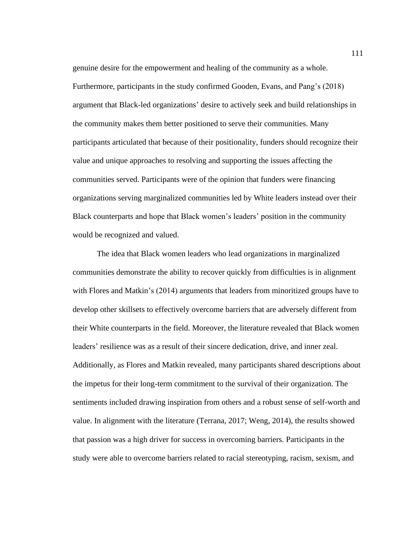genuine desire for the empowerment and healing of the community as a whole. Furthermore, participants in the study confirmed Gooden, Evans, and Pang's (2018) argument that Black-led organizations' desire to actively seek and build relationships in the community makes them better positioned to serve their communities. Many participants articulated that because of their positionality, funders should recognize their value and unique approaches to resolving and supporting the issues affecting the communities served. Participants were of the opinion that funders were financing organizations serving marginalized communities led by White leaders instead over their Black counterparts and hope that Black women's leaders' position in the community would be recognized and valued.

The idea that Black women leaders who lead organizations in marginalized communities demonstrate the ability to recover quickly from difficulties is in alignment with Flores and Matkin's (2014) arguments that leaders from minoritized groups have to develop other skillsets to effectively overcome barriers that are adversely different from their White counterparts in the field. Moreover, the literature revealed that Black women leaders' resilience was as a result of their sincere dedication, drive, and inner zeal. Additionally, as Flores and Matkin revealed, many participants shared descriptions about the impetus for their long-term commitment to the survival of their organization. The sentiments included drawing inspiration from others and a robust sense of self-worth and value. In alignment with the literature (Terrana, 2017; Weng, 2014), the results showed that passion was a high driver for success in overcoming barriers. Participants in the study were able to overcome barriers related to racial stereotyping, racism, sexism, and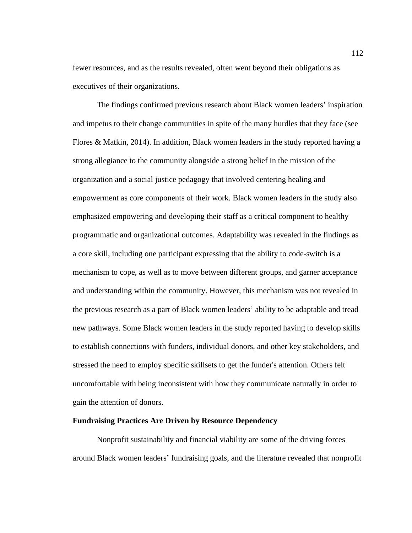fewer resources, and as the results revealed, often went beyond their obligations as executives of their organizations.

The findings confirmed previous research about Black women leaders' inspiration and impetus to their change communities in spite of the many hurdles that they face (see Flores & Matkin, 2014). In addition, Black women leaders in the study reported having a strong allegiance to the community alongside a strong belief in the mission of the organization and a social justice pedagogy that involved centering healing and empowerment as core components of their work. Black women leaders in the study also emphasized empowering and developing their staff as a critical component to healthy programmatic and organizational outcomes. Adaptability was revealed in the findings as a core skill, including one participant expressing that the ability to code-switch is a mechanism to cope, as well as to move between different groups, and garner acceptance and understanding within the community. However, this mechanism was not revealed in the previous research as a part of Black women leaders' ability to be adaptable and tread new pathways. Some Black women leaders in the study reported having to develop skills to establish connections with funders, individual donors, and other key stakeholders, and stressed the need to employ specific skillsets to get the funder's attention. Others felt uncomfortable with being inconsistent with how they communicate naturally in order to gain the attention of donors.

#### **Fundraising Practices Are Driven by Resource Dependency**

Nonprofit sustainability and financial viability are some of the driving forces around Black women leaders' fundraising goals, and the literature revealed that nonprofit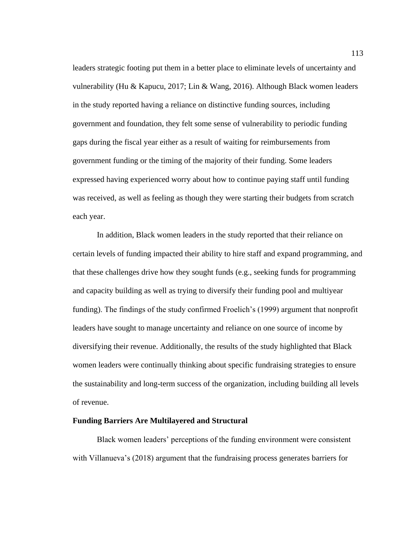leaders strategic footing put them in a better place to eliminate levels of uncertainty and vulnerability (Hu & Kapucu, 2017; Lin & Wang, 2016). Although Black women leaders in the study reported having a reliance on distinctive funding sources, including government and foundation, they felt some sense of vulnerability to periodic funding gaps during the fiscal year either as a result of waiting for reimbursements from government funding or the timing of the majority of their funding. Some leaders expressed having experienced worry about how to continue paying staff until funding was received, as well as feeling as though they were starting their budgets from scratch each year.

In addition, Black women leaders in the study reported that their reliance on certain levels of funding impacted their ability to hire staff and expand programming, and that these challenges drive how they sought funds (e.g., seeking funds for programming and capacity building as well as trying to diversify their funding pool and multiyear funding). The findings of the study confirmed Froelich's (1999) argument that nonprofit leaders have sought to manage uncertainty and reliance on one source of income by diversifying their revenue. Additionally, the results of the study highlighted that Black women leaders were continually thinking about specific fundraising strategies to ensure the sustainability and long-term success of the organization, including building all levels of revenue.

### **Funding Barriers Are Multilayered and Structural**

Black women leaders' perceptions of the funding environment were consistent with Villanueva's (2018) argument that the fundraising process generates barriers for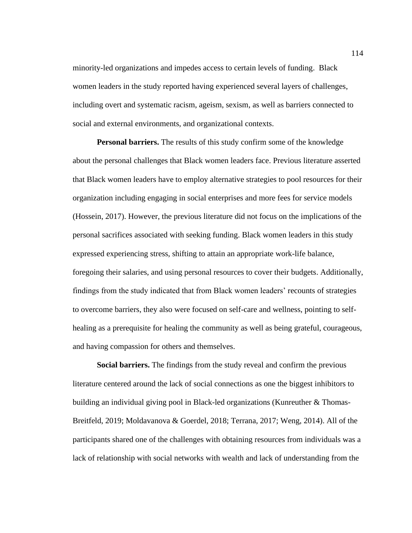minority-led organizations and impedes access to certain levels of funding. Black women leaders in the study reported having experienced several layers of challenges, including overt and systematic racism, ageism, sexism, as well as barriers connected to social and external environments, and organizational contexts.

**Personal barriers.** The results of this study confirm some of the knowledge about the personal challenges that Black women leaders face. Previous literature asserted that Black women leaders have to employ alternative strategies to pool resources for their organization including engaging in social enterprises and more fees for service models (Hossein, 2017). However, the previous literature did not focus on the implications of the personal sacrifices associated with seeking funding. Black women leaders in this study expressed experiencing stress, shifting to attain an appropriate work-life balance, foregoing their salaries, and using personal resources to cover their budgets. Additionally, findings from the study indicated that from Black women leaders' recounts of strategies to overcome barriers, they also were focused on self-care and wellness, pointing to selfhealing as a prerequisite for healing the community as well as being grateful, courageous, and having compassion for others and themselves.

**Social barriers.** The findings from the study reveal and confirm the previous literature centered around the lack of social connections as one the biggest inhibitors to building an individual giving pool in Black-led organizations (Kunreuther & Thomas-Breitfeld, 2019; Moldavanova & Goerdel, 2018; Terrana, 2017; Weng, 2014). All of the participants shared one of the challenges with obtaining resources from individuals was a lack of relationship with social networks with wealth and lack of understanding from the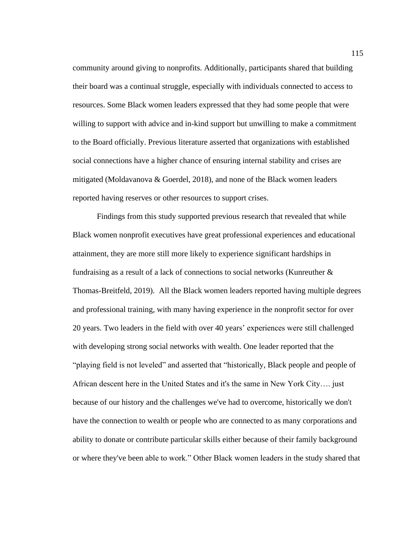community around giving to nonprofits. Additionally, participants shared that building their board was a continual struggle, especially with individuals connected to access to resources. Some Black women leaders expressed that they had some people that were willing to support with advice and in-kind support but unwilling to make a commitment to the Board officially. Previous literature asserted that organizations with established social connections have a higher chance of ensuring internal stability and crises are mitigated (Moldavanova & Goerdel, 2018), and none of the Black women leaders reported having reserves or other resources to support crises.

Findings from this study supported previous research that revealed that while Black women nonprofit executives have great professional experiences and educational attainment, they are more still more likely to experience significant hardships in fundraising as a result of a lack of connections to social networks (Kunreuther & Thomas-Breitfeld, 2019). All the Black women leaders reported having multiple degrees and professional training, with many having experience in the nonprofit sector for over 20 years. Two leaders in the field with over 40 years' experiences were still challenged with developing strong social networks with wealth. One leader reported that the "playing field is not leveled" and asserted that "historically, Black people and people of African descent here in the United States and it's the same in New York City…. just because of our history and the challenges we've had to overcome, historically we don't have the connection to wealth or people who are connected to as many corporations and ability to donate or contribute particular skills either because of their family background or where they've been able to work." Other Black women leaders in the study shared that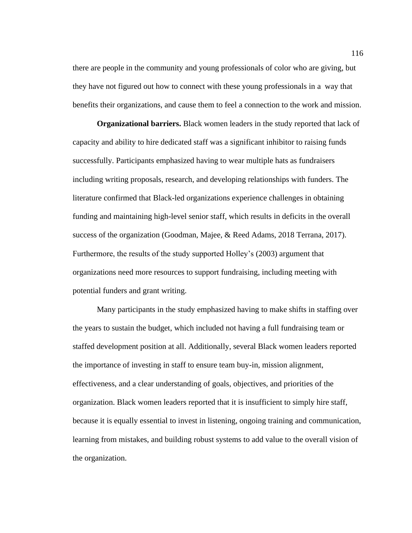there are people in the community and young professionals of color who are giving, but they have not figured out how to connect with these young professionals in a way that benefits their organizations, and cause them to feel a connection to the work and mission.

**Organizational barriers.** Black women leaders in the study reported that lack of capacity and ability to hire dedicated staff was a significant inhibitor to raising funds successfully. Participants emphasized having to wear multiple hats as fundraisers including writing proposals, research, and developing relationships with funders. The literature confirmed that Black-led organizations experience challenges in obtaining funding and maintaining high-level senior staff, which results in deficits in the overall success of the organization (Goodman, Majee, & Reed Adams, 2018 Terrana, 2017). Furthermore, the results of the study supported Holley's (2003) argument that organizations need more resources to support fundraising, including meeting with potential funders and grant writing.

Many participants in the study emphasized having to make shifts in staffing over the years to sustain the budget, which included not having a full fundraising team or staffed development position at all. Additionally, several Black women leaders reported the importance of investing in staff to ensure team buy-in, mission alignment, effectiveness, and a clear understanding of goals, objectives, and priorities of the organization. Black women leaders reported that it is insufficient to simply hire staff, because it is equally essential to invest in listening, ongoing training and communication, learning from mistakes, and building robust systems to add value to the overall vision of the organization.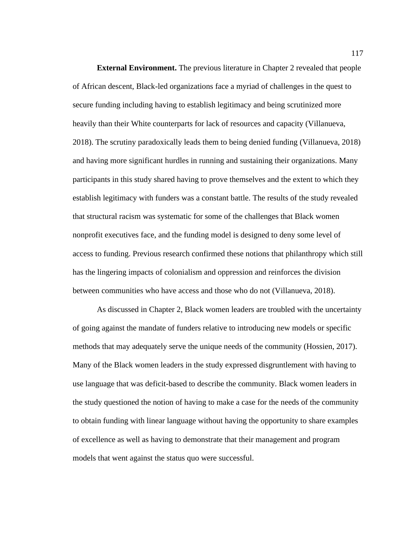**External Environment.** The previous literature in Chapter 2 revealed that people of African descent, Black-led organizations face a myriad of challenges in the quest to secure funding including having to establish legitimacy and being scrutinized more heavily than their White counterparts for lack of resources and capacity (Villanueva, 2018). The scrutiny paradoxically leads them to being denied funding (Villanueva, 2018) and having more significant hurdles in running and sustaining their organizations. Many participants in this study shared having to prove themselves and the extent to which they establish legitimacy with funders was a constant battle. The results of the study revealed that structural racism was systematic for some of the challenges that Black women nonprofit executives face, and the funding model is designed to deny some level of access to funding. Previous research confirmed these notions that philanthropy which still has the lingering impacts of colonialism and oppression and reinforces the division between communities who have access and those who do not (Villanueva, 2018).

As discussed in Chapter 2, Black women leaders are troubled with the uncertainty of going against the mandate of funders relative to introducing new models or specific methods that may adequately serve the unique needs of the community (Hossien, 2017). Many of the Black women leaders in the study expressed disgruntlement with having to use language that was deficit-based to describe the community. Black women leaders in the study questioned the notion of having to make a case for the needs of the community to obtain funding with linear language without having the opportunity to share examples of excellence as well as having to demonstrate that their management and program models that went against the status quo were successful.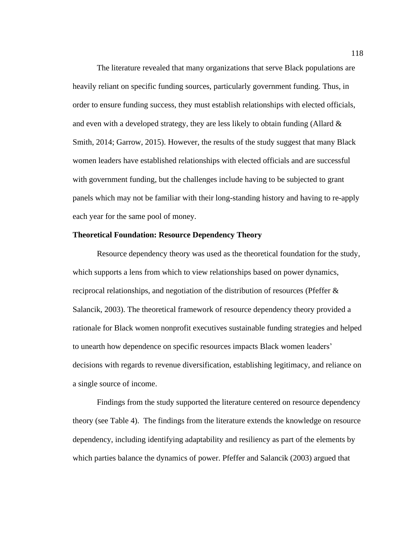The literature revealed that many organizations that serve Black populations are heavily reliant on specific funding sources, particularly government funding. Thus, in order to ensure funding success, they must establish relationships with elected officials, and even with a developed strategy, they are less likely to obtain funding (Allard & Smith, 2014; Garrow, 2015). However, the results of the study suggest that many Black women leaders have established relationships with elected officials and are successful with government funding, but the challenges include having to be subjected to grant panels which may not be familiar with their long-standing history and having to re-apply each year for the same pool of money.

## **Theoretical Foundation: Resource Dependency Theory**

Resource dependency theory was used as the theoretical foundation for the study, which supports a lens from which to view relationships based on power dynamics, reciprocal relationships, and negotiation of the distribution of resources (Pfeffer & Salancik, 2003). The theoretical framework of resource dependency theory provided a rationale for Black women nonprofit executives sustainable funding strategies and helped to unearth how dependence on specific resources impacts Black women leaders' decisions with regards to revenue diversification, establishing legitimacy, and reliance on a single source of income.

Findings from the study supported the literature centered on resource dependency theory (see Table 4). The findings from the literature extends the knowledge on resource dependency, including identifying adaptability and resiliency as part of the elements by which parties balance the dynamics of power. Pfeffer and Salancik (2003) argued that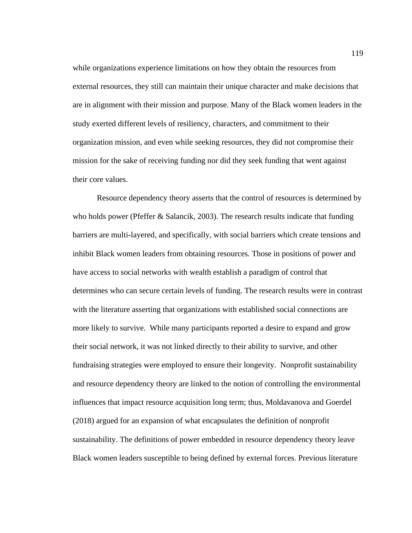while organizations experience limitations on how they obtain the resources from external resources, they still can maintain their unique character and make decisions that are in alignment with their mission and purpose. Many of the Black women leaders in the study exerted different levels of resiliency, characters, and commitment to their organization mission, and even while seeking resources, they did not compromise their mission for the sake of receiving funding nor did they seek funding that went against their core values.

Resource dependency theory asserts that the control of resources is determined by who holds power (Pfeffer  $&$  Salancik, 2003). The research results indicate that funding barriers are multi-layered, and specifically, with social barriers which create tensions and inhibit Black women leaders from obtaining resources. Those in positions of power and have access to social networks with wealth establish a paradigm of control that determines who can secure certain levels of funding. The research results were in contrast with the literature asserting that organizations with established social connections are more likely to survive. While many participants reported a desire to expand and grow their social network, it was not linked directly to their ability to survive, and other fundraising strategies were employed to ensure their longevity. Nonprofit sustainability and resource dependency theory are linked to the notion of controlling the environmental influences that impact resource acquisition long term; thus, Moldavanova and Goerdel (2018) argued for an expansion of what encapsulates the definition of nonprofit sustainability. The definitions of power embedded in resource dependency theory leave Black women leaders susceptible to being defined by external forces. Previous literature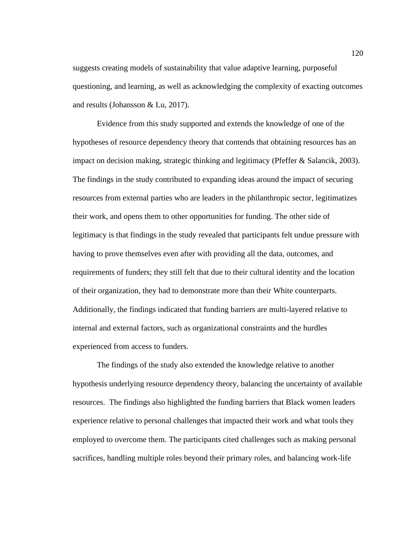suggests creating models of sustainability that value adaptive learning, purposeful questioning, and learning, as well as acknowledging the complexity of exacting outcomes and results (Johansson & Lu, 2017).

Evidence from this study supported and extends the knowledge of one of the hypotheses of resource dependency theory that contends that obtaining resources has an impact on decision making, strategic thinking and legitimacy (Pfeffer & Salancik, 2003). The findings in the study contributed to expanding ideas around the impact of securing resources from external parties who are leaders in the philanthropic sector, legitimatizes their work, and opens them to other opportunities for funding. The other side of legitimacy is that findings in the study revealed that participants felt undue pressure with having to prove themselves even after with providing all the data, outcomes, and requirements of funders; they still felt that due to their cultural identity and the location of their organization, they had to demonstrate more than their White counterparts. Additionally, the findings indicated that funding barriers are multi-layered relative to internal and external factors, such as organizational constraints and the hurdles experienced from access to funders.

The findings of the study also extended the knowledge relative to another hypothesis underlying resource dependency theory, balancing the uncertainty of available resources. The findings also highlighted the funding barriers that Black women leaders experience relative to personal challenges that impacted their work and what tools they employed to overcome them. The participants cited challenges such as making personal sacrifices, handling multiple roles beyond their primary roles, and balancing work-life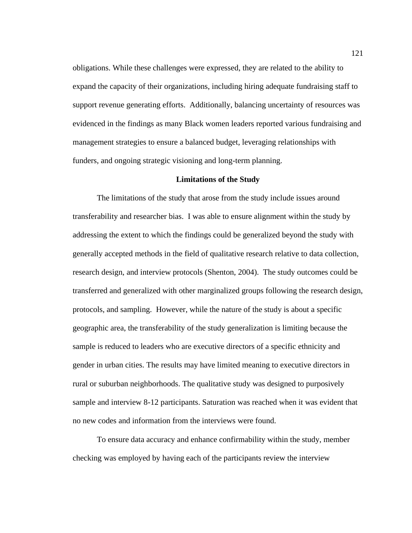obligations. While these challenges were expressed, they are related to the ability to expand the capacity of their organizations, including hiring adequate fundraising staff to support revenue generating efforts. Additionally, balancing uncertainty of resources was evidenced in the findings as many Black women leaders reported various fundraising and management strategies to ensure a balanced budget, leveraging relationships with funders, and ongoing strategic visioning and long-term planning.

### **Limitations of the Study**

The limitations of the study that arose from the study include issues around transferability and researcher bias. I was able to ensure alignment within the study by addressing the extent to which the findings could be generalized beyond the study with generally accepted methods in the field of qualitative research relative to data collection, research design, and interview protocols (Shenton, 2004). The study outcomes could be transferred and generalized with other marginalized groups following the research design, protocols, and sampling. However, while the nature of the study is about a specific geographic area, the transferability of the study generalization is limiting because the sample is reduced to leaders who are executive directors of a specific ethnicity and gender in urban cities. The results may have limited meaning to executive directors in rural or suburban neighborhoods. The qualitative study was designed to purposively sample and interview 8-12 participants. Saturation was reached when it was evident that no new codes and information from the interviews were found.

To ensure data accuracy and enhance confirmability within the study, member checking was employed by having each of the participants review the interview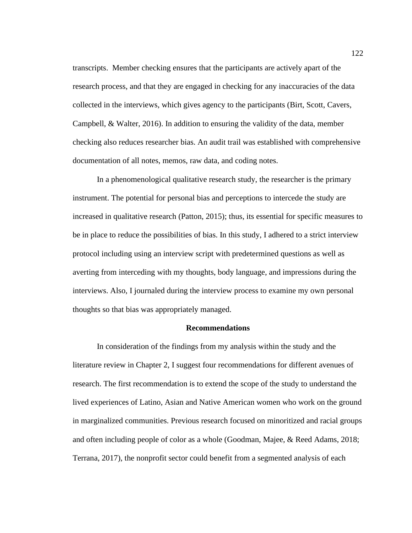transcripts. Member checking ensures that the participants are actively apart of the research process, and that they are engaged in checking for any inaccuracies of the data collected in the interviews, which gives agency to the participants (Birt, Scott, Cavers, Campbell, & Walter, 2016). In addition to ensuring the validity of the data, member checking also reduces researcher bias. An audit trail was established with comprehensive documentation of all notes, memos, raw data, and coding notes.

In a phenomenological qualitative research study, the researcher is the primary instrument. The potential for personal bias and perceptions to intercede the study are increased in qualitative research (Patton, 2015); thus, its essential for specific measures to be in place to reduce the possibilities of bias. In this study, I adhered to a strict interview protocol including using an interview script with predetermined questions as well as averting from interceding with my thoughts, body language, and impressions during the interviews. Also, I journaled during the interview process to examine my own personal thoughts so that bias was appropriately managed.

## **Recommendations**

In consideration of the findings from my analysis within the study and the literature review in Chapter 2, I suggest four recommendations for different avenues of research. The first recommendation is to extend the scope of the study to understand the lived experiences of Latino, Asian and Native American women who work on the ground in marginalized communities. Previous research focused on minoritized and racial groups and often including people of color as a whole (Goodman, Majee, & Reed Adams, 2018; Terrana, 2017), the nonprofit sector could benefit from a segmented analysis of each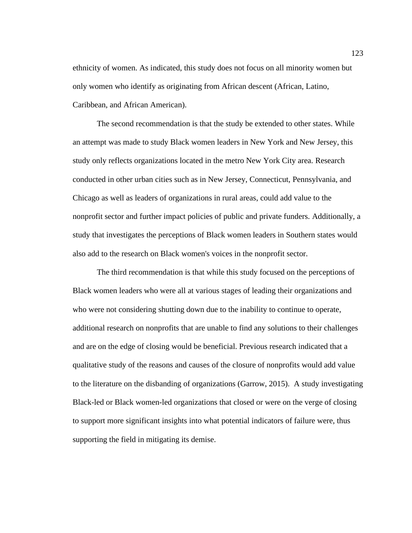ethnicity of women. As indicated, this study does not focus on all minority women but only women who identify as originating from African descent (African, Latino, Caribbean, and African American).

The second recommendation is that the study be extended to other states. While an attempt was made to study Black women leaders in New York and New Jersey, this study only reflects organizations located in the metro New York City area. Research conducted in other urban cities such as in New Jersey, Connecticut, Pennsylvania, and Chicago as well as leaders of organizations in rural areas, could add value to the nonprofit sector and further impact policies of public and private funders. Additionally, a study that investigates the perceptions of Black women leaders in Southern states would also add to the research on Black women's voices in the nonprofit sector.

The third recommendation is that while this study focused on the perceptions of Black women leaders who were all at various stages of leading their organizations and who were not considering shutting down due to the inability to continue to operate, additional research on nonprofits that are unable to find any solutions to their challenges and are on the edge of closing would be beneficial. Previous research indicated that a qualitative study of the reasons and causes of the closure of nonprofits would add value to the literature on the disbanding of organizations (Garrow, 2015). A study investigating Black-led or Black women-led organizations that closed or were on the verge of closing to support more significant insights into what potential indicators of failure were, thus supporting the field in mitigating its demise.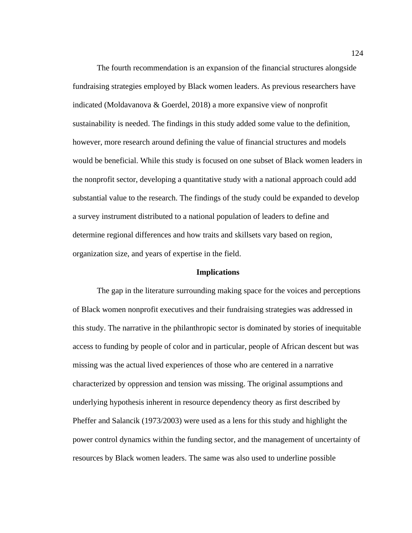The fourth recommendation is an expansion of the financial structures alongside fundraising strategies employed by Black women leaders. As previous researchers have indicated (Moldavanova & Goerdel, 2018) a more expansive view of nonprofit sustainability is needed. The findings in this study added some value to the definition, however, more research around defining the value of financial structures and models would be beneficial. While this study is focused on one subset of Black women leaders in the nonprofit sector, developing a quantitative study with a national approach could add substantial value to the research. The findings of the study could be expanded to develop a survey instrument distributed to a national population of leaders to define and determine regional differences and how traits and skillsets vary based on region, organization size, and years of expertise in the field.

### **Implications**

The gap in the literature surrounding making space for the voices and perceptions of Black women nonprofit executives and their fundraising strategies was addressed in this study. The narrative in the philanthropic sector is dominated by stories of inequitable access to funding by people of color and in particular, people of African descent but was missing was the actual lived experiences of those who are centered in a narrative characterized by oppression and tension was missing. The original assumptions and underlying hypothesis inherent in resource dependency theory as first described by Pheffer and Salancik (1973/2003) were used as a lens for this study and highlight the power control dynamics within the funding sector, and the management of uncertainty of resources by Black women leaders. The same was also used to underline possible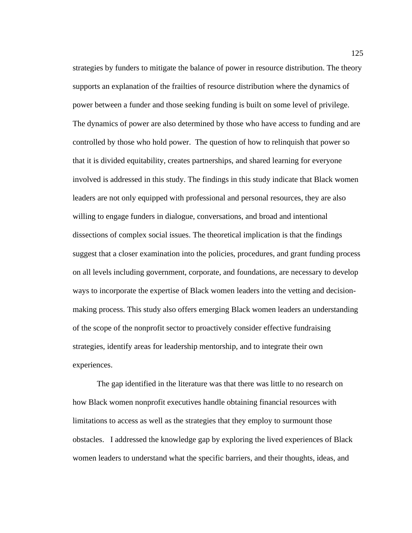strategies by funders to mitigate the balance of power in resource distribution. The theory supports an explanation of the frailties of resource distribution where the dynamics of power between a funder and those seeking funding is built on some level of privilege. The dynamics of power are also determined by those who have access to funding and are controlled by those who hold power. The question of how to relinquish that power so that it is divided equitability, creates partnerships, and shared learning for everyone involved is addressed in this study. The findings in this study indicate that Black women leaders are not only equipped with professional and personal resources, they are also willing to engage funders in dialogue, conversations, and broad and intentional dissections of complex social issues. The theoretical implication is that the findings suggest that a closer examination into the policies, procedures, and grant funding process on all levels including government, corporate, and foundations, are necessary to develop ways to incorporate the expertise of Black women leaders into the vetting and decisionmaking process. This study also offers emerging Black women leaders an understanding of the scope of the nonprofit sector to proactively consider effective fundraising strategies, identify areas for leadership mentorship, and to integrate their own experiences.

The gap identified in the literature was that there was little to no research on how Black women nonprofit executives handle obtaining financial resources with limitations to access as well as the strategies that they employ to surmount those obstacles. I addressed the knowledge gap by exploring the lived experiences of Black women leaders to understand what the specific barriers, and their thoughts, ideas, and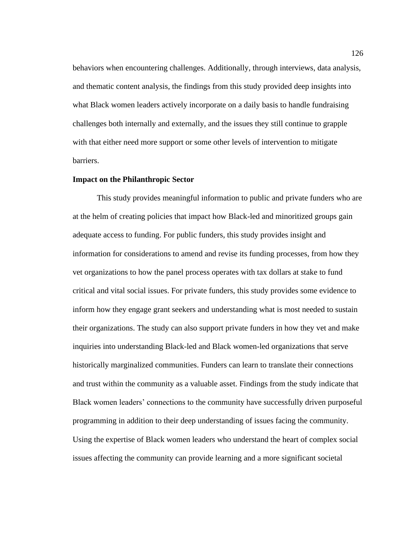behaviors when encountering challenges. Additionally, through interviews, data analysis, and thematic content analysis, the findings from this study provided deep insights into what Black women leaders actively incorporate on a daily basis to handle fundraising challenges both internally and externally, and the issues they still continue to grapple with that either need more support or some other levels of intervention to mitigate barriers.

## **Impact on the Philanthropic Sector**

This study provides meaningful information to public and private funders who are at the helm of creating policies that impact how Black-led and minoritized groups gain adequate access to funding. For public funders, this study provides insight and information for considerations to amend and revise its funding processes, from how they vet organizations to how the panel process operates with tax dollars at stake to fund critical and vital social issues. For private funders, this study provides some evidence to inform how they engage grant seekers and understanding what is most needed to sustain their organizations. The study can also support private funders in how they vet and make inquiries into understanding Black-led and Black women-led organizations that serve historically marginalized communities. Funders can learn to translate their connections and trust within the community as a valuable asset. Findings from the study indicate that Black women leaders' connections to the community have successfully driven purposeful programming in addition to their deep understanding of issues facing the community. Using the expertise of Black women leaders who understand the heart of complex social issues affecting the community can provide learning and a more significant societal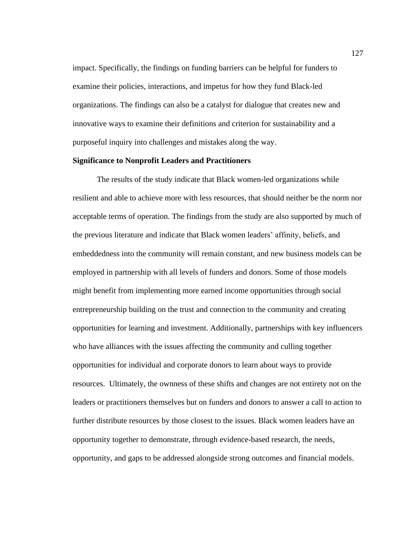impact. Specifically, the findings on funding barriers can be helpful for funders to examine their policies, interactions, and impetus for how they fund Black-led organizations. The findings can also be a catalyst for dialogue that creates new and innovative ways to examine their definitions and criterion for sustainability and a purposeful inquiry into challenges and mistakes along the way.

## **Significance to Nonprofit Leaders and Practitioners**

The results of the study indicate that Black women-led organizations while resilient and able to achieve more with less resources, that should neither be the norm nor acceptable terms of operation. The findings from the study are also supported by much of the previous literature and indicate that Black women leaders' affinity, beliefs, and embeddedness into the community will remain constant, and new business models can be employed in partnership with all levels of funders and donors. Some of those models might benefit from implementing more earned income opportunities through social entrepreneurship building on the trust and connection to the community and creating opportunities for learning and investment. Additionally, partnerships with key influencers who have alliances with the issues affecting the community and culling together opportunities for individual and corporate donors to learn about ways to provide resources. Ultimately, the ownness of these shifts and changes are not entirety not on the leaders or practitioners themselves but on funders and donors to answer a call to action to further distribute resources by those closest to the issues. Black women leaders have an opportunity together to demonstrate, through evidence-based research, the needs, opportunity, and gaps to be addressed alongside strong outcomes and financial models.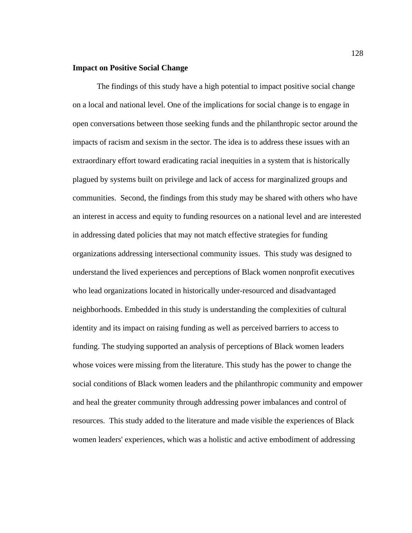## **Impact on Positive Social Change**

The findings of this study have a high potential to impact positive social change on a local and national level. One of the implications for social change is to engage in open conversations between those seeking funds and the philanthropic sector around the impacts of racism and sexism in the sector. The idea is to address these issues with an extraordinary effort toward eradicating racial inequities in a system that is historically plagued by systems built on privilege and lack of access for marginalized groups and communities. Second, the findings from this study may be shared with others who have an interest in access and equity to funding resources on a national level and are interested in addressing dated policies that may not match effective strategies for funding organizations addressing intersectional community issues. This study was designed to understand the lived experiences and perceptions of Black women nonprofit executives who lead organizations located in historically under-resourced and disadvantaged neighborhoods. Embedded in this study is understanding the complexities of cultural identity and its impact on raising funding as well as perceived barriers to access to funding. The studying supported an analysis of perceptions of Black women leaders whose voices were missing from the literature. This study has the power to change the social conditions of Black women leaders and the philanthropic community and empower and heal the greater community through addressing power imbalances and control of resources. This study added to the literature and made visible the experiences of Black women leaders' experiences, which was a holistic and active embodiment of addressing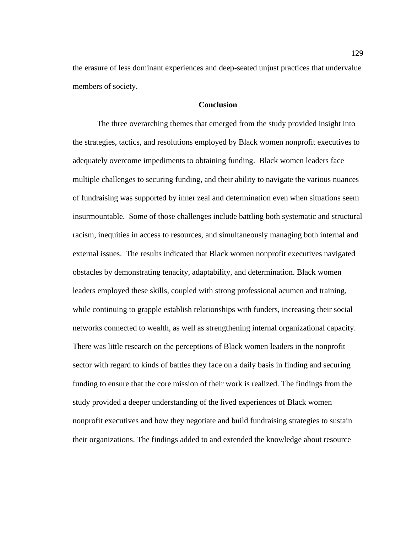the erasure of less dominant experiences and deep-seated unjust practices that undervalue members of society.

# **Conclusion**

The three overarching themes that emerged from the study provided insight into the strategies, tactics, and resolutions employed by Black women nonprofit executives to adequately overcome impediments to obtaining funding. Black women leaders face multiple challenges to securing funding, and their ability to navigate the various nuances of fundraising was supported by inner zeal and determination even when situations seem insurmountable. Some of those challenges include battling both systematic and structural racism, inequities in access to resources, and simultaneously managing both internal and external issues. The results indicated that Black women nonprofit executives navigated obstacles by demonstrating tenacity, adaptability, and determination. Black women leaders employed these skills, coupled with strong professional acumen and training, while continuing to grapple establish relationships with funders, increasing their social networks connected to wealth, as well as strengthening internal organizational capacity. There was little research on the perceptions of Black women leaders in the nonprofit sector with regard to kinds of battles they face on a daily basis in finding and securing funding to ensure that the core mission of their work is realized. The findings from the study provided a deeper understanding of the lived experiences of Black women nonprofit executives and how they negotiate and build fundraising strategies to sustain their organizations. The findings added to and extended the knowledge about resource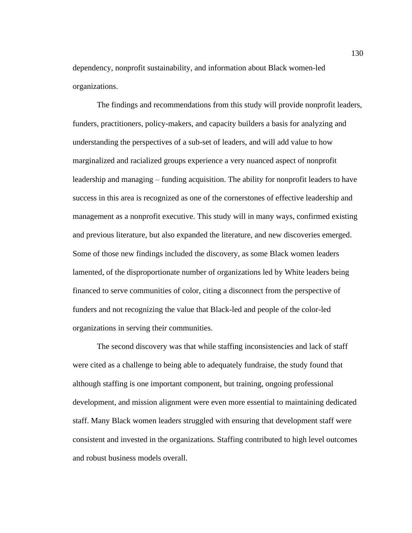dependency, nonprofit sustainability, and information about Black women-led organizations.

The findings and recommendations from this study will provide nonprofit leaders, funders, practitioners, policy-makers, and capacity builders a basis for analyzing and understanding the perspectives of a sub-set of leaders, and will add value to how marginalized and racialized groups experience a very nuanced aspect of nonprofit leadership and managing – funding acquisition. The ability for nonprofit leaders to have success in this area is recognized as one of the cornerstones of effective leadership and management as a nonprofit executive. This study will in many ways, confirmed existing and previous literature, but also expanded the literature, and new discoveries emerged. Some of those new findings included the discovery, as some Black women leaders lamented, of the disproportionate number of organizations led by White leaders being financed to serve communities of color, citing a disconnect from the perspective of funders and not recognizing the value that Black-led and people of the color-led organizations in serving their communities.

The second discovery was that while staffing inconsistencies and lack of staff were cited as a challenge to being able to adequately fundraise, the study found that although staffing is one important component, but training, ongoing professional development, and mission alignment were even more essential to maintaining dedicated staff. Many Black women leaders struggled with ensuring that development staff were consistent and invested in the organizations. Staffing contributed to high level outcomes and robust business models overall.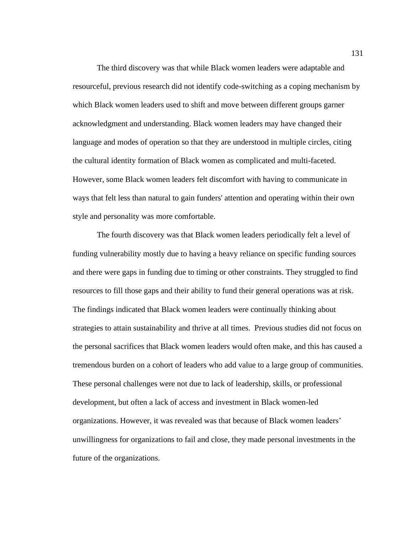The third discovery was that while Black women leaders were adaptable and resourceful, previous research did not identify code-switching as a coping mechanism by which Black women leaders used to shift and move between different groups garner acknowledgment and understanding. Black women leaders may have changed their language and modes of operation so that they are understood in multiple circles, citing the cultural identity formation of Black women as complicated and multi-faceted. However, some Black women leaders felt discomfort with having to communicate in ways that felt less than natural to gain funders' attention and operating within their own style and personality was more comfortable.

The fourth discovery was that Black women leaders periodically felt a level of funding vulnerability mostly due to having a heavy reliance on specific funding sources and there were gaps in funding due to timing or other constraints. They struggled to find resources to fill those gaps and their ability to fund their general operations was at risk. The findings indicated that Black women leaders were continually thinking about strategies to attain sustainability and thrive at all times. Previous studies did not focus on the personal sacrifices that Black women leaders would often make, and this has caused a tremendous burden on a cohort of leaders who add value to a large group of communities. These personal challenges were not due to lack of leadership, skills, or professional development, but often a lack of access and investment in Black women-led organizations. However, it was revealed was that because of Black women leaders' unwillingness for organizations to fail and close, they made personal investments in the future of the organizations.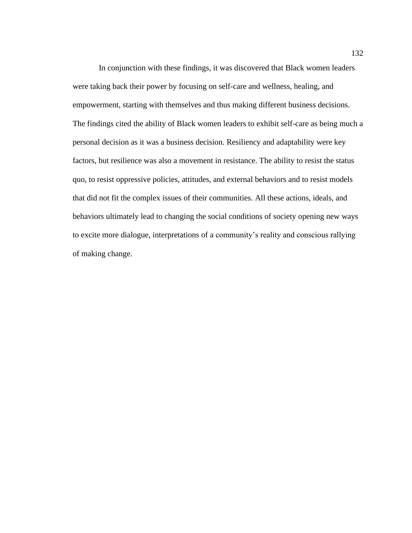In conjunction with these findings, it was discovered that Black women leaders were taking back their power by focusing on self-care and wellness, healing, and empowerment, starting with themselves and thus making different business decisions. The findings cited the ability of Black women leaders to exhibit self-care as being much a personal decision as it was a business decision. Resiliency and adaptability were key factors, but resilience was also a movement in resistance. The ability to resist the status quo, to resist oppressive policies, attitudes, and external behaviors and to resist models that did not fit the complex issues of their communities. All these actions, ideals, and behaviors ultimately lead to changing the social conditions of society opening new ways to excite more dialogue, interpretations of a community's reality and conscious rallying of making change.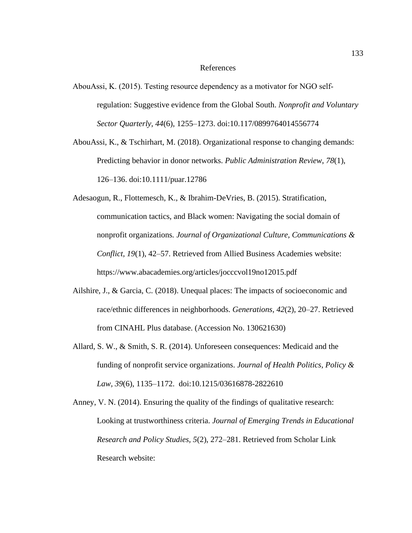## References

- AbouAssi, K. (2015). Testing resource dependency as a motivator for NGO self‐ regulation: Suggestive evidence from the Global South. *Nonprofit and Voluntary Sector Quarterly, 44*(6), 1255–1273. doi:10.117/0899764014556774
- AbouAssi, K., & Tschirhart, M. (2018). Organizational response to changing demands: Predicting behavior in donor networks. *Public Administration Review*, *78*(1), 126–136. doi:10.1111/puar.12786
- Adesaogun, R., Flottemesch, K., & Ibrahim-DeVries, B. (2015). Stratification, communication tactics, and Black women: Navigating the social domain of nonprofit organizations*. Journal of Organizational Culture, Communications & Conflict, 19*(1), 42–57. Retrieved from Allied Business Academies website: https://www.abacademies.org/articles/jocccvol19no12015.pdf
- Ailshire, J., & Garcia, C. (2018). Unequal places: The impacts of socioeconomic and race/ethnic differences in neighborhoods. *Generations, 42*(2), 20–27. Retrieved from CINAHL Plus database. (Accession No. 130621630)
- Allard, S. W., & Smith, S. R. (2014). Unforeseen consequences: Medicaid and the funding of nonprofit service organizations. *Journal of Health Politics, Policy & Law, 39*(6), 1135–1172. doi:10.1215/03616878-2822610
- Anney, V. N. (2014). Ensuring the quality of the findings of qualitative research: Looking at trustworthiness criteria. *Journal of Emerging Trends in Educational Research and Policy Studies, 5*(2), 272–281. Retrieved from Scholar Link Research website: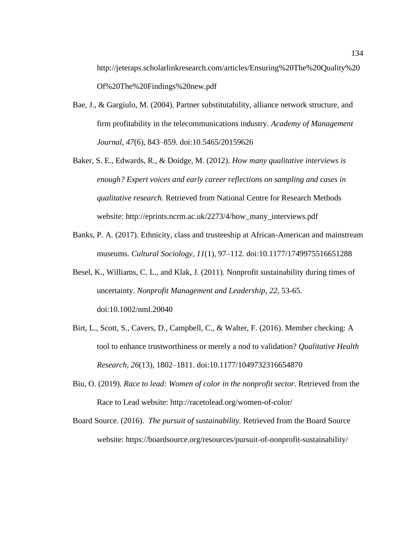http://jeteraps.scholarlinkresearch.com/articles/Ensuring%20The%20Quality%20 Of%20The%20Findings%20new.pdf

- Bae, J., & Gargiulo, M. (2004). Partner substitutability, alliance network structure, and firm profitability in the telecommunications industry. *Academy of Management Journal, 47*(6), 843–859. doi:10.5465/20159626
- Baker, S. E., Edwards, R., & Doidge, M. (2012). *How many qualitative interviews is enough? Expert voices and early career reflections on sampling and cases in qualitative research.* Retrieved from National Centre for Research Methods website: http://eprints.ncrm.ac.uk/2273/4/how\_many\_interviews.pdf
- Banks, P. A. (2017). Ethnicity, class and trusteeship at African-American and mainstream museums. *Cultural Sociology, 11*(1), 97–112. doi:10.1177/1749975516651288
- Besel, K., Williams, C. L., and Klak, J. (2011). Nonprofit sustainability during times of uncertainty. *Nonprofit Management and Leadership*, *22*, 53-65. doi:10.1002/nml.20040
- Birt, L., Scott, S., Cavers, D., Campbell, C., & Walter, F. (2016). Member checking: A tool to enhance trustworthiness or merely a nod to validation? *Qualitative Health Research, 26*(13), 1802–1811. doi:10.1177/1049732316654870
- Biu, O. (2019). *Race to lead: Women of color in the nonprofit sector*. Retrieved from the Race to Lead website: http://racetolead.org/women-of-color/
- Board Source. (2016). *The pursuit of sustainability.* Retrieved from the Board Source website: https://boardsource.org/resources/pursuit-of-nonprofit-sustainability/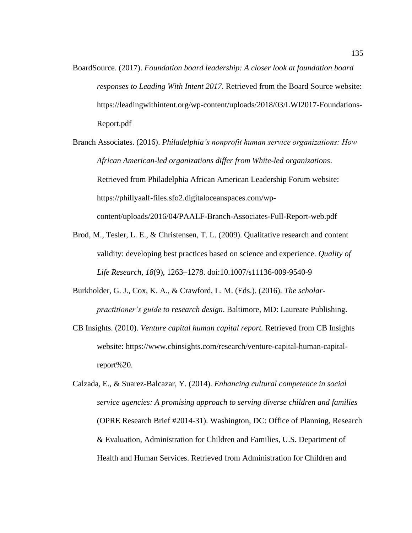- BoardSource. (2017). *Foundation board leadership: A closer look at foundation board responses to Leading With Intent 2017*. Retrieved from the Board Source website: https://leadingwithintent.org/wp-content/uploads/2018/03/LWI2017-Foundations-Report.pdf
- Branch Associates. (2016). *Philadelphia's nonprofit human service organizations: How African American-led organizations differ from White-led organizations*. Retrieved from Philadelphia African American Leadership Forum website: https://phillyaalf-files.sfo2.digitaloceanspaces.com/wpcontent/uploads/2016/04/PAALF-Branch-Associates-Full-Report-web.pdf
- Brod, M., Tesler, L. E., & Christensen, T. L. (2009). Qualitative research and content validity: developing best practices based on science and experience. *Quality of Life Research, 18*(9), 1263–1278. doi:10.1007/s11136-009-9540-9
- Burkholder, G. J., Cox, K. A., & Crawford, L. M. (Eds.). (2016). *The scholarpractitioner's guide to research design*. Baltimore, MD: Laureate Publishing.
- CB Insights. (2010). *Venture capital human capital report.* Retrieved from CB Insights website: https://www.cbinsights.com/research/venture-capital-human-capitalreport%20.
- Calzada, E., & Suarez-Balcazar, Y. (2014). *Enhancing cultural competence in social service agencies: A promising approach to serving diverse children and families* (OPRE Research Brief #2014-31). Washington, DC: Office of Planning, Research & Evaluation, Administration for Children and Families, U.S. Department of Health and Human Services. Retrieved from Administration for Children and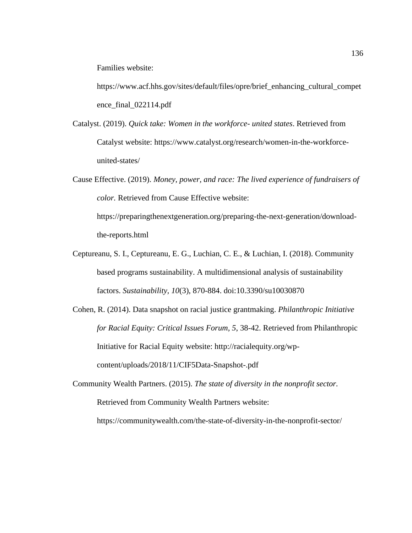Families website:

https://www.acf.hhs.gov/sites/default/files/opre/brief\_enhancing\_cultural\_compet ence\_final\_022114.pdf

- Catalyst. (2019). *Quick take: Women in the workforce- united states*. Retrieved from Catalyst website: https://www.catalyst.org/research/women-in-the-workforceunited-states/
- Cause Effective. (2019). *Money, power, and race: The lived experience of fundraisers of color.* Retrieved from Cause Effective website:

https://preparingthenextgeneration.org/preparing-the-next-generation/downloadthe-reports.html

- Ceptureanu, S. I., Ceptureanu, E. G., Luchian, C. E., & Luchian, I. (2018). Community based programs sustainability. A multidimensional analysis of sustainability factors. *Sustainability, 10*(3), 870-884. doi:10.3390/su10030870
- Cohen, R. (2014). Data snapshot on racial justice grantmaking. *Philanthropic Initiative for Racial Equity: Critical Issues Forum, 5*, 38-42. Retrieved from Philanthropic Initiative for Racial Equity website: http://racialequity.org/wpcontent/uploads/2018/11/CIF5Data-Snapshot-.pdf
- Community Wealth Partners. (2015). *The state of diversity in the nonprofit sector.* Retrieved from Community Wealth Partners website:

https://communitywealth.com/the-state-of-diversity-in-the-nonprofit-sector/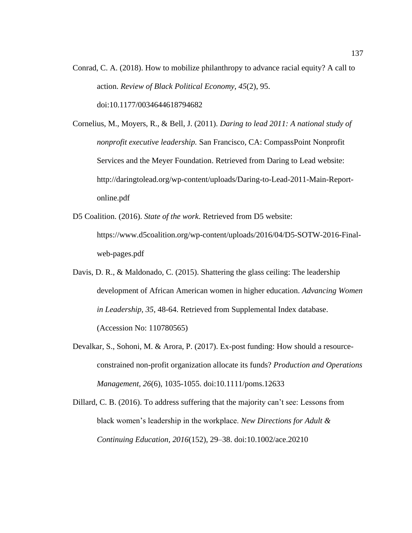Conrad, C. A. (2018). How to mobilize philanthropy to advance racial equity? A call to action. *Review of Black Political Economy, 45*(2), 95. doi:10.1177/0034644618794682

Cornelius, M., Moyers, R., & Bell, J. (2011). *Daring to lead 2011: A national study of nonprofit executive leadership.* San Francisco, CA: CompassPoint Nonprofit Services and the Meyer Foundation. Retrieved from Daring to Lead website: http://daringtolead.org/wp-content/uploads/Daring-to-Lead-2011-Main-Reportonline.pdf

- D5 Coalition. (2016). *State of the work*. Retrieved from D5 website: https://www.d5coalition.org/wp-content/uploads/2016/04/D5-SOTW-2016-Finalweb-pages.pdf
- Davis, D. R., & Maldonado, C. (2015). Shattering the glass ceiling: The leadership development of African American women in higher education. *Advancing Women in Leadership, 35*, 48-64. Retrieved from Supplemental Index database. (Accession No: 110780565)
- Devalkar, S., Sohoni, M. & Arora, P. (2017). Ex-post funding: How should a resourceconstrained non-profit organization allocate its funds? *Production and Operations Management, 26*(6), 1035-1055. doi:10.1111/poms.12633
- Dillard, C. B. (2016). To address suffering that the majority can't see: Lessons from black women's leadership in the workplace. *New Directions for Adult & Continuing Education, 2016*(152), 29–38. doi:10.1002/ace.20210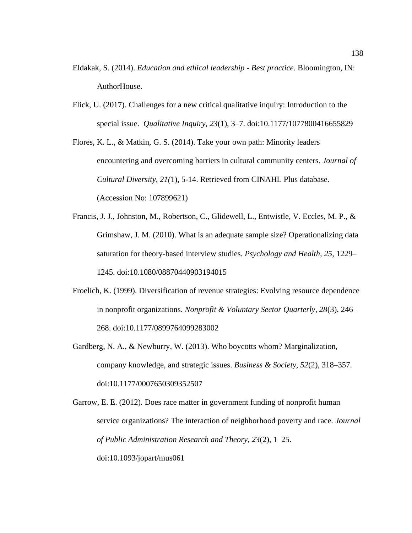- Eldakak, S. (2014). *Education and ethical leadership - Best practice*. Bloomington, IN: AuthorHouse.
- Flick, U. (2017). Challenges for a new critical qualitative inquiry: Introduction to the special issue. *Qualitative Inquiry, 23*(1), 3–7. doi:10.1177/1077800416655829

Flores, K. L., & Matkin, G. S. (2014). Take your own path: Minority leaders encountering and overcoming barriers in cultural community centers. *Journal of Cultural Diversity, 21(*1), 5-14. Retrieved from CINAHL Plus database. (Accession No: 107899621)

- Francis, J. J., Johnston, M., Robertson, C., Glidewell, L., Entwistle, V. Eccles, M. P., & Grimshaw, J. M. (2010). What is an adequate sample size? Operationalizing data saturation for theory-based interview studies. *Psychology and Health, 25*, 1229– 1245. doi:10.1080/08870440903194015
- Froelich, K. (1999). Diversification of revenue strategies: Evolving resource dependence in nonprofit organizations. *Nonprofit & Voluntary Sector Quarterly, 28*(3), 246– 268. doi:10.1177/0899764099283002
- Gardberg, N. A., & Newburry, W. (2013). Who boycotts whom? Marginalization, company knowledge, and strategic issues. *Business & Society, 52*(2), 318–357. doi:10.1177/0007650309352507

Garrow, E. E. (2012). Does race matter in government funding of nonprofit human service organizations? The interaction of neighborhood poverty and race*. Journal of Public Administration Research and Theory, 23*(2), 1–25. doi:10.1093/jopart/mus061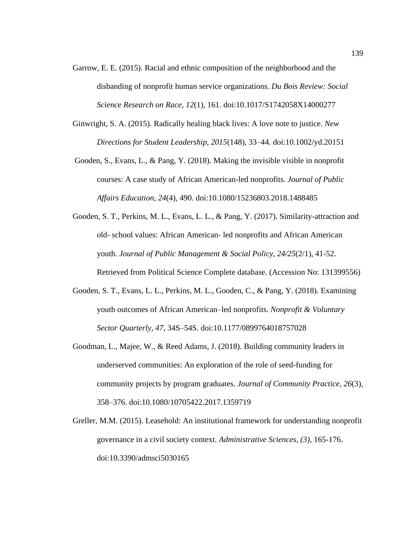- Garrow, E. E. (2015). Racial and ethnic composition of the neighborhood and the disbanding of nonprofit human service organizations. *Du Bois Review: Social Science Research on Race, 12*(1), 161. doi:10.1017/S1742058X14000277
- Ginwright, S. A. (2015). Radically healing black lives: A love note to justice. *New Directions for Student Leadership, 2015*(148), 33–44. doi:10.1002/yd.20151
- Gooden, S., Evans, L., & Pang, Y. (2018). Making the invisible visible in nonprofit courses: A case study of African American-led nonprofits. *Journal of Public Affairs Education, 24*(4), 490. doi:10.1080/15236803.2018.1488485
- Gooden, S. T., Perkins, M. L., Evans, L. L., & Pang, Y. (2017). Similarity-attraction and old- school values: African American- led nonprofits and African American youth. *Journal of Public Management & Social Policy*, *24/25*(2/1), 41-52. Retrieved from Political Science Complete database. (Accession No: 131399556)
- Gooden, S. T., Evans, L. L., Perkins, M. L., Gooden, C., & Pang, Y. (2018). Examining youth outcomes of African American–led nonprofits. *Nonprofit & Voluntary Sector Quarterly, 47*, 34S–54S. doi:10.1177/0899764018757028
- Goodman, L., Majee, W., & Reed Adams, J. (2018). Building community leaders in underserved communities: An exploration of the role of seed-funding for community projects by program graduates. *Journal of Community Practice, 26*(3), 358–376. doi:10.1080/10705422.2017.1359719
- Greller, M.M. (2015). Leasehold: An institutional framework for understanding nonprofit governance in a civil society context. *Administrative Sciences, (3)*, 165-176. doi:10.3390/admsci5030165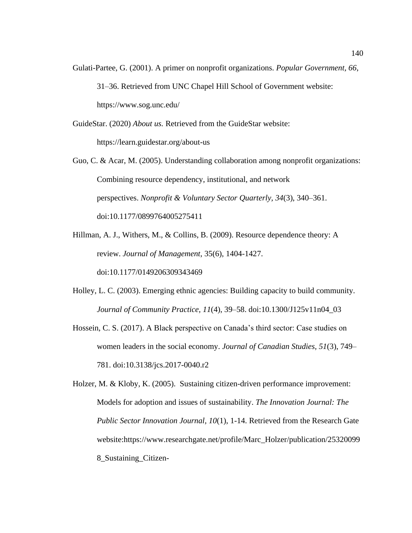Gulati-Partee, G. (2001). A primer on nonprofit organizations. *Popular Government, 66*, 31–36. Retrieved from UNC Chapel Hill School of Government website: https://www.sog.unc.edu/

GuideStar. (2020) *About us.* Retrieved from the GuideStar website:

https://learn.guidestar.org/about-us

Guo, C. & Acar, M. (2005). Understanding collaboration among nonprofit organizations: Combining resource dependency, institutional, and network perspectives. *Nonprofit & Voluntary Sector Quarterly, 34*(3), 340–361. doi:10.1177/0899764005275411

Hillman, A. J., Withers, M., & Collins, B. (2009). Resource dependence theory: A review. *Journal of Management*, 35(6), 1404-1427. doi:10.1177/0149206309343469

Holley, L. C. (2003). Emerging ethnic agencies: Building capacity to build community. *Journal of Community Practice, 11*(4), 39–58. doi:10.1300/J125v11n04\_03

Hossein, C. S. (2017). A Black perspective on Canada's third sector: Case studies on women leaders in the social economy. *Journal of Canadian Studies, 51*(3), 749– 781. doi:10.3138/jcs.2017-0040.r2

Holzer, M. & Kloby, K. (2005). Sustaining citizen-driven performance improvement: Models for adoption and issues of sustainability. *The Innovation Journal: The Public Sector Innovation Journal, 10*(1), 1-14. Retrieved from the Research Gate website:https://www.researchgate.net/profile/Marc\_Holzer/publication/25320099 8\_Sustaining\_Citizen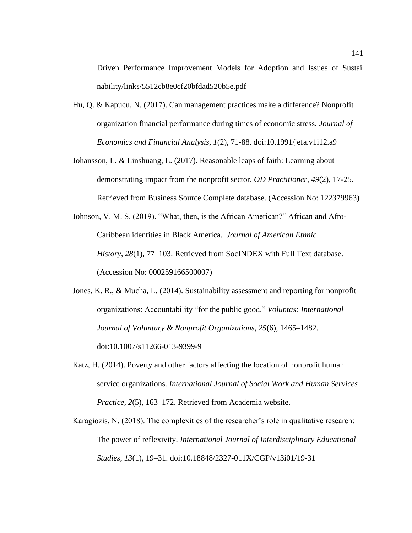Driven\_Performance\_Improvement\_Models\_for\_Adoption\_and\_Issues\_of\_Sustai nability/links/5512cb8e0cf20bfdad520b5e.pdf

- Hu, Q. & Kapucu, N. (2017). Can management practices make a difference? Nonprofit organization financial performance during times of economic stress. *Journal of Economics and Financial Analysis, 1*(2), 71-88. doi:10.1991/jefa.v1i12.a9
- Johansson, L. & Linshuang, L. (2017). Reasonable leaps of faith: Learning about demonstrating impact from the nonprofit sector. *OD Practitioner, 49*(2), 17-25. Retrieved from Business Source Complete database. (Accession No: 122379963)
- Johnson, V. M. S. (2019). "What, then, is the African American?" African and Afro-Caribbean identities in Black America. *Journal of American Ethnic History, 28*(1), 77–103. Retrieved from SocINDEX with Full Text database. (Accession No: 000259166500007)
- Jones, K. R., & Mucha, L. (2014). Sustainability assessment and reporting for nonprofit organizations: Accountability "for the public good." *Voluntas: International Journal of Voluntary & Nonprofit Organizations, 25*(6), 1465–1482. doi:10.1007/s11266-013-9399-9
- Katz, H. (2014). Poverty and other factors affecting the location of nonprofit human service organizations. *International Journal of Social Work and Human Services Practice, 2*(5), 163–172. Retrieved from Academia website.
- Karagiozis, N. (2018). The complexities of the researcher's role in qualitative research: The power of reflexivity. *International Journal of Interdisciplinary Educational Studies, 13*(1), 19–31. doi:10.18848/2327-011X/CGP/v13i01/19-31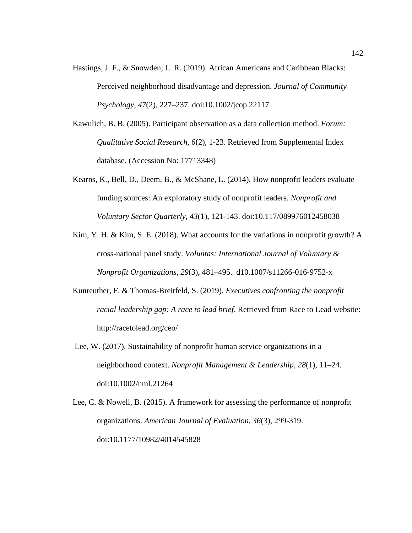- Hastings, J. F., & Snowden, L. R. (2019). African Americans and Caribbean Blacks: Perceived neighborhood disadvantage and depression. *Journal of Community Psychology, 47*(2), 227–237. doi:10.1002/jcop.22117
- Kawulich, B. B. (2005). Participant observation as a data collection method. *Forum: Qualitative Social Research, 6*(2), 1-23. Retrieved from Supplemental Index database. (Accession No: 17713348)
- Kearns, K., Bell, D., Deem, B., & McShane, L. (2014). How nonprofit leaders evaluate funding sources: An exploratory study of nonprofit leaders. *Nonprofit and Voluntary Sector Quarterly, 43*(1), 121-143. doi:10.117/089976012458038
- Kim, Y. H. & Kim, S. E. (2018). What accounts for the variations in nonprofit growth? A cross-national panel study. *Voluntas: International Journal of Voluntary & Nonprofit Organizations, 29*(3), 481–495. d10.1007/s11266-016-9752-x
- Kunreuther, F. & Thomas-Breitfeld, S. (2019)*. Executives confronting the nonprofit racial leadership gap: A race to lead brief*. Retrieved from Race to Lead website: http://racetolead.org/ceo/
- Lee, W. (2017). Sustainability of nonprofit human service organizations in a neighborhood context. *Nonprofit Management & Leadership, 28*(1), 11–24. doi:10.1002/nml.21264
- Lee, C. & Nowell, B. (2015). A framework for assessing the performance of nonprofit organizations. *American Journal of Evaluation, 36*(3), 299-319. doi:10.1177/10982/4014545828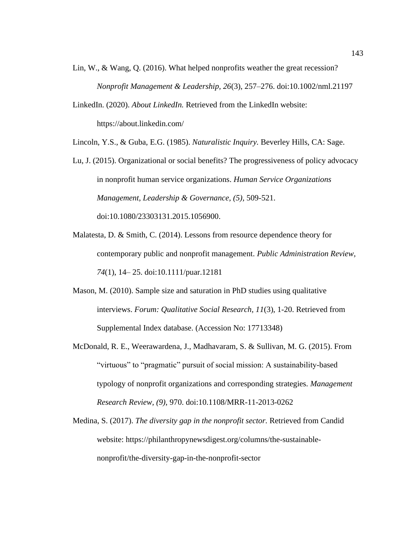- Lin, W., & Wang, Q. (2016). What helped nonprofits weather the great recession? *Nonprofit Management & Leadership, 26*(3), 257–276. doi:10.1002/nml.21197
- LinkedIn. (2020). *About LinkedIn.* Retrieved from the LinkedIn website: https://about.linkedin.com/
- Lincoln, Y.S., & Guba, E.G. (1985). *Naturalistic Inquiry.* Beverley Hills, CA: Sage.
- Lu, J. (2015). Organizational or social benefits? The progressiveness of policy advocacy in nonprofit human service organizations. *Human Service Organizations Management, Leadership & Governance, (5),* 509-521. doi:10.1080/23303131.2015.1056900.
- Malatesta, D. & Smith, C. (2014). Lessons from resource dependence theory for contemporary public and nonprofit management. *Public Administration Review, 74*(1), 14– 25. doi:10.1111/puar.12181
- Mason, M. (2010). Sample size and saturation in PhD studies using qualitative interviews. *Forum: Qualitative Social Research, 11*(3), 1-20. Retrieved from Supplemental Index database. (Accession No: 17713348)
- McDonald, R. E., Weerawardena, J., Madhavaram, S. & Sullivan, M. G. (2015). From "virtuous" to "pragmatic" pursuit of social mission: A sustainability-based typology of nonprofit organizations and corresponding strategies. *Management Research Review, (9)*, 970. doi:10.1108/MRR-11-2013-0262
- Medina, S. (2017). *The diversity gap in the nonprofit sector.* Retrieved from Candid website: https://philanthropynewsdigest.org/columns/the-sustainablenonprofit/the-diversity-gap-in-the-nonprofit-sector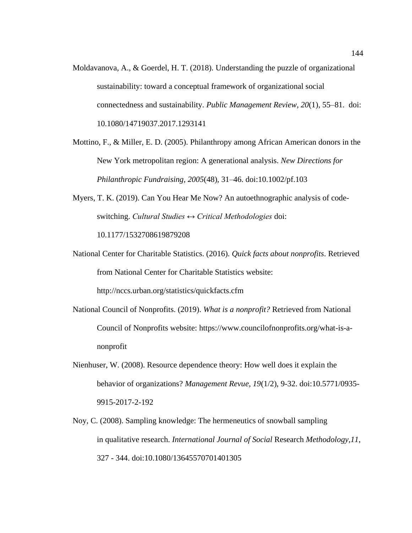- Moldavanova, A., & Goerdel, H. T. (2018). Understanding the puzzle of organizational sustainability: toward a conceptual framework of organizational social connectedness and sustainability. *Public Management Review, 20*(1), 55–81. doi: 10.1080/14719037.2017.1293141
- Mottino, F., & Miller, E. D. (2005). Philanthropy among African American donors in the New York metropolitan region: A generational analysis. *New Directions for Philanthropic Fundraising, 2005*(48), 31–46. doi:10.1002/pf.103
- Myers, T. K. (2019). Can You Hear Me Now? An autoethnographic analysis of codeswitching. *Cultural Studies ↔ Critical Methodologies* doi: 10.1177/1532708619879208
- National Center for Charitable Statistics. (2016). *Quick facts about nonprofits*. Retrieved from National Center for Charitable Statistics website: http://nccs.urban.org/statistics/quickfacts.cfm
- National Council of Nonprofits. (2019). *What is a nonprofit?* Retrieved from National Council of Nonprofits website: https://www.councilofnonprofits.org/what-is-a-

nonprofit

- Nienhuser, W. (2008). Resource dependence theory: How well does it explain the behavior of organizations? *Management Revue, 19*(1/2), 9-32. doi:10.5771/0935- 9915-2017-2-192
- Noy, C. (2008). Sampling knowledge: The hermeneutics of snowball sampling in qualitative research. *International Journal of Social* Research *Methodology,11*, 327 - 344. doi:10.1080/13645570701401305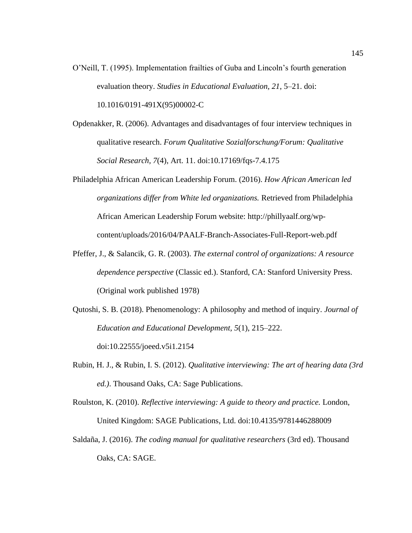- O'Neill, T. (1995). Implementation frailties of Guba and Lincoln's fourth generation evaluation theory. *Studies in Educational Evaluation, 21*, 5–21. doi: 10.1016/0191-491X(95)00002-C
- Opdenakker, R. (2006). Advantages and disadvantages of four interview techniques in qualitative research. *Forum Qualitative Sozialforschung/Forum: Qualitative Social Research, 7*(4), Art. 11. doi:10.17169/fqs-7.4.175
- Philadelphia African American Leadership Forum. (2016). *How African American led organizations differ from White led organizations.* Retrieved from Philadelphia African American Leadership Forum website: http://phillyaalf.org/wpcontent/uploads/2016/04/PAALF-Branch-Associates-Full-Report-web.pdf
- Pfeffer, J., & Salancik, G. R. (2003). *The external control of organizations: A resource dependence perspective* (Classic ed.). Stanford, CA: Stanford University Press. (Original work published 1978)
- Qutoshi, S. B. (2018). Phenomenology: A philosophy and method of inquiry. *Journal of Education and Educational Development, 5*(1), 215–222. doi:10.22555/joeed.v5i1.2154
- Rubin, H. J., & Rubin, I. S. (2012). *Qualitative interviewing: The art of hearing data (3rd ed.)*. Thousand Oaks, CA: Sage Publications.
- Roulston, K. (2010). *Reflective interviewing: A guide to theory and practice.* London, United Kingdom: SAGE Publications, Ltd. doi:10.4135/9781446288009
- Saldaña, J. (2016). *The coding manual for qualitative researchers* (3rd ed). Thousand Oaks, CA: SAGE.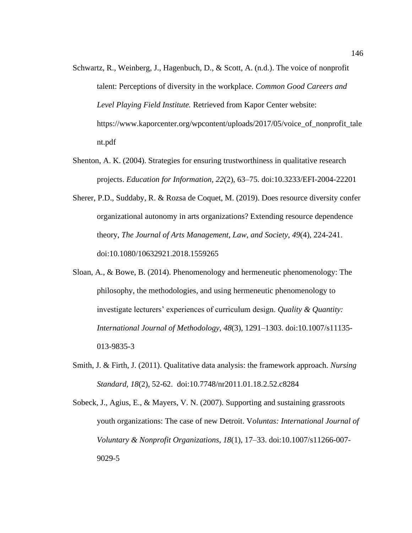- Schwartz, R., Weinberg, J., Hagenbuch, D., & Scott, A. (n.d.). The voice of nonprofit talent: Perceptions of diversity in the workplace. *Common Good Careers and Level Playing Field Institute.* Retrieved from Kapor Center website: https://www.kaporcenter.org/wpcontent/uploads/2017/05/voice\_of\_nonprofit\_tale nt.pdf
- Shenton, A. K. (2004). Strategies for ensuring trustworthiness in qualitative research projects. *Education for Information, 22*(2), 63–75. doi:10.3233/EFI-2004-22201
- Sherer, P.D., Suddaby, R. & Rozsa de Coquet, M. (2019). Does resource diversity confer organizational autonomy in arts organizations? Extending resource dependence theory, *The Journal of Arts Management, Law, and Society, 49*(4), 224-241. doi:10.1080/10632921.2018.1559265
- Sloan, A., & Bowe, B. (2014). Phenomenology and hermeneutic phenomenology: The philosophy, the methodologies, and using hermeneutic phenomenology to investigate lecturers' experiences of curriculum design. *Quality & Quantity: International Journal of Methodology, 48*(3), 1291–1303. doi[:10.1007/s11135-](http://dx.doi.org.ezp.waldenulibrary.org/10.1007/s11135-013-9835-3) [013-9835-3](http://dx.doi.org.ezp.waldenulibrary.org/10.1007/s11135-013-9835-3)
- Smith, J. & Firth, J. (2011). Qualitative data analysis: the framework approach. *Nursing Standard, 18*(2), 52-62. doi:10.7748/nr2011.01.18.2.52.c8284
- Sobeck, J., Agius, E., & Mayers, V. N. (2007). Supporting and sustaining grassroots youth organizations: The case of new Detroit. V*oluntas: International Journal of Voluntary & Nonprofit Organizations, 18*(1), 17–33. doi:10.1007/s11266-007- 9029-5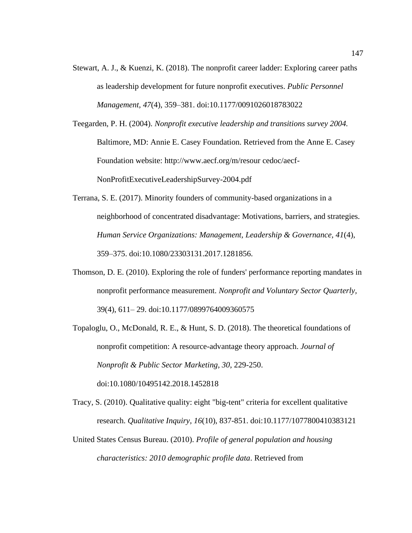Stewart, A. J., & Kuenzi, K. (2018). The nonprofit career ladder: Exploring career paths as leadership development for future nonprofit executives. *Public Personnel Management, 47*(4), 359–381. doi:10.1177/0091026018783022

Teegarden, P. H. (2004). *Nonprofit executive leadership and transitions survey 2004.* Baltimore, MD: Annie E. Casey Foundation. Retrieved from the Anne E. Casey Foundation website: http://www.aecf.org/m/resour cedoc/aecf-NonProfitExecutiveLeadershipSurvey-2004.pdf

- Terrana, S. E. (2017). Minority founders of community-based organizations in a neighborhood of concentrated disadvantage: Motivations, barriers, and strategies*. Human Service Organizations: Management, Leadership & Governance, 41*(4), 359–375. doi:10.1080/23303131.2017.1281856.
- Thomson, D. E. (2010). Exploring the role of funders' performance reporting mandates in nonprofit performance measurement. *Nonprofit and Voluntary Sector Quarterly,* 39(4), 611– 29. doi:10.1177/0899764009360575
- Topaloglu, O., McDonald, R. E., & Hunt, S. D. (2018). The theoretical foundations of nonprofit competition: A resource-advantage theory approach. *Journal of Nonprofit & Public Sector Marketing, 30*, 229-250. doi:10.1080/10495142.2018.1452818
- Tracy, S. (2010). Qualitative quality: eight "big-tent" criteria for excellent qualitative research. *Qualitative Inquiry, 16*(10), 837-851. doi:10.1177/1077800410383121
- United States Census Bureau. (2010). *Profile of general population and housing characteristics: 2010 demographic profile data*. Retrieved from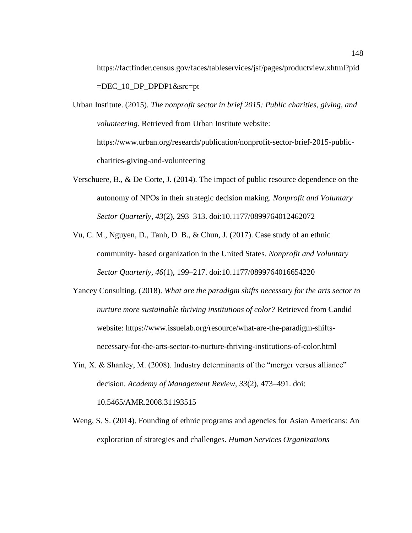https://factfinder.census.gov/faces/tableservices/jsf/pages/productview.xhtml?pid =DEC\_10\_DP\_DPDP1&src=pt

- Urban Institute. (2015). *The nonprofit sector in brief 2015: Public charities, giving, and volunteering.* Retrieved from Urban Institute website: https://www.urban.org/research/publication/nonprofit-sector-brief-2015-publiccharities-giving-and-volunteering
- Verschuere, B., & De Corte, J. (2014). The impact of public resource dependence on the autonomy of NPOs in their strategic decision making. *Nonprofit and Voluntary Sector Quarterly*, *43*(2), 293–313. doi:10.1177/0899764012462072
- Vu, C. M., Nguyen, D., Tanh, D. B., & Chun, J. (2017). Case study of an ethnic community- based organization in the United States*. Nonprofit and Voluntary Sector Quarterly, 46*(1), 199–217. doi:10.1177/0899764016654220
- Yancey Consulting. (2018). *What are the paradigm shifts necessary for the arts sector to nurture more sustainable thriving institutions of color?* Retrieved from Candid website: https://www.issuelab.org/resource/what-are-the-paradigm-shiftsnecessary-for-the-arts-sector-to-nurture-thriving-institutions-of-color.html
- Yin, X. & Shanley, M. (2008). Industry determinants of the "merger versus alliance" decision. *Academy of Management Review, 33*(2), 473–491. doi: 10.5465/AMR.2008.31193515
- Weng, S. S. (2014). Founding of ethnic programs and agencies for Asian Americans: An exploration of strategies and challenges. *Human Services Organizations*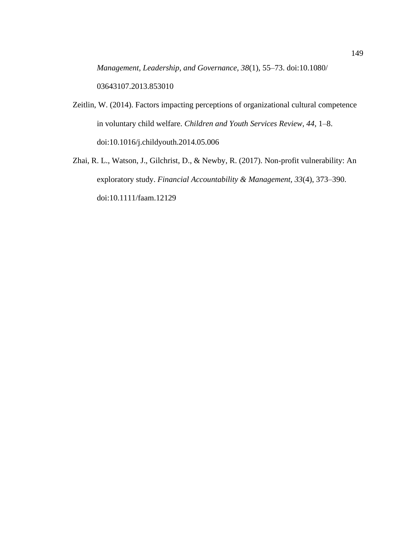*Management, Leadership, and Governance, 38*(1), 55–73. doi:10.1080/ 03643107.2013.853010

- Zeitlin, W. (2014). Factors impacting perceptions of organizational cultural competence in voluntary child welfare. *Children and Youth Services Review, 44*, 1–8. doi:10.1016/j.childyouth.2014.05.006
- Zhai, R. L., Watson, J., Gilchrist, D., & Newby, R. (2017). Non-profit vulnerability: An exploratory study. *Financial Accountability & Management, 33*(4), 373–390. doi:10.1111/faam.12129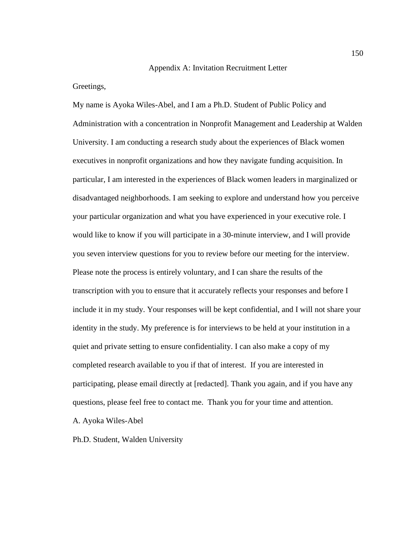## Appendix A: Invitation Recruitment Letter

Greetings,

My name is Ayoka Wiles-Abel, and I am a Ph.D. Student of Public Policy and Administration with a concentration in Nonprofit Management and Leadership at Walden University. I am conducting a research study about the experiences of Black women executives in nonprofit organizations and how they navigate funding acquisition. In particular, I am interested in the experiences of Black women leaders in marginalized or disadvantaged neighborhoods. I am seeking to explore and understand how you perceive your particular organization and what you have experienced in your executive role. I would like to know if you will participate in a 30-minute interview, and I will provide you seven interview questions for you to review before our meeting for the interview. Please note the process is entirely voluntary, and I can share the results of the transcription with you to ensure that it accurately reflects your responses and before I include it in my study. Your responses will be kept confidential, and I will not share your identity in the study. My preference is for interviews to be held at your institution in a quiet and private setting to ensure confidentiality. I can also make a copy of my completed research available to you if that of interest. If you are interested in participating, please email directly at [redacted]. Thank you again, and if you have any questions, please feel free to contact me. Thank you for your time and attention.

A. Ayoka Wiles-Abel

Ph.D. Student, Walden University

150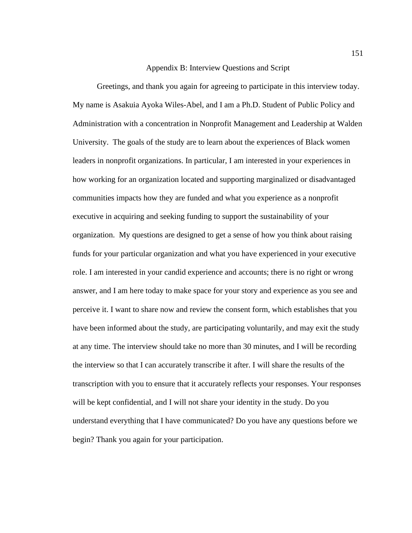## Appendix B: Interview Questions and Script

Greetings, and thank you again for agreeing to participate in this interview today. My name is Asakuia Ayoka Wiles-Abel, and I am a Ph.D. Student of Public Policy and Administration with a concentration in Nonprofit Management and Leadership at Walden University. The goals of the study are to learn about the experiences of Black women leaders in nonprofit organizations. In particular, I am interested in your experiences in how working for an organization located and supporting marginalized or disadvantaged communities impacts how they are funded and what you experience as a nonprofit executive in acquiring and seeking funding to support the sustainability of your organization. My questions are designed to get a sense of how you think about raising funds for your particular organization and what you have experienced in your executive role. I am interested in your candid experience and accounts; there is no right or wrong answer, and I am here today to make space for your story and experience as you see and perceive it. I want to share now and review the consent form, which establishes that you have been informed about the study, are participating voluntarily, and may exit the study at any time. The interview should take no more than 30 minutes, and I will be recording the interview so that I can accurately transcribe it after. I will share the results of the transcription with you to ensure that it accurately reflects your responses. Your responses will be kept confidential, and I will not share your identity in the study. Do you understand everything that I have communicated? Do you have any questions before we begin? Thank you again for your participation.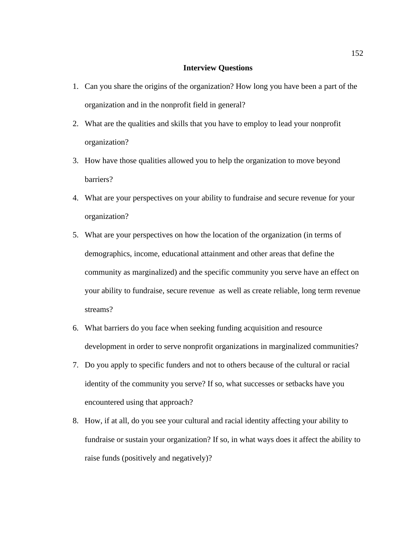## **Interview Questions**

- 1. Can you share the origins of the organization? How long you have been a part of the organization and in the nonprofit field in general?
- 2. What are the qualities and skills that you have to employ to lead your nonprofit organization?
- 3. How have those qualities allowed you to help the organization to move beyond barriers?
- 4. What are your perspectives on your ability to fundraise and secure revenue for your organization?
- 5. What are your perspectives on how the location of the organization (in terms of demographics, income, educational attainment and other areas that define the community as marginalized) and the specific community you serve have an effect on your ability to fundraise, secure revenue as well as create reliable, long term revenue streams?
- 6. What barriers do you face when seeking funding acquisition and resource development in order to serve nonprofit organizations in marginalized communities?
- 7. Do you apply to specific funders and not to others because of the cultural or racial identity of the community you serve? If so, what successes or setbacks have you encountered using that approach?
- 8. How, if at all, do you see your cultural and racial identity affecting your ability to fundraise or sustain your organization? If so, in what ways does it affect the ability to raise funds (positively and negatively)?